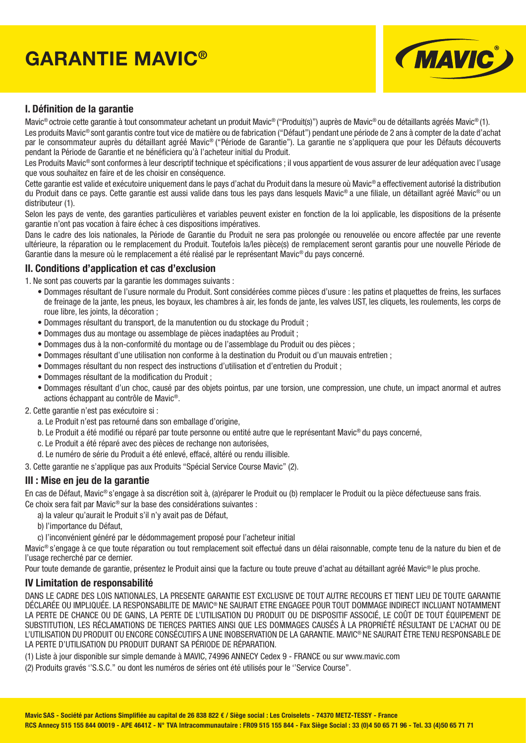# **GARANTIE MAVIC®**



## **I. Définition de la garantie**

Mavic® octroie cette garantie à tout consommateur achetant un produit Mavic® ("Produit(s)") auprès de Mavic® ou de détaillants agréés Mavic® (1).

Les produits Mavic® sont garantis contre tout vice de matière ou de fabrication ("Défaut") pendant une période de 2 ans à compter de la date d'achat par le consommateur auprès du détaillant agréé Mavic® ("Période de Garantie"). La garantie ne s'appliquera que pour les Défauts découverts pendant la Période de Garantie et ne bénéficiera qu'à l'acheteur initial du Produit.

Les Produits Mavic<sup>®</sup> sont conformes à leur descriptif technique et spécifications ; il vous appartient de vous assurer de leur adéquation avec l'usage que vous souhaitez en faire et de les choisir en conséquence.

Cette garantie est valide et exécutoire uniquement dans le pays d'achat du Produit dans la mesure où Mavic® a effectivement autorisé la distribution du Produit dans ce pays. Cette garantie est aussi valide dans tous les pays dans lesquels Mavic® a une fi liale, un détaillant agréé Mavic® ou un distributeur (1).

Selon les pays de vente, des garanties particulières et variables peuvent exister en fonction de la loi applicable, les dispositions de la présente garantie n'ont pas vocation à faire échec à ces dispositions impératives.

Dans le cadre des lois nationales, la Période de Garantie du Produit ne sera pas prolongée ou renouvelée ou encore affectée par une revente ultérieure, la réparation ou le remplacement du Produit. Toutefois la/les pièce(s) de remplacement seront garantis pour une nouvelle Période de Garantie dans la mesure où le remplacement a été réalisé par le représentant Mavic® du pays concerné.

#### **II. Conditions d'application et cas d'exclusion**

1. Ne sont pas couverts par la garantie les dommages suivants :

- Dommages résultant de l'usure normale du Produit. Sont considérées comme pièces d'usure : les patins et plaquettes de freins, les surfaces de freinage de la jante, les pneus, les boyaux, les chambres à air, les fonds de jante, les valves UST, les cliquets, les roulements, les corps de roue libre, les joints, la décoration ;
- Dommages résultant du transport, de la manutention ou du stockage du Produit ;
- Dommages dus au montage ou assemblage de pièces inadaptées au Produit ;
- Dommages dus à la non-conformité du montage ou de l'assemblage du Produit ou des pièces ;
- Dommages résultant d'une utilisation non conforme à la destination du Produit ou d'un mauvais entretien ;
- Dommages résultant du non respect des instructions d'utilisation et d'entretien du Produit ;
- Dommages résultant de la modification du Produit ;
- Dommages résultant d'un choc, causé par des objets pointus, par une torsion, une compression, une chute, un impact anormal et autres actions échappant au contrôle de Mavic®.
- 2. Cette garantie n'est pas exécutoire si :
	- a. Le Produit n'est pas retourné dans son emballage d'origine,
	- b. Le Produit a été modifié ou réparé par toute personne ou entité autre que le représentant Mavic<sup>®</sup> du pays concerné,
	- c. Le Produit a été réparé avec des pièces de rechange non autorisées,
	- d. Le numéro de série du Produit a été enlevé, effacé, altéré ou rendu illisible.

3. Cette garantie ne s'applique pas aux Produits "Spécial Service Course Mavic" (2).

### **III : Mise en jeu de la garantie**

En cas de Défaut, Mavic® s'engage à sa discrétion soit à, (a)réparer le Produit ou (b) remplacer le Produit ou la pièce défectueuse sans frais. Ce choix sera fait par Mavic® sur la base des considérations suivantes :

- a) la valeur qu'aurait le Produit s'il n'y avait pas de Défaut,
- b) l'importance du Défaut,
- c) l'inconvénient généré par le dédommagement proposé pour l'acheteur initial

Mavic® s'engage à ce que toute réparation ou tout remplacement soit effectué dans un délai raisonnable, compte tenu de la nature du bien et de l'usage recherché par ce dernier.

Pour toute demande de garantie, présentez le Produit ainsi que la facture ou toute preuve d'achat au détaillant agréé Mavic® le plus proche.

#### **IV Limitation de responsabilité**

DANS LE CADRE DES LOIS NATIONALES, LA PRESENTE GARANTIE EST EXCLUSIVE DE TOUT AUTRE RECOURS ET TIENT LIEU DE TOUTE GARANTIE DÉCLARÉE OU IMPLIQUÉE. LA RESPONSABILITE DE MAVIC® NE SAURAIT ETRE ENGAGEE POUR TOUT DOMMAGE INDIRECT INCLUANT NOTAMMENT LA PERTE DE CHANCE OU DE GAINS, LA PERTE DE L'UTILISATION DU PRODUIT OU DE DISPOSITIF ASSOCIÉ, LE COÛT DE TOUT ÉQUIPEMENT DE SUBSTITUTION, LES RÉCLAMATIONS DE TIERCES PARTIES AINSI QUE LES DOMMAGES CAUSÉS À LA PROPRIÉTÉ RÉSULTANT DE L'ACHAT OU DE L'UTILISATION DU PRODUIT OU ENCORE CONSÉCUTIFS A UNE INOBSERVATION DE LA GARANTIE. MAVIC® NE SAURAIT ÊTRE TENU RESPONSABLE DE LA PERTE D'UTILISATION DU PRODUIT DURANT SA PÉRIODE DE RÉPARATION.

(1) Liste à jour disponible sur simple demande à MAVIC, 74996 ANNECY Cedex 9 - FRANCE ou sur www.mavic.com

(2) Produits gravés ''S.S.C.'' ou dont les numéros de séries ont été utilisés pour le ''Service Course''.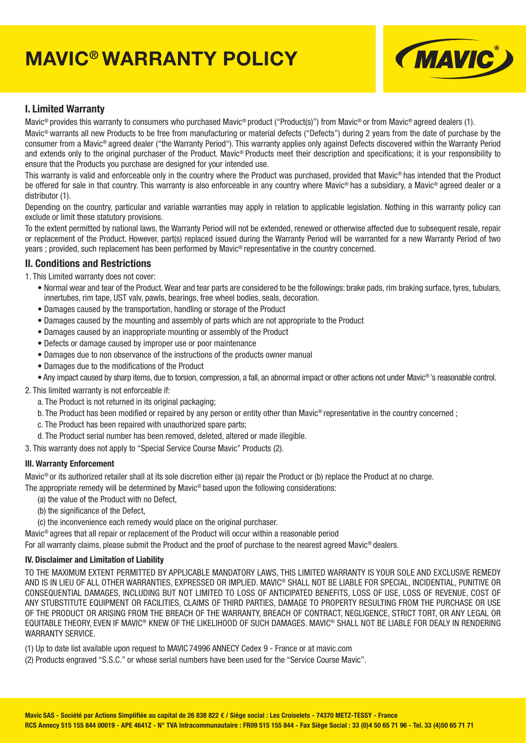# **MAVIC® WARRANTY POLICY**



## **I. Limited Warranty**

Mavic® provides this warranty to consumers who purchased Mavic® product ("Product(s)") from Mavic® or from Mavic® agreed dealers (1).

Mavic® warrants all new Products to be free from manufacturing or material defects ("Defects") during 2 years from the date of purchase by the consumer from a Mavic® agreed dealer ("the Warranty Period"). This warranty applies only against Defects discovered within the Warranty Period and extends only to the original purchaser of the Product. Mavic<sup>®</sup> Products meet their description and specifications; it is your responsibility to ensure that the Products you purchase are designed for your intended use.

This warranty is valid and enforceable only in the country where the Product was purchased, provided that Mavic® has intended that the Product be offered for sale in that country. This warranty is also enforceable in any country where Mavic® has a subsidiary, a Mavic® agreed dealer or a distributor (1).

Depending on the country, particular and variable warranties may apply in relation to applicable legislation. Nothing in this warranty policy can exclude or limit these statutory provisions.

To the extent permitted by national laws, the Warranty Period will not be extended, renewed or otherwise affected due to subsequent resale, repair or replacement of the Product. However, part(s) replaced issued during the Warranty Period will be warranted for a new Warranty Period of two years ; provided, such replacement has been performed by Mavic® representative in the country concerned.

#### **II. Conditions and Restrictions**

1. This Limited warranty does not cover:

- Normal wear and tear of the Product. Wear and tear parts are considered to be the followings: brake pads, rim braking surface, tyres, tubulars, innertubes, rim tape, UST valv, pawls, bearings, free wheel bodies, seals, decoration.
- Damages caused by the transportation, handling or storage of the Product
- Damages caused by the mounting and assembly of parts which are not appropriate to the Product
- Damages caused by an inappropriate mounting or assembly of the Product
- Defects or damage caused by improper use or poor maintenance
- Damages due to non observance of the instructions of the products owner manual
- Damages due to the modifications of the Product
- Any impact caused by sharp items, due to torsion, compression, a fall, an abnormal impact or other actions not under Mavic® 's reasonable control.
- 2. This limited warranty is not enforceable if:
	- a. The Product is not returned in its original packaging;
	- b. The Product has been modified or repaired by any person or entity other than Mavic<sup>®</sup> representative in the country concerned ;
	- c. The Product has been repaired with unauthorized spare parts;
	- d. The Product serial number has been removed, deleted, altered or made illegible.
- 3. This warranty does not apply to "Special Service Course Mavic" Products (2).

#### **III. Warranty Enforcement**

Mavic® or its authorized retailer shall at its sole discretion either (a) repair the Product or (b) replace the Product at no charge.

The appropriate remedy will be determined by Mavic® based upon the following considerations:

- (a) the value of the Product with no Defect,
- (b) the significance of the Defect.
- (c) the inconvenience each remedy would place on the original purchaser.

Mavic® agrees that all repair or replacement of the Product will occur within a reasonable period

For all warranty claims, please submit the Product and the proof of purchase to the nearest agreed Mavic<sup>®</sup> dealers.

#### **IV. Disclaimer and Limitation of Liability**

TO THE MAXIMUM EXTENT PERMITTED BY APPLICABLE MANDATORY LAWS, THIS LIMITED WARRANTY IS YOUR SOLE AND EXCLUSIVE REMEDY AND IS IN LIEU OF ALL OTHER WARRANTIES, EXPRESSED OR IMPLIED. MAVIC® SHALL NOT BE LIABLE FOR SPECIAL, INCIDENTIAL, PUNITIVE OR CONSEQUENTIAL DAMAGES, INCLUDING BUT NOT LIMITED TO LOSS OF ANTICIPATED BENEFITS, LOSS OF USE, LOSS OF REVENUE, COST OF ANY STUBSTITUTE EQUIPMENT OR FACILITIES, CLAIMS OF THIRD PARTIES, DAMAGE TO PROPERTY RESULTING FROM THE PURCHASE OR USE OF THE PRODUCT OR ARISING FROM THE BREACH OF THE WARRANTY, BREACH OF CONTRACT, NEGLIGENCE, STRICT TORT, OR ANY LEGAL OR EQUITABLE THEORY, EVEN IF MAVIC® KNEW OF THE LIKELIHOOD OF SUCH DAMAGES. MAVIC® SHALL NOT BE LIABLE FOR DEALY IN RENDERING WARRANTY SERVICE.

(1) Up to date list available upon request to MAVIC 74996 ANNECY Cedex 9 - France or at mavic.com

(2) Products engraved "S.S.C." or whose serial numbers have been used for the "Service Course Mavic".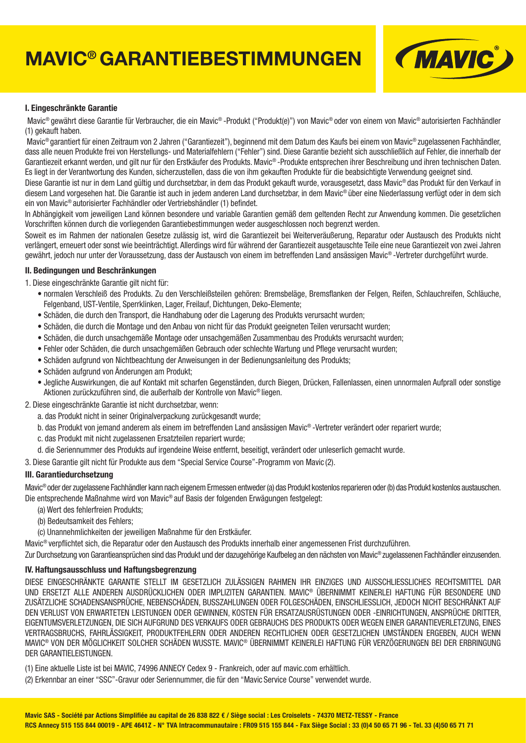# **MAVIC® GARANTIEBESTIMMUNGEN**



#### **I. Eingeschränkte Garantie**

 Mavic® gewährt diese Garantie für Verbraucher, die ein Mavic® -Produkt ("Produkt(e)") von Mavic® oder von einem von Mavic® autorisierten Fachhändler (1) gekauft haben.

 Mavic® garantiert für einen Zeitraum von 2 Jahren ("Garantiezeit"), beginnend mit dem Datum des Kaufs bei einem von Mavic® zugelassenen Fachhändler, dass alle neuen Produkte frei von Herstellungs- und Materialfehlern ("Fehler") sind. Diese Garantie bezieht sich ausschließlich auf Fehler, die innerhalb der Garantiezeit erkannt werden, und gilt nur für den Erstkäufer des Produkts. Mavic® -Produkte entsprechen ihrer Beschreibung und ihren technischen Daten. Es liegt in der Verantwortung des Kunden, sicherzustellen, dass die von ihm gekauften Produkte für die beabsichtigte Verwendung geeignet sind.

Diese Garantie ist nur in dem Land gültig und durchsetzbar, in dem das Produkt gekauft wurde, vorausgesetzt, dass Mavic® das Produkt für den Verkauf in diesem Land vorgesehen hat. Die Garantie ist auch in jedem anderen Land durchsetzbar, in dem Mavic® über eine Niederlassung verfügt oder in dem sich ein von Mavic® autorisierter Fachhändler oder Vertriebshändler (1) befindet.

In Abhängigkeit vom jeweiligen Land können besondere und variable Garantien gemäß dem geltenden Recht zur Anwendung kommen. Die gesetzlichen Vorschriften können durch die vorliegenden Garantiebestimmungen weder ausgeschlossen noch begrenzt werden.

Soweit es im Rahmen der nationalen Gesetze zulässig ist, wird die Garantiezeit bei Weiterveräußerung, Reparatur oder Austausch des Produkts nicht verlängert, erneuert oder sonst wie beeinträchtigt. Allerdings wird für während der Garantiezeit ausgetauschte Teile eine neue Garantiezeit von zwei Jahren gewährt, jedoch nur unter der Voraussetzung, dass der Austausch von einem im betreffenden Land ansässigen Mavic® -Vertreter durchgeführt wurde.

#### **II. Bedingungen und Beschränkungen**

1. Diese eingeschränkte Garantie gilt nicht für:

- normalen Verschleiß des Produkts. Zu den Verschleißsteilen gehören: Bremsbeläge, Bremsflanken der Felgen, Reifen, Schläuchreifen, Schläuche, Felgenband, UST-Ventile, Sperrklinken, Lager, Freilauf, Dichtungen, Deko-Elemente;
- Schäden, die durch den Transport, die Handhabung oder die Lagerung des Produkts verursacht wurden;
- Schäden, die durch die Montage und den Anbau von nicht für das Produkt geeigneten Teilen verursacht wurden;
- Schäden, die durch unsachgemäße Montage oder unsachgemäßen Zusammenbau des Produkts verursacht wurden;
- Fehler oder Schäden, die durch unsachgemäßen Gebrauch oder schlechte Wartung und Pflege verursacht wurden;
- Schäden aufgrund von Nichtbeachtung der Anweisungen in der Bedienungsanleitung des Produkts;
- Schäden aufgrund von Änderungen am Produkt;
- Jegliche Auswirkungen, die auf Kontakt mit scharfen Gegenständen, durch Biegen, Drücken, Fallenlassen, einen unnormalen Aufprall oder sonstige Aktionen zurückzuführen sind, die außerhalb der Kontrolle von Mavic® liegen.
- 2. Diese eingeschränkte Garantie ist nicht durchsetzbar, wenn:
	- a. das Produkt nicht in seiner Originalverpackung zurückgesandt wurde;
	- b. das Produkt von jemand anderem als einem im betreffenden Land ansässigen Mavic® -Vertreter verändert oder repariert wurde;
	- c. das Produkt mit nicht zugelassenen Ersatzteilen repariert wurde;
	- d. die Seriennummer des Produkts auf irgendeine Weise entfernt, beseitigt, verändert oder unleserlich gemacht wurde.
- 3. Diese Garantie gilt nicht für Produkte aus dem "Special Service Course"-Programm von Mavic (2).

#### **III. Garantiedurchsetzung**

Mavic® oder der zugelassene Fachhändler kann nach eigenem Ermessen entweder (a) das Produkt kostenlos reparieren oder (b) das Produkt kostenlos austauschen. Die entsprechende Maßnahme wird von Mavic® auf Basis der folgenden Erwägungen festgelegt:

- (a) Wert des fehlerfreien Produkts;
- (b) Bedeutsamkeit des Fehlers;
- (c) Unannehmlichkeiten der jeweiligen Maßnahme für den Erstkäufer.

Mavic<sup>®</sup> verpflichtet sich, die Reparatur oder den Austausch des Produkts innerhalb einer angemessenen Frist durchzuführen.

Zur Durchsetzung von Garantieansprüchen sind das Produkt und der dazugehörige Kaufbeleg an den nächsten von Mavic® zugelassenen Fachhändler einzusenden.

#### **IV. Haftungsausschluss und Haftungsbegrenzung**

DIESE EINGESCHRÄNKTE GARANTIE STELLT IM GESETZLICH ZULÄSSIGEN RAHMEN IHR EINZIGES UND AUSSCHLIESSLICHES RECHTSMITTEL DAR UND ERSETZT ALLE ANDEREN AUSDRÜCKLICHEN ODER IMPLIZITEN GARANTIEN. MAVIC® ÜBERNIMMT KEINERLEI HAFTUNG FÜR BESONDERE UND ZUSÄTZLICHE SCHADENSANSPRÜCHE, NEBENSCHÄDEN, BUSSZAHLUNGEN ODER FOLGESCHÄDEN, EINSCHLIESSLICH, JEDOCH NICHT BESCHRÄNKT AUF DEN VERLUST VON ERWARTETEN LEISTUNGEN ODER GEWINNEN, KOSTEN FÜR ERSATZAUSRÜSTUNGEN ODER -EINRICHTUNGEN, ANSPRÜCHE DRITTER, EIGENTUMSVERLETZUNGEN, DIE SICH AUFGRUND DES VERKAUFS ODER GEBRAUCHS DES PRODUKTS ODER WEGEN EINER GARANTIEVERLETZUNG, EINES VERTRAGSBRUCHS, FAHRLÄSSIGKEIT, PRODUKTFEHLERN ODER ANDEREN RECHTLICHEN ODER GESETZLICHEN UMSTÄNDEN ERGEBEN, AUCH WENN MAVIC® VON DER MÖGLICHKEIT SOLCHER SCHÄDEN WUSSTE. MAVIC® ÜBERNIMMT KEINERLEI HAFTUNG FÜR VERZÖGERUNGEN BEI DER ERBRINGUNG DER GARANTIELEISTUNGEN.

- (1) Eine aktuelle Liste ist bei MAVIC, 74996 ANNECY Cedex 9 Frankreich, oder auf mavic.com erhältlich.
- (2) Erkennbar an einer "SSC"-Gravur oder Seriennummer, die für den "Mavic Service Course" verwendet wurde.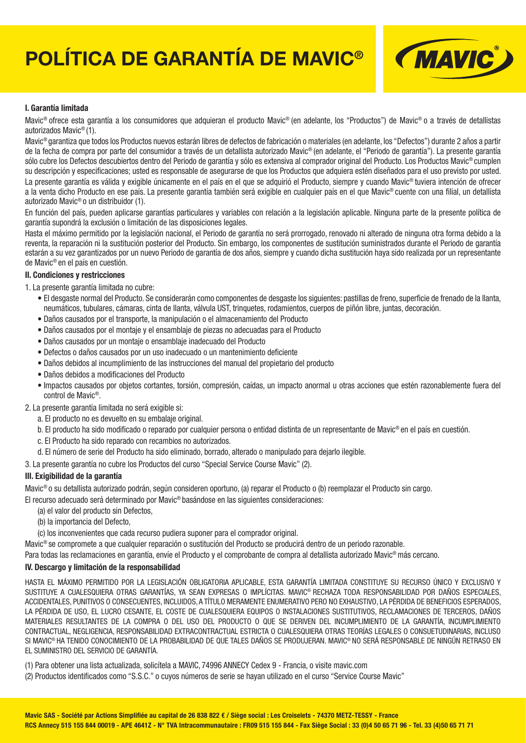# **POLÍTICA DE GARANTÍA DE MAVIC®**



#### **I. Garantía limitada**

Mavic® ofrece esta garantía a los consumidores que adquieran el producto Mavic® (en adelante, los "Productos") de Mavic® o a través de detallistas autorizados Mavic® (1).

Mavic® garantiza que todos los Productos nuevos estarán libres de defectos de fabricación o materiales (en adelante, los "Defectos") durante 2 años a partir de la fecha de compra por parte del consumidor a través de un detallista autorizado Mavic® (en adelante, el "Periodo de garantía"). La presente garantía sólo cubre los Defectos descubiertos dentro del Periodo de garantía y sólo es extensiva al comprador original del Producto. Los Productos Mavic® cumplen su descripción y especificaciones; usted es responsable de asegurarse de que los Productos que adquiera estén diseñados para el uso previsto por usted. La presente garantía es válida y exigible únicamente en el país en el que se adquirió el Producto, siempre y cuando Mavic<sup>®</sup> tuviera intención de ofrecer a la venta dicho Producto en ese país. La presente garantía también será exigible en cualquier país en el que Mavic<sup>®</sup> cuente con una filial, un detallista autorizado Mavic® o un distribuidor (1).

En función del país, pueden aplicarse garantías particulares y variables con relación a la legislación aplicable. Ninguna parte de la presente política de garantía supondrá la exclusión o limitación de las disposiciones legales.

Hasta el máximo permitido por la legislación nacional, el Periodo de garantía no será prorrogado, renovado ni alterado de ninguna otra forma debido a la reventa, la reparación ni la sustitución posterior del Producto. Sin embargo, los componentes de sustitución suministrados durante el Periodo de garantía estarán a su vez garantizados por un nuevo Periodo de garantía de dos años, siempre y cuando dicha sustitución haya sido realizada por un representante de Mavic® en el país en cuestión.

#### **II. Condiciones y restricciones**

1. La presente garantía limitada no cubre:

- · El desgaste normal del Producto. Se considerarán como componentes de desgaste los siguientes: pastillas de freno, superficie de frenado de la llanta, neumáticos, tubulares, cámaras, cinta de llanta, válvula UST, trinquetes, rodamientos, cuerpos de piñón libre, juntas, decoración.
- Daños causados por el transporte, la manipulación o el almacenamiento del Producto
- Daños causados por el montaje y el ensamblaje de piezas no adecuadas para el Producto
- Daños causados por un montaje o ensamblaje inadecuado del Producto
- · Defectos o daños causados por un uso inadecuado o un mantenimiento deficiente
- Daños debidos al incumplimiento de las instrucciones del manual del propietario del producto
- Daños debidos a modificaciones del Producto
- Impactos causados por objetos cortantes, torsión, compresión, caídas, un impacto anormal u otras acciones que estén razonablemente fuera del control de Mavic®.

2. La presente garantía limitada no será exigible si:

- a. El producto no es devuelto en su embalaje original.
- b. El producto ha sido modificado o reparado por cualquier persona o entidad distinta de un representante de Mavic® en el país en cuestión.
- c. El Producto ha sido reparado con recambios no autorizados.
- d. El número de serie del Producto ha sido eliminado, borrado, alterado o manipulado para dejarlo ilegible.
- 3. La presente garantía no cubre los Productos del curso "Special Service Course Mavic" (2).

#### **III. Exigibilidad de la garantía**

Mavic® o su detallista autorizado podrán, según consideren oportuno, (a) reparar el Producto o (b) reemplazar el Producto sin cargo.

El recurso adecuado será determinado por Mavic® basándose en las siguientes consideraciones:

- (a) el valor del producto sin Defectos,
- (b) la importancia del Defecto,
- (c) los inconvenientes que cada recurso pudiera suponer para el comprador original.

Mavic® se compromete a que cualquier reparación o sustitución del Producto se producirá dentro de un periodo razonable.

Para todas las reclamaciones en garantía, envíe el Producto y el comprobante de compra al detallista autorizado Mavic® más cercano.

#### **IV. Descargo y limitación de la responsabilidad**

HASTA EL MÁXIMO PERMITIDO POR LA LEGISLACIÓN OBLIGATORIA APLICABLE, ESTA GARANTÍA LIMITADA CONSTITUYE SU RECURSO ÚNICO Y EXCLUSIVO Y SUSTITUYE A CUALESQUIERA OTRAS GARANTÍAS, YA SEAN EXPRESAS O IMPLÍCITAS. MAVIC® RECHAZA TODA RESPONSABILIDAD POR DAÑOS ESPECIALES, ACCIDENTALES, PUNITIVOS O CONSECUENTES, INCLUIDOS, A TÍTULO MERAMENTE ENUMERATIVO PERO NO EXHAUSTIVO, LA PÉRDIDA DE BENEFICIOS ESPERADOS, LA PÉRDIDA DE USO, EL LUCRO CESANTE, EL COSTE DE CUALESQUIERA EQUIPOS O INSTALACIONES SUSTITUTIVOS, RECLAMACIONES DE TERCEROS, DAÑOS MATERIALES RESULTANTES DE LA COMPRA O DEL USO DEL PRODUCTO O QUE SE DERIVEN DEL INCUMPLIMIENTO DE LA GARANTÍA, INCUMPLIMIENTO CONTRACTUAL, NEGLIGENCIA, RESPONSABILIDAD EXTRACONTRACTUAL ESTRICTA O CUALESQUIERA OTRAS TEORÍAS LEGALES O CONSUETUDINARIAS, INCLUSO SI MAVIC® HA TENIDO CONOCIMIENTO DE LA PROBABILIDAD DE QUE TALES DAÑOS SE PRODUJERAN. MAVIC® NO SERÁ RESPONSABLE DE NINGÚN RETRASO EN EL SUMINISTRO DEL SERVICIO DE GARANTÍA.

(1) Para obtener una lista actualizada, solicítela a MAVIC, 74996 ANNECY Cedex 9 - Francia, o visite mavic.com

(2) Productos identificados como "S.S.C." o cuyos números de serie se hayan utilizado en el curso "Service Course Mavic"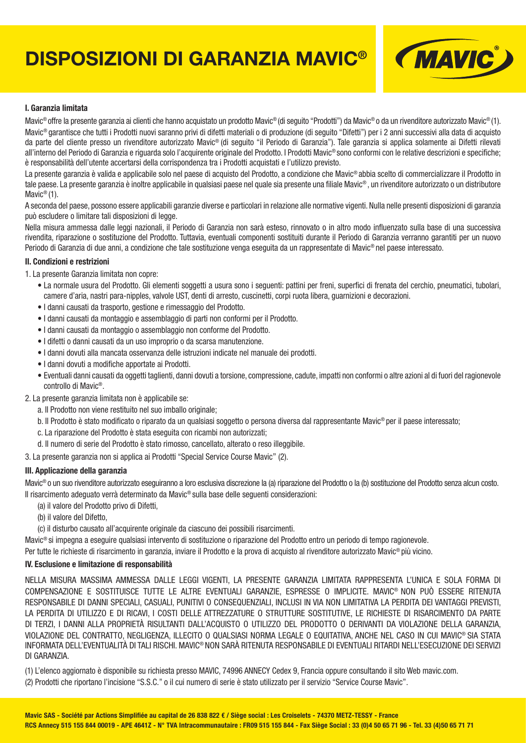# **DISPOSIZIONI DI GARANZIA MAVIC®**



#### **I. Garanzia limitata**

Mavic<sup>®</sup> offre la presente garanzia ai clienti che hanno acquistato un prodotto Mavic® (di seguito "Prodotti") da Mavic® o da un rivenditore autorizzato Mavic® (1). Mavic® garantisce che tutti i Prodotti nuovi saranno privi di difetti materiali o di produzione (di seguito "Difetti") per i 2 anni successivi alla data di acquisto da parte del cliente presso un rivenditore autorizzato Mavic® (di seguito "il Periodo di Garanzia"). Tale garanzia si applica solamente ai Difetti rilevati all'interno del Periodo di Garanzia e riguarda solo l'acquirente originale del Prodotto. I Prodotti Mavic<sup>®</sup> sono conformi con le relative descrizioni e specifiche: è responsabilità dell'utente accertarsi della corrispondenza tra i Prodotti acquistati e l'utilizzo previsto.

La presente garanzia è valida e applicabile solo nel paese di acquisto del Prodotto, a condizione che Mavic<sup>®</sup> abbia scelto di commercializzare il Prodotto in tale paese. La presente garanzia è inoltre applicabile in qualsiasi paese nel quale sia presente una fi liale Mavic® , un rivenditore autorizzato o un distributore Mavic<sup>®</sup> (1).

A seconda del paese, possono essere applicabili garanzie diverse e particolari in relazione alle normative vigenti. Nulla nelle presenti disposizioni di garanzia può escludere o limitare tali disposizioni di legge.

Nella misura ammessa dalle leggi nazionali, il Periodo di Garanzia non sarà esteso, rinnovato o in altro modo influenzato sulla base di una successiva rivendita, riparazione o sostituzione del Prodotto. Tuttavia, eventuali componenti sostituiti durante il Periodo di Garanzia verranno garantiti per un nuovo Periodo di Garanzia di due anni, a condizione che tale sostituzione venga eseguita da un rappresentate di Mavic® nel paese interessato.

#### **II. Condizioni e restrizioni**

- 1. La presente Garanzia limitata non copre:
	- La normale usura del Prodotto, Gli elementi soggetti a usura sono i seguenti: pattini per freni, superfici di frenata del cerchio, pneumatici, tubolari, camere d'aria, nastri para-nipples, valvole UST, denti di arresto, cuscinetti, corpi ruota libera, guarnizioni e decorazioni.
	- I danni causati da trasporto, gestione e rimessaggio del Prodotto.
	- I danni causati da montaggio e assemblaggio di parti non conformi per il Prodotto.
	- I danni causati da montaggio o assemblaggio non conforme del Prodotto.
	- I difetti o danni causati da un uso improprio o da scarsa manutenzione.
	- I danni dovuti alla mancata osservanza delle istruzioni indicate nel manuale dei prodotti.
	- I danni dovuti a modifiche apportate ai Prodotti.
	- Eventuali danni causati da oggetti taglienti, danni dovuti a torsione, compressione, cadute, impatti non conformi o altre azioni al di fuori del ragionevole controllo di Mavic®.
- 2. La presente garanzia limitata non è applicabile se:
	- a. Il Prodotto non viene restituito nel suo imballo originale;
	- b. Il Prodotto è stato modificato o riparato da un qualsiasi soggetto o persona diversa dal rappresentante Mavic® per il paese interessato;
	- c. La riparazione del Prodotto è stata eseguita con ricambi non autorizzati;
	- d. Il numero di serie del Prodotto è stato rimosso, cancellato, alterato o reso illeggibile.

3. La presente garanzia non si applica ai Prodotti "Special Service Course Mavic" (2).

#### **III. Applicazione della garanzia**

Mavic® o un suo rivenditore autorizzato eseguiranno a loro esclusiva discrezione la (a) riparazione del Prodotto o la (b) sostituzione del Prodotto senza alcun costo. Il risarcimento adeguato verrà determinato da Mavic® sulla base delle seguenti considerazioni:

- (a) il valore del Prodotto privo di Difetti,
- (b) il valore del Difetto,
- (c) il disturbo causato all'acquirente originale da ciascuno dei possibili risarcimenti.

Mavic® si impegna a eseguire qualsiasi intervento di sostituzione o riparazione del Prodotto entro un periodo di tempo ragionevole.

Per tutte le richieste di risarcimento in garanzia, inviare il Prodotto e la prova di acquisto al rivenditore autorizzato Mavic® più vicino.

#### **IV. Esclusione e limitazione di responsabilità**

NELLA MISURA MASSIMA AMMESSA DALLE LEGGI VIGENTI, LA PRESENTE GARANZIA LIMITATA RAPPRESENTA L'UNICA E SOLA FORMA DI COMPENSAZIONE E SOSTITUISCE TUTTE LE ALTRE EVENTUALI GARANZIE, ESPRESSE O IMPLICITE. MAVIC® NON PUÒ ESSERE RITENUTA RESPONSABILE DI DANNI SPECIALI, CASUALI, PUNITIVI O CONSEQUENZIALI, INCLUSI IN VIA NON LIMITATIVA LA PERDITA DEI VANTAGGI PREVISTI, LA PERDITA DI UTILIZZO E DI RICAVI, I COSTI DELLE ATTREZZATURE O STRUTTURE SOSTITUTIVE, LE RICHIESTE DI RISARCIMENTO DA PARTE DI TERZI, I DANNI ALLA PROPRIETÀ RISULTANTI DALL'ACQUISTO O UTILIZZO DEL PRODOTTO O DERIVANTI DA VIOLAZIONE DELLA GARANZIA, VIOLAZIONE DEL CONTRATTO, NEGLIGENZA, ILLECITO O QUALSIASI NORMA LEGALE O EQUITATIVA, ANCHE NEL CASO IN CUI MAVIC® SIA STATA INFORMATA DELL'EVENTUALITÀ DI TALI RISCHI. MAVIC® NON SARÀ RITENUTA RESPONSABILE DI EVENTUALI RITARDI NELL'ESECUZIONE DEI SERVIZI DI GARANZIA.

(1) L'elenco aggiornato è disponibile su richiesta presso MAVIC, 74996 ANNECY Cedex 9, Francia oppure consultando il sito Web mavic.com. (2) Prodotti che riportano l'incisione "S.S.C." o il cui numero di serie è stato utilizzato per il servizio "Service Course Mavic".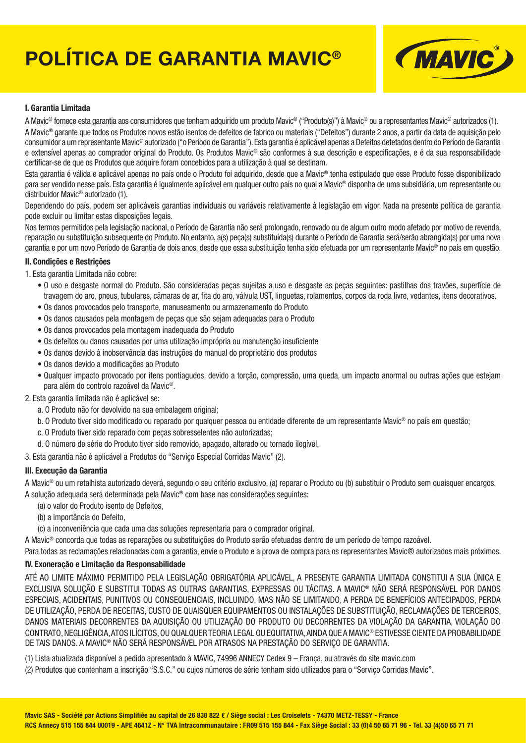# **POLÍTICA DE GARANTIA MAVIC®**



### **I. Garantia Limitada**

A Mavic® fornece esta garantia aos consumidores que tenham adquirido um produto Mavic® ("Produto(s)") à Mavic® ou a representantes Mavic® autorizados (1). A Mavic® garante que todos os Produtos novos estão isentos de defeitos de fabrico ou materiais ("Defeitos") durante 2 anos, a partir da data de aquisição pelo consumidor a um representante Mavic® autorizado ("o Período de Garantia"). Esta garantia é aplicável apenas a Defeitos detetados dentro do Período de Garantia e extensível apenas ao comprador original do Produto. Os Produtos Mavic® são conformes à sua descrição e especificações, e é da sua responsabilidade certificar-se de que os Produtos que adquire foram concebidos para a utilização à qual se destinam.

Esta garantia é válida e aplicável apenas no país onde o Produto foi adquirido, desde que a Mavic® tenha estipulado que esse Produto fosse disponibilizado para ser vendido nesse país. Esta garantia é igualmente aplicável em qualquer outro país no qual a Mavic® disponha de uma subsidiária, um representante ou distribuidor Mavic® autorizado (1).

Dependendo do país, podem ser aplicáveis garantias individuais ou variáveis relativamente à legislação em vigor. Nada na presente política de garantia pode excluir ou limitar estas disposições legais.

Nos termos permitidos pela legislação nacional, o Período de Garantia não será prolongado, renovado ou de algum outro modo afetado por motivo de revenda, reparação ou substituição subsequente do Produto. No entanto, a(s) peça(s) substituída(s) durante o Período de Garantia será/serão abrangida(s) por uma nova garantia e por um novo Período de Garantia de dois anos, desde que essa substituição tenha sido efetuada por um representante Mavic® no país em questão.

#### **II. Condições e Restrições**

- 1. Esta garantia Limitada não cobre:
	- O uso e desgaste normal do Produto. São consideradas peças sujeitas a uso e desgaste as peças seguintes: pastilhas dos travões, superfície de travagem do aro, pneus, tubulares, câmaras de ar, fita do aro, válvula UST, linguetas, rolamentos, corpos da roda livre, vedantes, itens decorativos.
	- Os danos provocados pelo transporte, manuseamento ou armazenamento do Produto
	- Os danos causados pela montagem de peças que são sejam adequadas para o Produto
	- Os danos provocados pela montagem inadequada do Produto
	- Os defeitos ou danos causados por uma utilização imprópria ou manutenção insuficiente
	- Os danos devido à inobservância das instruções do manual do proprietário dos produtos
	- Os danos devido a modificações ao Produto
	- Qualquer impacto provocado por itens pontiagudos, devido a torção, compressão, uma queda, um impacto anormal ou outras ações que estejam para além do controlo razoável da Mavic®.
- 2. Esta garantia limitada não é aplicável se:
	- a. O Produto não for devolvido na sua embalagem original;
	- b. O Produto tiver sido modificado ou reparado por qualquer pessoa ou entidade diferente de um representante Mavic<sup>®</sup> no país em questão:
	- c. O Produto tiver sido reparado com peças sobresselentes não autorizadas;
	- d. O número de série do Produto tiver sido removido, apagado, alterado ou tornado ilegível.

3. Esta garantia não é aplicável a Produtos do "Serviço Especial Corridas Mavic" (2).

#### **III. Execução da Garantia**

A Mavic® ou um retalhista autorizado deverá, segundo o seu critério exclusivo, (a) reparar o Produto ou (b) substituir o Produto sem quaisquer encargos. A solução adequada será determinada pela Mavic® com base nas considerações seguintes:

- (a) o valor do Produto isento de Defeitos,
- (b) a importância do Defeito,
- (c) a inconveniência que cada uma das soluções representaria para o comprador original.

A Mavic® concorda que todas as reparações ou substituições do Produto serão efetuadas dentro de um período de tempo razoável.

Para todas as reclamações relacionadas com a garantia, envie o Produto e a prova de compra para os representantes Mavic® autorizados mais próximos.

# **IV. Exoneração e Limitação da Responsabilidade**

ATÉ AO LIMITE MÁXIMO PERMITIDO PELA LEGISLAÇÃO OBRIGATÓRIA APLICÁVEL, A PRESENTE GARANTIA LIMITADA CONSTITUI A SUA ÚNICA E EXCLUSIVA SOLUÇÃO E SUBSTITUI TODAS AS OUTRAS GARANTIAS, EXPRESSAS OU TÁCITAS. A MAVIC® NÃO SERÁ RESPONSÁVEL POR DANOS ESPECIAIS, ACIDENTAIS, PUNITIVOS OU CONSEQUENCIAIS, INCLUINDO, MAS NÃO SE LIMITANDO, A PERDA DE BENEFÍCIOS ANTECIPADOS, PERDA DE UTILIZAÇÃO, PERDA DE RECEITAS, CUSTO DE QUAISQUER EQUIPAMENTOS OU INSTALAÇÕES DE SUBSTITUIÇÃO, RECLAMAÇÕES DE TERCEIROS, DANOS MATERIAIS DECORRENTES DA AQUISIÇÃO OU UTILIZAÇÃO DO PRODUTO OU DECORRENTES DA VIOLAÇÃO DA GARANTIA, VIOLAÇÃO DO CONTRATO, NEGLIGÊNCIA, ATOS ILÍCITOS, OU QUALQUER TEORIA LEGAL OU EQUITATIVA, AINDA QUE A MAVIC® ESTIVESSE CIENTE DA PROBABILIDADE DE TAIS DANOS. A MAVIC® NÃO SERÁ RESPONSÁVEL POR ATRASOS NA PRESTAÇÃO DO SERVIÇO DE GARANTIA.

(1) Lista atualizada disponível a pedido apresentado à MAVIC, 74996 ANNECY Cedex 9 – França, ou através do site mavic.com

(2) Produtos que contenham a inscrição "S.S.C." ou cujos números de série tenham sido utilizados para o "Serviço Corridas Mavic".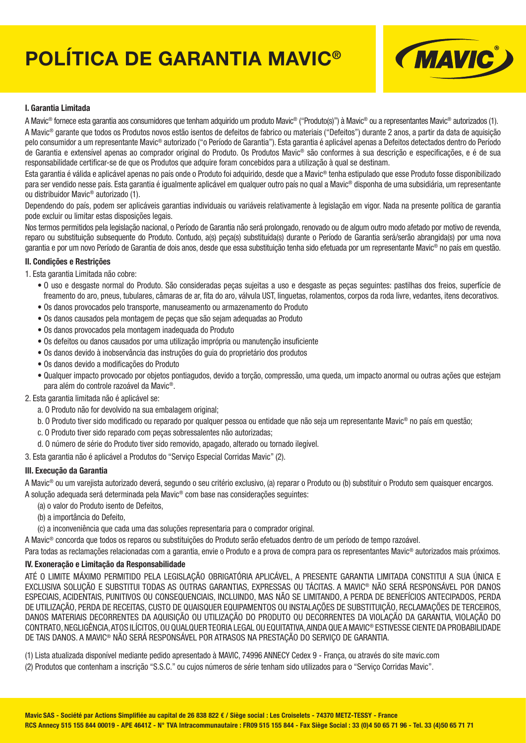# **POLÍTICA DE GARANTIA MAVIC®**



### **I. Garantia Limitada**

A Mavic® fornece esta garantia aos consumidores que tenham adquirido um produto Mavic® ("Produto(s)") à Mavic® ou a representantes Mavic® autorizados (1). A Mavic® garante que todos os Produtos novos estão isentos de defeitos de fabrico ou materiais ("Defeitos") durante 2 anos, a partir da data de aquisição pelo consumidor a um representante Mavic® autorizado ("o Período de Garantia"). Esta garantia é aplicável apenas a Defeitos detectados dentro do Período de Garantia e extensível apenas ao comprador original do Produto. Os Produtos Mavic® são conformes à sua descrição e especifi cações, e é de sua responsabilidade certificar-se de que os Produtos que adquire foram concebidos para a utilização à qual se destinam.

Esta garantia é válida e aplicável apenas no país onde o Produto foi adquirido, desde que a Mavic® tenha estipulado que esse Produto fosse disponibilizado para ser vendido nesse país. Esta garantia é igualmente aplicável em qualquer outro país no qual a Mavic<sup>®</sup> disponha de uma subsidiária, um representante ou distribuidor Mavic® autorizado (1).

Dependendo do país, podem ser aplicáveis garantias individuais ou variáveis relativamente à legislação em vigor. Nada na presente política de garantia pode excluir ou limitar estas disposições legais.

Nos termos permitidos pela legislação nacional, o Período de Garantia não será prolongado, renovado ou de algum outro modo afetado por motivo de revenda, reparo ou substituição subsequente do Produto. Contudo, a(s) peça(s) substituída(s) durante o Período de Garantia será/serão abrangida(s) por uma nova garantia e por um novo Período de Garantia de dois anos, desde que essa substituição tenha sido efetuada por um representante Mavic® no país em questão.

#### **II. Condições e Restrições**

- 1. Esta garantia Limitada não cobre:
	- O uso e desgaste normal do Produto. São consideradas peças sujeitas a uso e desgaste as peças seguintes: pastilhas dos freios, superfície de freamento do aro, pneus, tubulares, câmaras de ar, fita do aro, válvula UST, linguetas, rolamentos, corpos da roda livre, vedantes, itens decorativos.
	- Os danos provocados pelo transporte, manuseamento ou armazenamento do Produto
	- Os danos causados pela montagem de peças que são sejam adequadas ao Produto
	- Os danos provocados pela montagem inadequada do Produto
	- Os defeitos ou danos causados por uma utilização imprópria ou manutenção insuficiente
	- Os danos devido à inobservância das instruções do guia do proprietário dos produtos
	- Os danos devido a modificações do Produto
	- Qualquer impacto provocado por objetos pontiagudos, devido a torção, compressão, uma queda, um impacto anormal ou outras ações que estejam para além do controle razoável da Mavic®.
- 2. Esta garantia limitada não é aplicável se:
	- a. O Produto não for devolvido na sua embalagem original;
	- b. O Produto tiver sido modificado ou reparado por qualquer pessoa ou entidade que não seja um representante Mavic<sup>®</sup> no país em questão:
	- c. O Produto tiver sido reparado com peças sobressalentes não autorizadas;
	- d. O número de série do Produto tiver sido removido, apagado, alterado ou tornado ilegível.

3. Esta garantia não é aplicável a Produtos do "Serviço Especial Corridas Mavic" (2).

#### **III. Execução da Garantia**

A Mavic® ou um varejista autorizado deverá, segundo o seu critério exclusivo, (a) reparar o Produto ou (b) substituir o Produto sem quaisquer encargos. A solução adequada será determinada pela Mavic® com base nas considerações seguintes:

- (a) o valor do Produto isento de Defeitos,
- (b) a importância do Defeito,
- (c) a inconveniência que cada uma das soluções representaria para o comprador original.

A Mavic® concorda que todos os reparos ou substituições do Produto serão efetuados dentro de um período de tempo razoável.

Para todas as reclamações relacionadas com a garantia, envie o Produto e a prova de compra para os representantes Mavic<sup>®</sup> autorizados mais próximos.

#### **IV. Exoneração e Limitação da Responsabilidade**

ATÉ O LIMITE MÁXIMO PERMITIDO PELA LEGISLAÇÃO OBRIGATÓRIA APLICÁVEL, A PRESENTE GARANTIA LIMITADA CONSTITUI A SUA ÚNICA E EXCLUSIVA SOLUÇÃO E SUBSTITUI TODAS AS OUTRAS GARANTIAS, EXPRESSAS OU TÁCITAS. A MAVIC® NÃO SERÁ RESPONSÁVEL POR DANOS ESPECIAIS, ACIDENTAIS, PUNITIVOS OU CONSEQUENCIAIS, INCLUINDO, MAS NÃO SE LIMITANDO, A PERDA DE BENEFÍCIOS ANTECIPADOS, PERDA DE UTILIZAÇÃO, PERDA DE RECEITAS, CUSTO DE QUAISQUER EQUIPAMENTOS OU INSTALAÇÕES DE SUBSTITUIÇÃO, RECLAMAÇÕES DE TERCEIROS, DANOS MATERIAIS DECORRENTES DA AQUISIÇÃO OU UTILIZAÇÃO DO PRODUTO OU DECORRENTES DA VIOLAÇÃO DA GARANTIA, VIOLAÇÃO DO CONTRATO, NEGLIGÊNCIA, ATOS ILÍCITOS, OU QUALQUER TEORIA LEGAL OU EQUITATIVA, AINDA QUE A MAVIC® ESTIVESSE CIENTE DA PROBABILIDADE DE TAIS DANOS. A MAVIC® NÃO SERÁ RESPONSÁVEL POR ATRASOS NA PRESTAÇÃO DO SERVIÇO DE GARANTIA.

- (1) Lista atualizada disponível mediante pedido apresentado à MAVIC, 74996 ANNECY Cedex 9 França, ou através do site mavic.com
- (2) Produtos que contenham a inscrição "S.S.C." ou cujos números de série tenham sido utilizados para o "Serviço Corridas Mavic".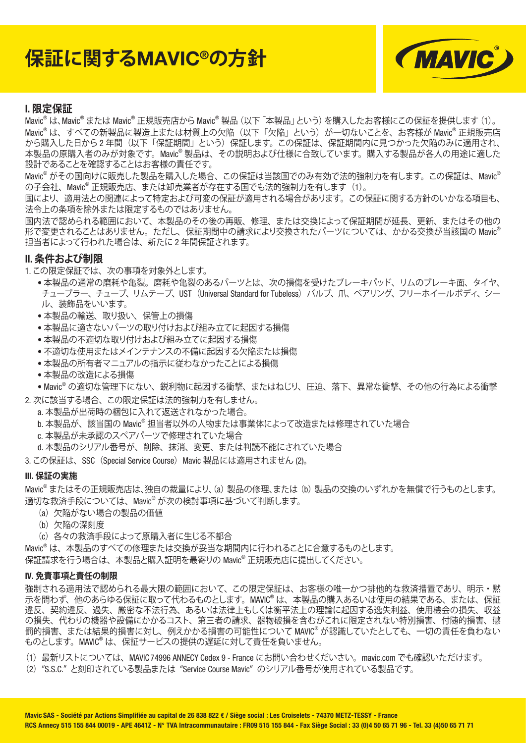# **保証に関するMAVIC®の方針**



## **I. 限定保証**

Mavic<sup>®</sup> は、Mavic<sup>®</sup> または Mavic<sup>®</sup> 正規販売店から Mavic<sup>®</sup> 製品 (以下 「本製品」という) を購入したお客様にこの保証を提供します(1)。 Mavic<sup>®</sup>は、すべての新製品に製造上または材質上の欠陥(以下「欠陥」という)が一切ないことを、お客様が Mavic<sup>®</sup> 正規販売店 から購入した日から 2 年間(以下「保証期間」という)保証します。この保証は、保証期間内に見つかった欠陥のみに適用され、 本製品の原購入者のみが対象です。Mavic® 製品は、その説明および仕様に合致しています。購入する製品が各人の用途に適した 設計であることを確認することはお客様の責任です。

Mavic® がその国向けに販売した製品を購入した場合、この保証は当該国でのみ有効で法的強制力を有します。この保証は、Mavic® の子会社、Mavic® 正規販売店、または卸売業者が存在する国でも法的強制力を有します(1)。

国により、適用法との関連によって特定および可変の保証が適用される場合があります。この保証に関する方針のいかなる項目も、 法令上の条項を除外または限定するものではありません。

国内法で認められる範囲において、本製品のその後の再販、修理、または交換によって保証期間が延長、更新、またはその他の 形で変更されることはありません。ただし、保証期間中の請求により交換されたパーツについては、かかる交換が当該国の Mavic® 担当者によって行われた場合は、新たに 2 年間保証されます。

#### **II. 条件および制限**

1. この限定保証では、次の事項を対象外とします。

- 本製品の通常の磨耗や亀裂。磨耗や亀裂のあるパーツとは、次の損傷を受けたブレーキパッド、リムのブレーキ面、タイヤ、 チューブラー、チューブ、リムテープ、UST (Universal Standard for Tubeless) バルブ、爪、ベアリング、フリーホイールボディ、シー ル、装飾品をいいます。
- 本製品の輸送、取り扱い、保管上の損傷
- 本製品に滴さないパーツの取り付けおよび組み立てに起因する損傷
- 本製品の不適切な取り付けおよび組み立てに起因する損傷
- 不適切な使用またはメインテナンスの不備に起因する欠陥または損傷
- 本製品の所有者マニュアルの指示に従わなかったことによる損傷
- 本製品の改造による損傷

• Mavic® の適切な管理下にない、鋭利物に起因する衝撃、またはねじり、圧迫、落下、異常な衝撃、その他の行為による衝撃

- 2. 次に該当する場合、この限定保証は法的強制力を有しません。
	- a. 本製品が出荷時の梱包に入れて返送されなかった場合。
	- b. 本製品が、該当国の Mavic® 担当者以外の人物または事業体によって改造または修理されていた場合
	- c. 本製品が未承認のスペアパーツで修理されていた場合
	- d. 本製品のシリアル番号が、削除、抹消、変更、または判読不能にされていた場合

3. この保証は、SSC (Special Service Course) Mavic 製品には適用されません (2)。

#### **III. 保証の実施**

Mavic® またはその正規販売店は、独自の裁量により、(a)製品の修理、または(b)製品の交換のいずれかを無償で行うものとします。 適切な救済手段については、Mavic® が次の検討事項に基づいて判断します。

- (a)欠陥がない場合の製品の価値
- (b)欠陥の深刻度
- (c)各々の救済手段によって原購入者に生じる不都合

Mavic® は、本製品のすべての修理または交換が妥当な期間内に行われることに合意するものとします。

保証請求を行う場合は、本製品と購入証明を最寄りの Mavic® 正規販売店に提出してください。

#### **IV. 免責事項と責任の制限**

強制される適用法で認められる最大限の範囲において、この限定保証は、お客様の唯一かつ排他的な救済措置であり、明示・黙 示を問わず、他のあらゆる保証に取って代わるものとします。MAVIC® は、本製品の購入あるいは使用の結果である、または、保証 違反、契約違反、過失、厳密な不法行為、あるいは法律上もしくは衡平法上の理論に起因する逸失利益、使用機会の損失、収益 の損失、代わりの機器や設備にかかるコスト、第三者の請求、器物破損を含むがこれに限定されない特別損害、付随的損害、懲 罰的損害、または結果的損害に対し、例えかかる損害の可能性について MAVIC® が認識していたとしても、一切の責任を負わない ものとします。MAVIC® は、保証サービスの提供の遅延に対して責任を負いません。

- (1)最新リストについては、MAVIC 74996 ANNECY Cedex 9 France にお問い合わせくだいさい。mavic.com でも確認いただけます。
- (2)"S.S.C." と刻印されている製品または "Service Course Mavic" のシリアル番号が使用されている製品です。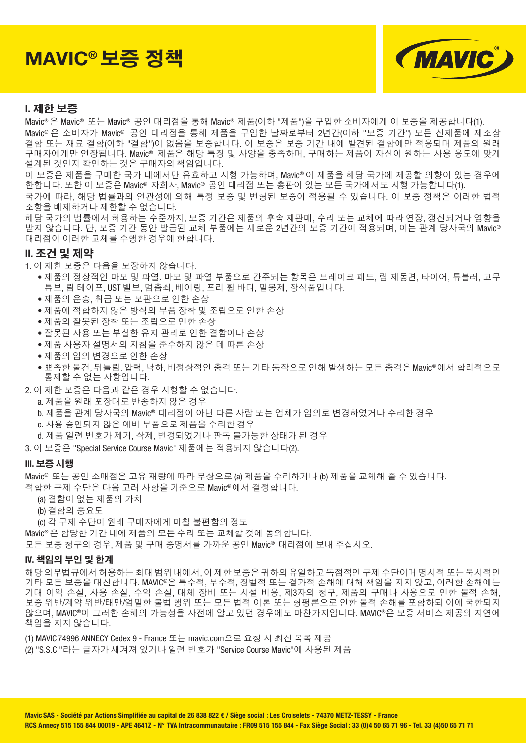# **MAVIC®** 보증 정책



# **I.** 제한 보증

Mavic® 은 Mavic® 또는 Mavic® 공인 대리점을 통해 Mavic® 제품(이하 "제품")을 구입한 소비자에게 이 보증을 제공합니다(1). Mavic® 은 소비자가 Mavic® 공인 대리점을 통해 제품을 구입한 날짜로부터 2년간(이하 "보증 기간") 모든 신제품에 제조상 결함 또는 재료 결함(이하 "결함")이 없음을 보증합니다. 이 보증은 보증 기간 내에 발견된 결함에만 적용되며 제품의 원래 구매자에게만 연장됩니다. Mavic® 제품은 해당 특징 및 사양을 충족하며, 구매하는 제품이 자신이 원하는 사용 용도에 맞게 설계된 것인지 확인하는 것은 구매자의 책임입니다.

이 보증은 제품을 구매한 국가 내에서만 유효하고 시행 가능하며, Mavic® 이 제품을 해당 국가에 제공할 의향이 있는 경우에 한합니다. 또한 이 보증은 Mavic® 자회사, Mavic® 공인 대리점 또는 총판이 있는 모든 국가에서도 시행 가능합니다(1). 국가에 따라, 해당 법률과의 연관성에 의해 특정 보증 및 변형된 보증이 적용될 수 있습니다. 이 보증 정책은 이러한 법적 조항을 배제하거나 제한할 수 없습니다.

해당 국가의 법률에서 허용하는 수준까지, 보증 기간은 제품의 후속 재판매, 수리 또는 교체에 따라 연장, 갱신되거나 영향을 받지 않습니다. 단, 보증 기간 동안 발급된 교체 부품에는 새로운 2년간의 보증 기간이 적용되며, 이는 관계 당사국의 Mavic® 대리점이 이러한 교체를 수행한 경우에 한합니다.

#### **II.** 조건 및 제약

1. 이 제한 보증은 다음을 보장하지 않습니다.

- 제품의 정상적인 마모 및 파열. 마모 및 파열 부품으로 간주되는 항목은 브레이크 패드, 림 제동면, 타이어, 튜블러, 고무 튜브, 림 테이프, UST 밸브, 멈춤쇠, 베어링, 프리 휠 바디, 밀봉제, 장식품입니다.
- 제품의 운송, 취급 또는 보관으로 인한 손상
- 제품에 적합하지 않은 방식의 부품 장착 및 조립으로 인한 손상
- 제품의 잘못된 장착 또는 조립으로 인한 손상
- 잘못된 사용 또는 부실한 유지 관리로 인한 결함이나 손상
- 제품 사용자 설명서의 지침을 준수하지 않은 데 따른 손상
- 제품의 임의 변경으로 인한 손상
- 뾰족한 물건, 뒤틀림, 압력, 낙하, 비정상적인 충격 또는 기타 동작으로 인해 발생하는 모든 충격은 Mavic® 에서 합리적으로 통제할 수 없는 사항입니다.
- 2. 이 제한 보증은 다음과 같은 경우 시행할 수 없습니다.
	- a. 제품을 원래 포장대로 반송하지 않은 경우
	- b. 제품을 관계 당사국의 Mavic® 대리점이 아닌 다른 사람 또는 업체가 임의로 변경하였거나 수리한 경우
	- c. 사용 승인되지 않은 예비 부품으로 제품을 수리한 경우
	- d. 제품 일련 번호가 제거, 삭제, 변경되었거나 판독 불가능한 상태가 된 경우
- 3. 이 보증은 "Special Service Course Mavic" 제품에는 적용되지 않습니다(2).

#### **III.** 보증 시행

Mavic® 또는 공인 소매점은 고유 재량에 따라 무상으로 (a) 제품을 수리하거나 (b) 제품을 교체해 줄 수 있습니다.

적합한 구제 수단은 다음 고려 사항을 기준으로 Mavic® 에서 결정합니다.

- (a) 결함이 없는 제품의 가치
- (b) 결함의 중요도

(c) 각 구제 수단이 원래 구매자에게 미칠 불편함의 정도

Mavic® 은 합당한 기간 내에 제품의 모든 수리 또는 교체할 것에 동의합니다.

모든 보증 청구의 경우, 제품 및 구매 증명서를 가까운 공인 Mavic® 대리점에 보내 주십시오.

#### **IV.** 책임의 부인 및 한계

해당 의무법규에서 허용하는 최대 범위 내에서, 이 제한 보증은 귀하의 유일하고 독점적인 구제 수단이며 명시적 또는 묵시적인 기타 모든 보증을 대신합니다. MAVIC®은 특수적, 부수적, 징벌적 또는 결과적 손해에 대해 책임을 지지 않고, 이러한 손해에는 기대 이익 손실, 사용 손실, 수익 손실, 대체 장비 또는 시설 비용, 제3자의 청구, 제품의 구매나 사용으로 인한 물적 손해, 보증 위반/계약 위반/태만/엄밀한 불법 행위 또는 모든 법적 이론 또는 형평론으로 인한 물적 손해를 포함하되 이에 국한되지 않으며, MAVIC®이 그러한 손해의 가능성을 사전에 알고 있던 경우에도 마찬가지입니다. MAVIC®은 보증 서비스 제공의 지연에 책임을 지지 않습니다.

(1) MAVIC 74996 ANNECY Cedex 9 - France 또는 mavic.com으로 요청 시 최신 목록 제공 (2) "S.S.C."라는 글자가 새겨져 있거나 일련 번호가 "Service Course Mavic"에 사용된 제품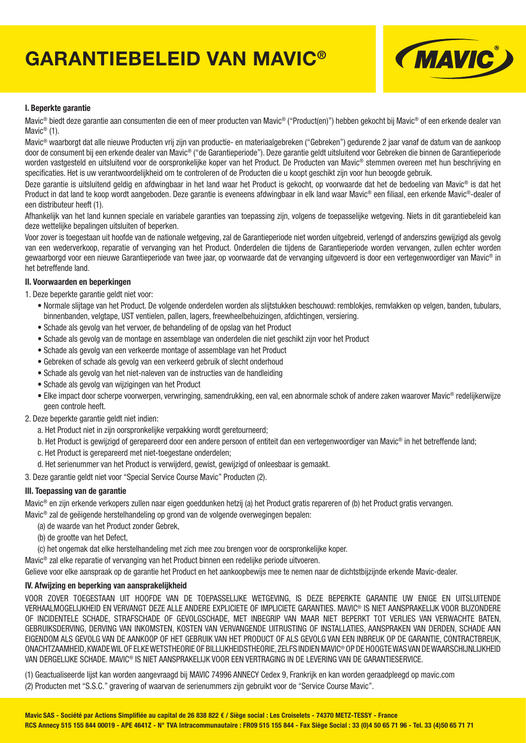# **GARANTIEBELEID VAN MAVIC®**



#### **I. Beperkte garantie**

Mavic<sup>®</sup> biedt deze garantie aan consumenten die een of meer producten van Mavic® ("Product(en)") hebben gekocht bij Mavic® of een erkende dealer van Mavic<sup>®</sup> (1).

Mavic® waarborgt dat alle nieuwe Producten vrij zijn van productie- en materiaalgebreken ("Gebreken") gedurende 2 jaar vanaf de datum van de aankoop door de consument bij een erkende dealer van Mavic® ("de Garantieperiode"). Deze garantie geldt uitsluitend voor Gebreken die binnen de Garantieperiode worden vastgesteld en uitsluitend voor de oorspronkelijke koper van het Product. De Producten van Mavic® stemmen overeen met hun beschrijving en specificaties. Het is uw verantwoordelijkheid om te controleren of de Producten die u koopt geschikt zijn voor hun beoogde gebruik.

Deze garantie is uitsluitend geldig en afdwingbaar in het land waar het Product is gekocht, op voorwaarde dat het de bedoeling van Mavic® is dat het Product in dat land te koop wordt aangeboden. Deze garantie is eveneens afdwingbaar in elk land waar Mavic® een filiaal, een erkende Mavic®-dealer of een distributeur heeft (1).

Afhankelijk van het land kunnen speciale en variabele garanties van toepassing zijn, volgens de toepasselijke wetgeving. Niets in dit garantiebeleid kan deze wettelijke bepalingen uitsluiten of beperken.

Voor zover is toegestaan uit hoofde van de nationale wetgeving, zal de Garantieperiode niet worden uitgebreid, verlengd of anderszins gewijzigd als gevolg van een wederverkoop, reparatie of vervanging van het Product. Onderdelen die tijdens de Garantieperiode worden vervangen, zullen echter worden gewaarborgd voor een nieuwe Garantieperiode van twee jaar, op voorwaarde dat de vervanging uitgevoerd is door een vertegenwoordiger van Mavic® in het betreffende land.

#### **II. Voorwaarden en beperkingen**

1. Deze beperkte garantie geldt niet voor:

- Normale slijtage van het Product. De volgende onderdelen worden als slijtstukken beschouwd: remblokjes, remvlakken op velgen, banden, tubulars, binnenbanden, velgtape, UST ventielen, pallen, lagers, freewheelbehuizingen, afdichtingen, versiering.
- Schade als gevolg van het vervoer, de behandeling of de opslag van het Product
- Schade als gevolg van de montage en assemblage van onderdelen die niet geschikt zijn voor het Product
- Schade als gevolg van een verkeerde montage of assemblage van het Product
- Gebreken of schade als gevolg van een verkeerd gebruik of slecht onderhoud
- Schade als gevolg van het niet-naleven van de instructies van de handleiding
- Schade als gevolg van wijzigingen van het Product
- Elke impact door scherpe voorwerpen, verwringing, samendrukking, een val, een abnormale schok of andere zaken waarover Mavic® redelijkerwijze geen controle heeft.
- 2. Deze beperkte garantie geldt niet indien:
	- a. Het Product niet in zijn oorspronkelijke verpakking wordt geretourneerd;
	- b. Het Product is gewijzigd of gerepareerd door een andere persoon of entiteit dan een vertegenwoordiger van Mavic® in het betreffende land;
	- c. Het Product is gerepareerd met niet-toegestane onderdelen;
	- d. Het serienummer van het Product is verwijderd, gewist, gewijzigd of onleesbaar is gemaakt.
- 3. Deze garantie geldt niet voor "Special Service Course Mavic" Producten (2).

#### **III. Toepassing van de garantie**

Mavic® en zijn erkende verkopers zullen naar eigen goeddunken hetzij (a) het Product gratis repareren of (b) het Product gratis vervangen.

Mavic® zal de geëigende herstelhandeling op grond van de volgende overwegingen bepalen:

- (a) de waarde van het Product zonder Gebrek,
- (b) de grootte van het Defect,

(c) het ongemak dat elke herstelhandeling met zich mee zou brengen voor de oorspronkelijke koper.

Mavic® zal elke reparatie of vervanging van het Product binnen een redelijke periode uitvoeren.

Gelieve voor elke aanspraak op de garantie het Product en het aankoopbewijs mee te nemen naar de dichtstbijzijnde erkende Mavic-dealer.

#### **IV. Afwijzing en beperking van aansprakelijkheid**

VOOR ZOVER TOEGESTAAN UIT HOOFDE VAN DE TOEPASSELIJKE WETGEVING, IS DEZE BEPERKTE GARANTIE UW ENIGE EN UITSLUITENDE VERHAALMOGELIJKHEID EN VERVANGT DEZE ALLE ANDERE EXPLICIETE OF IMPLICIETE GARANTIES. MAVIC® IS NIET AANSPRAKELIJK VOOR BIJZONDERE OF INCIDENTELE SCHADE, STRAFSCHADE OF GEVOLGSCHADE, MET INBEGRIP VAN MAAR NIET BEPERKT TOT VERLIES VAN VERWACHTE BATEN, GEBRUIKSDERVING, DERVING VAN INKOMSTEN, KOSTEN VAN VERVANGENDE UITRUSTING OF INSTALLATIES, AANSPRAKEN VAN DERDEN, SCHADE AAN EIGENDOM ALS GEVOLG VAN DE AANKOOP OF HET GEBRUIK VAN HET PRODUCT OF ALS GEVOLG VAN EEN INBREUK OP DE GARANTIE, CONTRACTBREUK, ONACHTZAAMHEID, KWADE WIL OF ELKE WETSTHEORIE OF BILLIJKHEIDSTHEORIE, ZELFS INDIEN MAVIC® OP DE HOOGTE WAS VAN DE WAARSCHIJNLIJKHEID VAN DERGELIJKE SCHADE. MAVIC® IS NIET AANSPRAKELIJK VOOR EEN VERTRAGING IN DE LEVERING VAN DE GARANTIESERVICE.

(1) Geactualiseerde lijst kan worden aangevraagd bij MAVIC 74996 ANNECY Cedex 9, Frankrijk en kan worden geraadpleegd op mavic.com (2) Producten met "S.S.C." gravering of waarvan de serienummers zijn gebruikt voor de "Service Course Mavic".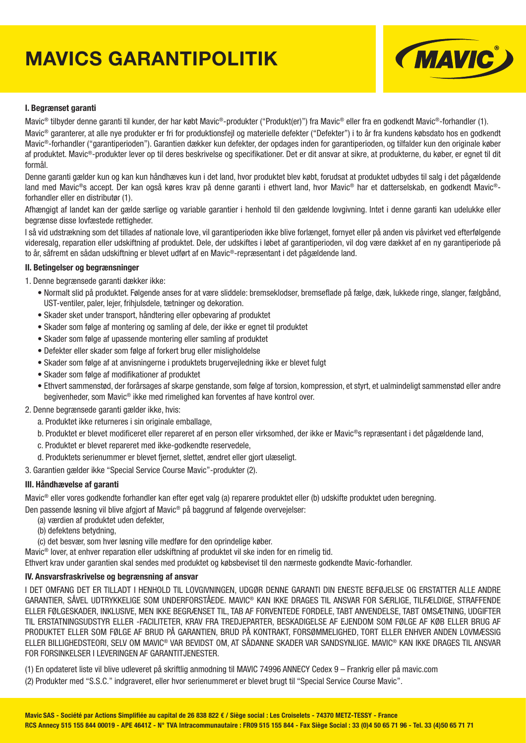# **MAVICS GARANTIPOLITIK**



#### **I. Begrænset garanti**

Mavic® tilbyder denne garanti til kunder, der har købt Mavic®-produkter ("Produkt(er)") fra Mavic® eller fra en godkendt Mavic®-forhandler (1). Mavic<sup>®</sup> garanterer, at alle nye produkter er fri for produktionsfejl og materielle defekter ("Defekter") i to år fra kundens købsdato hos en godkendt Mavic®-forhandler ("garantiperioden"). Garantien dækker kun defekter, der opdages inden for garantiperioden, og tilfalder kun den originale køber af produktet. Mavic®-produkter lever op til deres beskrivelse og specifikationer. Det er dit ansvar at sikre, at produkterne, du køber, er egnet til dit formål.

Denne garanti gælder kun og kan kun håndhæves kun i det land, hvor produktet blev købt, forudsat at produktet udbydes til salg i det pågældende land med Mavic®s accept. Der kan også køres krav på denne garanti i ethvert land, hvor Mavic® har et datterselskab, en godkendt Mavic®forhandler eller en distributør (1).

Afhængigt af landet kan der gælde særlige og variable garantier i henhold til den gældende lovgivning. Intet i denne garanti kan udelukke eller begrænse disse lovfæstede rettigheder.

I så vid udstrækning som det tillades af nationale love, vil garantiperioden ikke blive forlænget, fornyet eller på anden vis påvirket ved efterfølgende videresalg, reparation eller udskiftning af produktet. Dele, der udskiftes i løbet af garantiperioden, vil dog være dækket af en ny garantiperiode på to år, såfremt en sådan udskiftning er blevet udført af en Mavic®-repræsentant i det pågældende land.

#### **II. Betingelser og begrænsninger**

1. Denne begrænsede garanti dækker ikke:

- Normalt slid på produktet. Følgende anses for at være sliddele: bremseklodser, bremseflade på fælge, dæk, lukkede ringe, slanger, fælgbånd, UST-ventiler, paler, lejer, frihjulsdele, tætninger og dekoration.
- Skader sket under transport, håndtering eller opbevaring af produktet
- Skader som følge af montering og samling af dele, der ikke er egnet til produktet
- Skader som følge af upassende montering eller samling af produktet
- Defekter eller skader som følge af forkert brug eller misligholdelse
- Skader som følge af at anvisningerne i produktets brugervejledning ikke er blevet fulgt
- Skader som følge af modifikationer af produktet
- Ethvert sammenstød, der forårsages af skarpe genstande, som følge af torsion, kompression, et styrt, et ualmindeligt sammenstød eller andre begivenheder, som Mavic® ikke med rimelighed kan forventes af have kontrol over.

#### 2. Denne begrænsede garanti gælder ikke, hvis:

- a. Produktet ikke returneres i sin originale emballage,
- b. Produktet er blevet modificeret eller repareret af en person eller virksomhed, der ikke er Mavic®s repræsentant i det pågældende land,
- c. Produktet er blevet repareret med ikke-godkendte reservedele,
- d. Produktets serienummer er blevet fjernet, slettet, ændret eller gjort ulæseligt.
- 3. Garantien gælder ikke "Special Service Course Mavic"-produkter (2).

#### **III. Håndhævelse af garanti**

Mavic® eller vores godkendte forhandler kan efter eget valg (a) reparere produktet eller (b) udskifte produktet uden beregning.

Den passende løsning vil blive afgjort af Mavic® på baggrund af følgende overvejelser:

- (a) værdien af produktet uden defekter,
- (b) defektens betydning,
- (c) det besvær, som hver løsning ville medføre for den oprindelige køber.

Mavic® lover, at enhver reparation eller udskiftning af produktet vil ske inden for en rimelig tid.

Ethvert krav under garantien skal sendes med produktet og købsbeviset til den nærmeste godkendte Mavic-forhandler.

#### **IV. Ansvarsfraskrivelse og begrænsning af ansvar**

I DET OMFANG DET ER TILLADT I HENHOLD TIL LOVGIVNINGEN, UDGØR DENNE GARANTI DIN ENESTE BEFØJELSE OG ERSTATTER ALLE ANDRE GARANTIER, SÅVEL UDTRYKKELIGE SOM UNDERFORSTÅEDE. MAVIC® KAN IKKE DRAGES TIL ANSVAR FOR SÆRLIGE, TILFÆLDIGE, STRAFFENDE ELLER FØLGESKADER, INKLUSIVE, MEN IKKE BEGRÆNSET TIL, TAB AF FORVENTEDE FORDELE, TABT ANVENDELSE, TABT OMSÆTNING, UDGIFTER TIL ERSTATNINGSUDSTYR ELLER -FACILITETER, KRAV FRA TREDJEPARTER, BESKADIGELSE AF EJENDOM SOM FØLGE AF KØB ELLER BRUG AF PRODUKTET ELLER SOM FØLGE AF BRUD PÅ GARANTIEN, BRUD PÅ KONTRAKT, FORSØMMELIGHED, TORT ELLER ENHVER ANDEN LOVMÆSSIG ELLER BILLIGHEDSTEORI, SELV OM MAVIC® VAR BEVIDST OM, AT SÅDANNE SKADER VAR SANDSYNLIGE. MAVIC® KAN IKKE DRAGES TIL ANSVAR FOR FORSINKELSER I LEVERINGEN AF GARANTITJENESTER.

(1) En opdateret liste vil blive udleveret på skriftlig anmodning til MAVIC 74996 ANNECY Cedex 9 – Frankrig eller på mavic.com (2) Produkter med "S.S.C." indgraveret, eller hvor serienummeret er blevet brugt til "Special Service Course Mavic".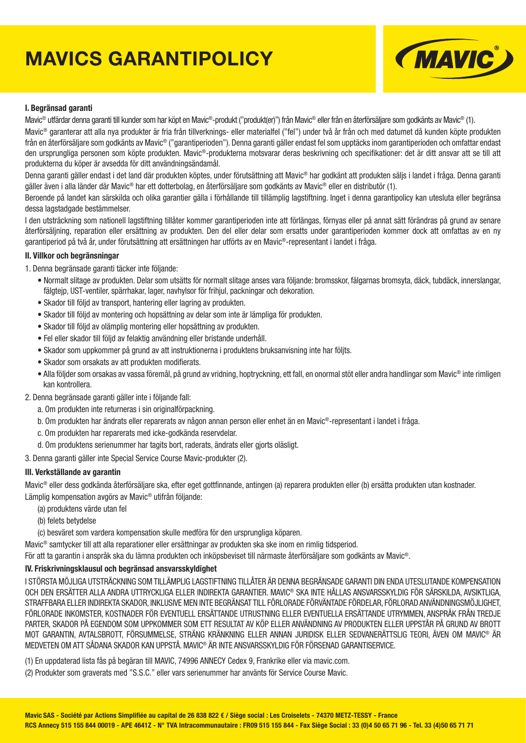# **MAVICS GARANTIPOLICY**



#### **I. Begränsad garanti**

Mavic® utfärdar denna garanti till kunder som har köpt en Mavic®-produkt ("produkt(er)") från Mavic® eller från en återförsäljare som godkänts av Mavic® (1).

Mavic® garanterar att alla nya produkter är fria från tillverknings- eller materialfel ("fel") under två år från och med datumet då kunden köpte produkten från en återförsäljare som godkänts av Mavic® ("garantiperioden"). Denna garanti gäller endast fel som upptäcks inom garantiperioden och omfattar endast den ursprungliga personen som köpte produkten. Mavic®-produkterna motsvarar deras beskrivning och specifikationer: det är ditt ansvar att se till att produkterna du köper är avsedda för ditt användningsändamål.

Denna garanti gäller endast i det land där produkten köptes, under förutsättning att Mavic® har godkänt att produkten säljs i landet i fråga. Denna garanti gäller även i alla länder där Mavic® har ett dotterbolag, en återförsäljare som godkänts av Mavic® eller en distributör (1).

Beroende på landet kan särskilda och olika garantier gälla i förhållande till tillämplig lagstiftning. Inget i denna garantipolicy kan utesluta eller begränsa dessa lagstadgade bestämmelser.

I den utsträckning som nationell lagstiftning tillåter kommer garantiperioden inte att förlängas, förnyas eller på annat sätt förändras på grund av senare återförsäljning, reparation eller ersättning av produkten. Den del eller delar som ersatts under garantiperioden kommer dock att omfattas av en ny garantiperiod på två år, under förutsättning att ersättningen har utförts av en Mavic®-representant i landet i fråga.

#### **II. Villkor och begränsningar**

1. Denna begränsade garanti täcker inte följande:

- Normalt slitage av produkten. Delar som utsätts för normalt slitage anses vara följande: bromsskor, fälgarnas bromsyta, däck, tubdäck, innerslangar, fälgtejp, UST-ventiler, spärrhakar, lager, navhylsor för frihjul, packningar och dekoration.
- Skador till följd av transport, hantering eller lagring av produkten.
- Skador till följd av montering och hopsättning av delar som inte är lämpliga för produkten.
- Skador till följd av olämplig montering eller hopsättning av produkten.
- Fel eller skador till följd av felaktig användning eller bristande underhåll.
- Skador som uppkommer på grund av att instruktionerna i produktens bruksanvisning inte har följts.
- Skador som orsakats av att produkten modifierats.
- Alla följder som orsakas av vassa föremål, på grund av vridning, hoptryckning, ett fall, en onormal stöt eller andra handlingar som Mavic® inte rimligen kan kontrollera.
- 2. Denna begränsade garanti gäller inte i följande fall:
	- a. Om produkten inte returneras i sin originalförpackning.
	- b. Om produkten har ändrats eller reparerats av någon annan person eller enhet än en Mavic®-representant i landet i fråga.
	- c. Om produkten har reparerats med icke-godkända reservdelar.
	- d. Om produktens serienummer har tagits bort, raderats, ändrats eller gjorts oläsligt.

3. Denna garanti gäller inte Special Service Course Mavic-produkter (2).

#### **III. Verkställande av garantin**

Mavic<sup>®</sup> eller dess godkända återförsäljare ska, efter eget gottfinnande, antingen (a) reparera produkten eller (b) ersätta produkten utan kostnader. Lämplig kompensation avgörs av Mavic® utifrån följande:

- (a) produktens värde utan fel
- (b) felets betydelse
- (c) besväret som vardera kompensation skulle medföra för den ursprungliga köparen.

Mavic® samtycker till att alla reparationer eller ersättningar av produkten ska ske inom en rimlig tidsperiod.

För att ta garantin i anspråk ska du lämna produkten och inköpsbeviset till närmaste återförsäljare som godkänts av Mavic®.

#### **IV. Friskrivningsklausul och begränsad ansvarsskyldighet**

I STÖRSTA MÖJLIGA UTSTRÄCKNING SOM TILLÄMPLIG LAGSTIFTNING TILLÅTER ÄR DENNA BEGRÄNSADE GARANTI DIN ENDA UTESLUTANDE KOMPENSATION OCH DEN ERSÄTTER ALLA ANDRA UTTRYCKLIGA ELLER INDIREKTA GARANTIER. MAVIC® SKA INTE HÅLLAS ANSVARSSKYLDIG FÖR SÄRSKILDA, AVSIKTLIGA, STRAFFBARA ELLER INDIREKTA SKADOR, INKLUSIVE MEN INTE BEGRÄNSAT TILL FÖRLORADE FÖRVÄNTADE FÖRDELAR, FÖRLORAD ANVÄNDNINGSMÖJLIGHET, FÖRLORADE INKOMSTER, KOSTNADER FÖR EVENTUELL ERSÄTTANDE UTRUSTNING ELLER EVENTUELLA ERSÄTTANDE UTRYMMEN, ANSPRÅK FRÅN TREDJE PARTER, SKADOR PÅ EGENDOM SOM UPPKOMMER SOM ETT RESULTAT AV KÖP ELLER ANVÄNDNING AV PRODUKTEN ELLER UPPSTÅR PÅ GRUND AV BROTT MOT GARANTIN, AVTALSBROTT, FÖRSUMMELSE, STRÄNG KRÄNKNING ELLER ANNAN JURIDISK ELLER SEDVANERÄTTSLIG TEORI, ÄVEN OM MAVIC® ÄR MEDVETEN OM ATT SÅDANA SKADOR KAN UPPSTÅ. MAVIC® ÄR INTE ANSVARSSKYLDIG FÖR FÖRSENAD GARANTISERVICE.

(1) En uppdaterad lista fås på begäran till MAVIC, 74996 ANNECY Cedex 9, Frankrike eller via mavic.com.

(2) Produkter som graverats med "S.S.C." eller vars serienummer har använts för Service Course Mavic.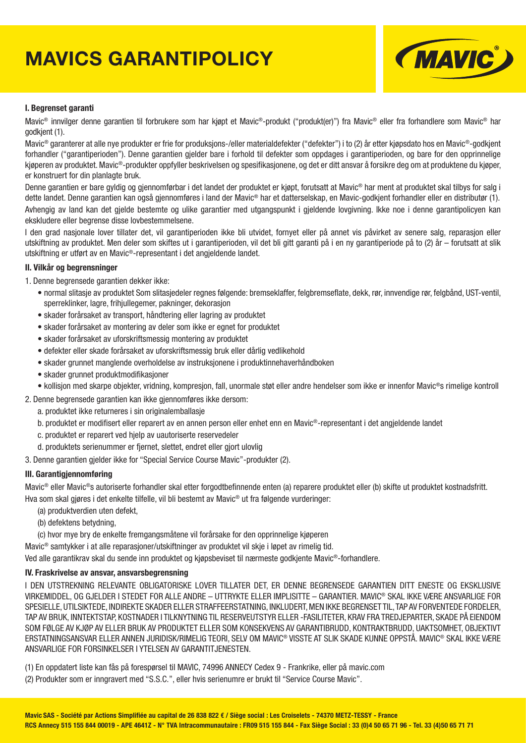# **MAVICS GARANTIPOLICY**



#### **I. Begrenset garanti**

Mavic<sup>®</sup> innvilger denne garantien til forbrukere som har kjøpt et Mavic<sup>®</sup>-produkt ("produkt(er)") fra Mavic<sup>®</sup> eller fra forhandlere som Mavic<sup>®</sup> har godkjent (1).

Mavic<sup>®</sup> garanterer at alle nye produkter er frie for produksjons-/eller materialdefekter ("defekter") i to (2) år etter kjøpsdato hos en Mavic<sup>®</sup>-godkjent forhandler ("garantiperioden"). Denne garantien gjelder bare i forhold til defekter som oppdages i garantiperioden, og bare for den opprinnelige kjøperen av produktet. Mavic®-produkter oppfyller beskrivelsen og spesifikasjonene, og det er ditt ansvar å forsikre deg om at produktene du kjøper, er konstruert for din planlagte bruk.

Denne garantien er bare gyldig og gjennomførbar i det landet der produktet er kjøpt, forutsatt at Mavic® har ment at produktet skal tilbys for salg i dette landet. Denne garantien kan også gjennomføres i land der Mavic® har et datterselskap, en Mavic-godkjent forhandler eller en distributør (1). Avhengig av land kan det gjelde bestemte og ulike garantier med utgangspunkt i gjeldende lovgivning. Ikke noe i denne garantipolicyen kan ekskludere eller begrense disse lovbestemmelsene.

I den grad nasjonale lover tillater det, vil garantiperioden ikke bli utvidet, fornyet eller på annet vis påvirket av senere salg, reparasjon eller utskiftning av produktet. Men deler som skiftes ut i garantiperioden, vil det bli gitt garanti på i en ny garantiperiode på to (2) år – forutsatt at slik utskiftning er utført av en Mavic®-representant i det angjeldende landet.

#### **II. Vilkår og begrensninger**

1. Denne begrensede garantien dekker ikke:

- normal slitasje av produktet Som slitasjedeler regnes følgende: bremseklaffer, felgbremseflate, dekk, rør, innvendige rør, felgbånd, UST-ventil, sperreklinker, lagre, frihjullegemer, pakninger, dekorasjon
- skader forårsaket av transport, håndtering eller lagring av produktet
- skader forårsaket av montering av deler som ikke er egnet for produktet
- skader forårsaket av uforskriftsmessig montering av produktet
- defekter eller skade forårsaket av uforskriftsmessig bruk eller dårlig vedlikehold
- skader grunnet manglende overholdelse av instruksjonene i produktinnehaverhåndboken
- skader grunnet produktmodifikasioner
- kollisjon med skarpe objekter, vridning, kompresjon, fall, unormale støt eller andre hendelser som ikke er innenfor Mavic®s rimelige kontroll
- 2. Denne begrensede garantien kan ikke gjennomføres ikke dersom:
	- a. produktet ikke returneres i sin originalemballasje
	- b. produktet er modifisert eller reparert av en annen person eller enhet enn en Mavic®-representant i det angjeldende landet
	- c. produktet er reparert ved hjelp av uautoriserte reservedeler
	- d. produktets serienummer er fjernet, slettet, endret eller gjort ulovlig
- 3. Denne garantien gjelder ikke for "Special Service Course Mavic"-produkter (2).

#### **III. Garantigjennomføring**

Mavic<sup>®</sup> eller Mavic<sup>®</sup>s autoriserte forhandler skal etter forgodtbefinnende enten (a) reparere produktet eller (b) skifte ut produktet kostnadsfritt. Hva som skal gjøres i det enkelte tilfelle, vil bli bestemt av Mavic® ut fra følgende vurderinger:

- (a) produktverdien uten defekt,
- (b) defektens betydning,
- (c) hvor mye bry de enkelte fremgangsmåtene vil forårsake for den opprinnelige kjøperen

Mavic® samtykker i at alle reparasjoner/utskiftninger av produktet vil skje i løpet av rimelig tid.

Ved alle garantikrav skal du sende inn produktet og kjøpsbeviset til nærmeste godkjente Mavic®-forhandlere.

#### **IV. Fraskrivelse av ansvar, ansvarsbegrensning**

I DEN UTSTREKNING RELEVANTE OBLIGATORISKE LOVER TILLATER DET, ER DENNE BEGRENSEDE GARANTIEN DITT ENESTE OG EKSKLUSIVE VIRKEMIDDEL, OG GJELDER I STEDET FOR ALLE ANDRE – UTTRYKTE ELLER IMPLISITTE – GARANTIER. MAVIC® SKAL IKKE VÆRE ANSVARLIGE FOR SPESIELLE, UTILSIKTEDE, INDIREKTE SKADER ELLER STRAFFEERSTATNING, INKLUDERT, MEN IKKE BEGRENSET TIL, TAP AV FORVENTEDE FORDELER, TAP AV BRUK, INNTEKTSTAP, KOSTNADER I TILKNYTNING TIL RESERVEUTSTYR ELLER -FASILITETER, KRAV FRA TREDJEPARTER, SKADE PÅ EIENDOM SOM FØLGE AV KJØP AV ELLER BRUK AV PRODUKTET ELLER SOM KONSEKVENS AV GARANTIBRUDD, KONTRAKTBRUDD, UAKTSOMHET, OBJEKTIVT ERSTATNINGSANSVAR ELLER ANNEN JURIDISK/RIMELIG TEORI, SELV OM MAVIC® VISSTE AT SLIK SKADE KUNNE OPPSTÅ. MAVIC® SKAL IKKE VÆRE ANSVARLIGE FOR FORSINKELSER I YTELSEN AV GARANTITJENESTEN.

(1) En oppdatert liste kan fås på forespørsel til MAVIC, 74996 ANNECY Cedex 9 - Frankrike, eller på mavic.com (2) Produkter som er inngravert med "S.S.C.", eller hvis serienumre er brukt til "Service Course Mavic".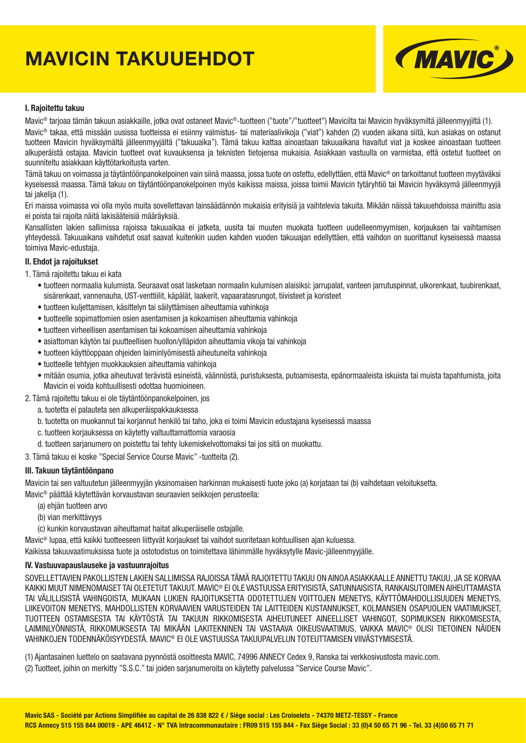# **MAVICIN TAKUUEHDOT**



#### **I. Rajoitettu takuu**

Mavic® tarjoaa tämän takuun asiakkaille, jotka ovat ostaneet Mavic®-tuotteen ("tuote"/"tuotteet") Mavicilta tai Mavicin hyväksymiltä jälleenmyyjiltä (1). Mavic® takaa, että missään uusissa tuotteissa ei esiinny valmistus- tai materiaalivikoja ("viat") kahden (2) vuoden aikana siitä, kun asiakas on ostanut tuotteen Mavicin hyväksymältä jälleenmyyjältä ("takuuaika"). Tämä takuu kattaa ainoastaan takuuaikana havaitut viat ja koskee ainoastaan tuotteen alkuperäistä ostajaa. Mavicin tuotteet ovat kuvauksensa ja teknisten tietojensa mukaisia. Asiakkaan vastuulla on varmistaa, että ostetut tuotteet on suunniteltu asiakkaan käyttötarkoitusta varten.

Tämä takuu on voimassa ja täytäntöönpanokelpoinen vain siinä maassa, jossa tuote on ostettu, edellyttäen, että Mavic® on tarkoittanut tuotteen myytäväksi kyseisessä maassa. Tämä takuu on täytäntöönpanokelpoinen myös kaikissa maissa, joissa toimii Mavicin tytäryhtiö tai Mavicin hyväksymä jälleenmyyjä tai jakelija (1).

Eri maissa voimassa voi olla myös muita sovellettavan lainsäädännön mukaisia erityisiä ja vaihtelevia takuita. Mikään näissä takuuehdoissa mainittu asia ei poista tai rajoita näitä lakisääteisiä määräyksiä.

Kansallisten lakien sallimissa rajoissa takuuaikaa ei jatketa, uusita tai muuten muokata tuotteen uudelleenmyymisen, korjauksen tai vaihtamisen yhteydessä. Takuuaikana vaihdetut osat saavat kuitenkin uuden kahden vuoden takuuajan edellyttäen, että vaihdon on suorittanut kyseisessä maassa toimiva Mavic-edustaja.

#### **II. Ehdot ja rajoitukset**

- 1. Tämä rajoitettu takuu ei kata
	- tuotteen normaalia kulumista. Seuraavat osat lasketaan normaalin kulumisen alaisiksi: jarrupalat, vanteen jarrutuspinnat, ulkorenkaat, tuubirenkaat, sisärenkaat, vannenauha, UST-venttiilit, käpälät, laakerit, vapaaratasrungot, tiivisteet ja koristeet
	- tuotteen kuljettamisen, käsittelyn tai säilyttämisen aiheuttamia vahinkoja
	- tuotteelle sopimattomien osien asentamisen ja kokoamisen aiheuttamia vahinkoja
	- tuotteen virheellisen asentamisen tai kokoamisen aiheuttamia vahinkoja
	- asiattoman käytön tai puutteellisen huollon/ylläpidon aiheuttamia vikoja tai vahinkoja
	- tuotteen käyttöoppaan ohjeiden laiminlyömisestä aiheutuneita vahinkoja
	- tuotteelle tehtyjen muokkauksien aiheuttamia vahinkoja
	- mitään osumia, jotka aiheutuvat terävistä esineistä, väännöstä, puristuksesta, putoamisesta, epänormaaleista iskuista tai muista tapahtumista, joita Mavicin ei voida kohtuullisesti odottaa huomioineen.
- 2. Tämä rajoitettu takuu ei ole täytäntöönpanokelpoinen, jos
	- a. tuotetta ei palauteta sen alkuperäispakkauksessa
	- b. tuotetta on muokannut tai korjannut henkilö tai taho, joka ei toimi Mavicin edustajana kyseisessä maassa
	- c. tuotteen korjauksessa on käytetty valtuuttamattomia varaosia
	- d. tuotteen sarjanumero on poistettu tai tehty lukemiskelvottomaksi tai jos sitä on muokattu.

3. Tämä takuu ei koske "Special Service Course Mavic" -tuotteita (2).

#### **III. Takuun täytäntöönpano**

Mavicin tai sen valtuutetun jälleenmyyjän yksinomaisen harkinnan mukaisesti tuote joko (a) korjataan tai (b) vaihdetaan veloituksetta.

Mavic® päättää käytettävän korvaustavan seuraavien seikkojen perusteella:

- (a) ehjän tuotteen arvo
- (b) vian merkittävyys
- (c) kunkin korvaustavan aiheuttamat haitat alkuperäiselle ostajalle.

Mavic® lupaa, että kaikki tuotteeseen liittyvät korjaukset tai vaihdot suoritetaan kohtuullisen ajan kuluessa.

Kaikissa takuuvaatimuksissa tuote ja ostotodistus on toimitettava lähimmälle hyväksytylle Mavic-jälleenmyyjälle.

#### **IV. Vastuuvapauslauseke ja vastuunrajoitus**

SOVELLETTAVIEN PAKOLLISTEN LAKIEN SALLIMISSA RAJOISSA TÄMÄ RAJOITETTU TAKUU ON AINOA ASIAKKAALLE ANNETTU TAKUU, JA SE KORVAA KAIKKI MUUT NIMENOMAISET TAI OLETETUT TAKUUT. MAVIC® EI OLE VASTUUSSA ERITYISISTÄ, SATUNNAISISTA, RANKAISUTOIMEN AIHEUTTAMASTA TAI VÄLILLISISTÄ VAHINGOISTA, MUKAAN LUKIEN RAJOITUKSETTA ODOTETTUJEN VOITTOJEN MENETYS, KÄYTTÖMAHDOLLISUUDEN MENETYS, LIIKEVOITON MENETYS, MAHDOLLISTEN KORVAAVIEN VARUSTEIDEN TAI LAITTEIDEN KUSTANNUKSET, KOLMANSIEN OSAPUOLIEN VAATIMUKSET, TUOTTEEN OSTAMISESTA TAI KÄYTÖSTÄ TAI TAKUUN RIKKOMISESTA AIHEUTUNEET AINEELLISET VAHINGOT, SOPIMUKSEN RIKKOMISESTA, LAIMINLYÖNNISTÄ, RIKKOMUKSESTA TAI MIKÄÄN LAKITEKNINEN TAI VASTAAVA OIKEUSVAATIMUS, VAIKKA MAVIC® OLISI TIETOINEN NÄIDEN VAHINKOJEN TODENNÄKÖISYYDESTÄ. MAVIC® EI OLE VASTUUSSA TAKUUPALVELUN TOTEUTTAMISEN VIIVÄSTYMISESTÄ.

(1) Ajantasainen luettelo on saatavana pyynnöstä osoitteesta MAVIC, 74996 ANNECY Cedex 9, Ranska tai verkkosivustosta mavic.com.

(2) Tuotteet, joihin on merkitty "S.S.C." tai joiden sarjanumeroita on käytetty palvelussa "Service Course Mavic".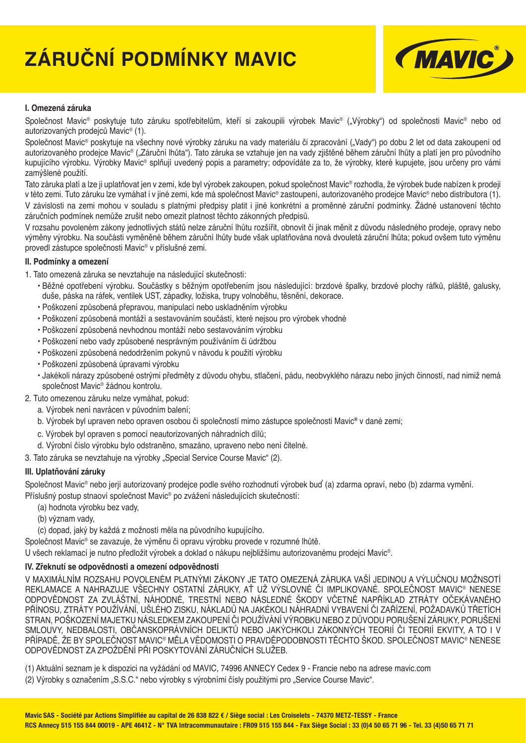# **ZÁRUČNÍ PODMÍNKY MAVIC**



### **I. Omezená záruka**

Společnost Mavic® poskytuje tuto záruku spotřebitelům, kteří si zakoupili výrobek Mavic® ("Výrobky") od společnosti Mavic® nebo od autorizovaných prodejců Mavic® (1).

Společnost Mavic® poskytuje na všechny nové výrobky záruku na vady materiálu či zpracování ("Vady") po dobu 2 let od data zakoupení od autorizovaného prodejce Mavic® ("Záruční lhůta"). Tato záruka se vztahuje jen na vady zjištěné během záruční lhůty a platí jen pro původního kupujícího výrobku. Výrobky Mavic® splňují uvedený popis a parametry; odpovídáte za to, že výrobky, které kupujete, jsou určeny pro vámi zamýšlené použití.

Tato záruka platí a lze ji uplatňovat jen v zemi, kde byl výrobek zakoupen, pokud společnost Mavic® rozhodla, že výrobek bude nabízen k prodeji v této zemi. Tuto záruku lze vymáhat i v jiné zemi, kde má společnost Mavic® zastoupení, autorizovaného prodejce Mavic® nebo distributora (1). V závislosti na zemi mohou v souladu s platnými předpisy platit i jiné konkrétní a proměnné záruční podmínky. Žádné ustanovení těchto záručních podmínek nemůže zrušit nebo omezit platnost těchto zákonných předpisů.

V rozsahu povoleném zákony jednotlivých států nelze záruční lhůtu rozšířit, obnovit či jinak měnit z důvodu následného prodeje, opravy nebo výměny výrobku. Na součásti vyměněné během záruční lhůty bude však uplatňována nová dvouletá záruční lhůta; pokud ovšem tuto výměnu provedl zástupce společnosti Mavic® v příslušné zemi.

#### **II. Podmínky a omezení**

- 1. Tato omezená záruka se nevztahuje na následující skutečnosti:
	- Běžné opotřebení výrobku. Součástky s běžným opotřebením jsou následující: brzdové špalky, brzdové plochy ráfků, pláště, galusky, duše, páska na ráfek, ventilek UST, západky, ložiska, trupy volnoběhu, těsnění, dekorace.
	- Poškození způsobená přepravou, manipulací nebo uskladněním výrobku
	- Poškození způsobená montáží a sestavováním součástí, které nejsou pro výrobek vhodné
	- Poškození způsobená nevhodnou montáží nebo sestavováním výrobku
	- Poškození nebo vady způsobené nesprávným používáním či údržbou
	- Poškození způsobená nedodržením pokynů v návodu k použití výrobku
	- Poškození způsobená úpravami výrobku
	- Jakékoli nárazy způsobené ostrými předměty z důvodu ohybu, stlačení, pádu, neobvyklého nárazu nebo jiných činností, nad nimiž nemá společnost Mavic® žádnou kontrolu.
- 2. Tuto omezenou záruku nelze vymáhat, pokud:
	- a. Výrobek není navrácen v původním balení;
	- b. Výrobek byl upraven nebo opraven osobou či společností mimo zástupce společnosti Mavic**®** v dané zemi;
	- c. Výrobek byl opraven s pomocí neautorizovaných náhradních dílů;
	- d. Výrobní číslo výrobku bylo odstraněno, smazáno, upraveno nebo není čitelné.

3. Tato záruka se nevztahuje na výrobky "Special Service Course Mavic" (2).

#### **III. Uplatňování záruky**

Společnost Mavic® nebo jerjí autorizovaný prodejce podle svého rozhodnutí výrobek buď (a) zdarma opraví, nebo (b) zdarma vymění.

Příslušný postup stnaoví společnost Mavic® po zvážení následujících skutečností:

- (a) hodnota výrobku bez vady,
- (b) význam vady,
- (c) dopad, jaký by každá z možností měla na původního kupujícího.

Společnost Mavic® se zavazuje, že výměnu či opravu výrobku provede v rozumné lhůtě.

U všech reklamací je nutno předložit výrobek a doklad o nákupu nejbližšímu autorizovanému prodejci Mavic®.

### **IV. Zřeknutí se odpovědnosti a omezení odpovědnosti**

V MAXIMÁLNÍM ROZSAHU POVOLENÉM PLATNÝMI ZÁKONY JE TATO OMEZENÁ ZÁRUKA VAŠÍ JEDINOU A VÝLUČNOU MOŽNSOTÍ REKLAMACE A NAHRAZUJE VŠECHNY OSTATNÍ ZÁRUKY, AŤ UŽ VÝSLOVNÉ ČI IMPLIKOVANÉ. SPOLEČNOST MAVIC® NENESE ODPOVĚDNOST ZA ZVLÁŠTNÍ, NÁHODNÉ, TRESTNÍ NEBO NÁSLEDNÉ ŠKODY VČETNĚ NAPŘÍKLAD ZTRÁTY OČEKÁVANÉHO PŘÍNOSU, ZTRÁTY POUŽÍVÁNÍ, UŠLÉHO ZISKU, NÁKLADŮ NA JAKÉKOLI NÁHRADNÍ VYBAVENÍ ČI ZAŘÍZENÍ, POŽADAVKŮ TŘETÍCH STRAN, POŠKOZENÍ MAJETKU NÁSLEDKEM ZAKOUPENÍ ČI POUŽÍVÁNÍ VÝROBKU NEBO Z DŮVODU PORUŠENÍ ZÁRUKY, PORUŠENÍ SMLOUVY, NEDBALOSTI, OBČANSKOPRÁVNÍCH DELIKTŮ NEBO JAKÝCHKOLI ZÁKONNÝCH TEORIÍ ČI TEORIÍ EKVITY, A TO I V PŘÍPADĚ, ŽE BY SPOLEČNOST MAVIC® MĚLA VĚDOMOSTI O PRAVDĚPODOBNOSTI TĚCHTO ŠKOD. SPOLEČNOST MAVIC® NENESE ODPOVĚDNOST ZA ZPOŽDĚNÍ PŘI POSKYTOVÁNÍ ZÁRUČNÍCH SLUŽEB.

(1) Aktuální seznam je k dispozici na vyžádání od MAVIC, 74996 ANNECY Cedex 9 - Francie nebo na adrese mavic.com (2) Výrobky s označením "S.S.C." nebo výrobky s výrobními čísly použitými pro "Service Course Mavic".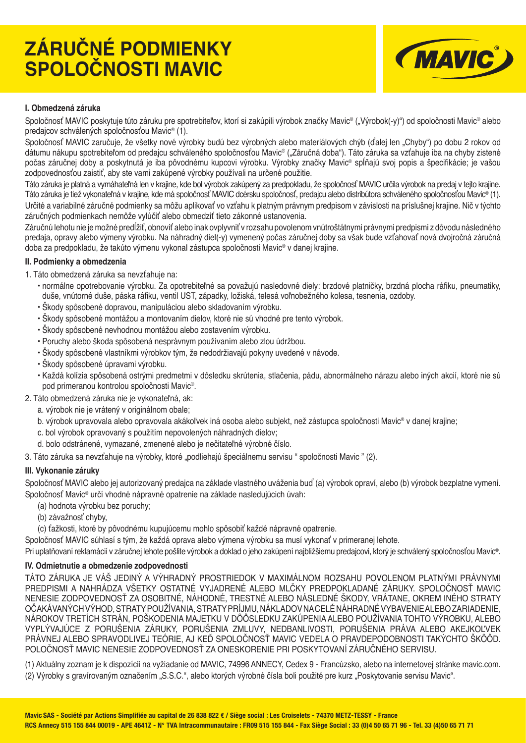# **ZÁRUČNÉ PODMIENKY SPOLOČNOSTI MAVIC**



#### **I. Obmedzená záruka**

Spoločnosť MAVIC poskytuje túto záruku pre spotrebiteľov, ktorí si zakúpili výrobok značky Mavic® ("Výrobok(-y)") od spoločnosti Mavic® alebo predajcov schválených spoločnosťou Mavic® (1).

Spoločnosť MAVIC zaručuje, že všetky nové výrobky budú bez výrobných alebo materiálových chýb (ďalej len "Chyby") po dobu 2 rokov od dátumu nákupu spotrebiteľom od predajcu schváleného spoločnosťou Mavic® ("Záručná doba"). Táto záruka sa vzťahuje iba na chyby zistené počas záručnej doby a poskytnutá je iba pôvodnému kupcovi výrobku. Výrobky značky Mavic® spĺňajú svoj popis a špecifikácie; je vašou zodpovednosťou zaistiť, aby ste vami zakúpené výrobky používali na určené použitie.

Táto záruka je platná a vymáhateľná len v krajine, kde bol výrobok zakúpený za predpokladu, že spoločnosť MAVIC určila výrobok na predaj v tejto krajine. Táto záruka je tiež vykonateľná v krajine, kde má spoločnosť MAVIC dcérsku spoločnosť, predajcu alebo distribútora schváleného spoločnosťou Mavic® (1). Určité a variabilné záručné podmienky sa môžu aplikovať vo vzťahu k platným právnym predpisom v závislosti na príslušnej krajine. Nič v týchto záručných podmienkach nemôže vylúčiť alebo obmedziť tieto zákonné ustanovenia.

Záručnú lehotu nie je možné predĺžiť, obnoviť alebo inak ovplyvniť v rozsahu povolenom vnútroštátnymi právnymi predpismi z dôvodu následného predaja, opravy alebo výmeny výrobku. Na náhradný diel(-y) vymenený počas záručnej doby sa však bude vzťahovať nová dvojročná záručná doba za predpokladu, že takúto výmenu vykonal zástupca spoločnosti Mavic® v danej krajine.

#### **II. Podmienky a obmedzenia**

- 1. Táto obmedzená záruka sa nevzťahuje na:
	- normálne opotrebovanie výrobku. Za opotrebiteľné sa považujú nasledovné diely: brzdové platničky, brzdná plocha ráfiku, pneumatiky, duše, vnútorné duše, páska ráfiku, ventil UST, západky, ložiská, telesá voľnobežného kolesa, tesnenia, ozdoby.
	- Škody spôsobené dopravou, manipuláciou alebo skladovaním výrobku.
	- Škody spôsobené montážou a montovaním dielov, ktoré nie sú vhodné pre tento výrobok.
	- Škody spôsobené nevhodnou montážou alebo zostavením výrobku.
	- Poruchy alebo škoda spôsobená nesprávnym používaním alebo zlou údržbou.
	- Škody spôsobené vlastníkmi výrobkov tým, že nedodržiavajú pokyny uvedené v návode.
	- Škody spôsobené úpravami výrobku.
	- Každá kolízia spôsobená ostrými predmetmi v dôsledku skrútenia, stlačenia, pádu, abnormálneho nárazu alebo iných akcií, ktoré nie sú pod primeranou kontrolou spoločnosti Mavic®.
- 2. Táto obmedzená záruka nie je vykonateľná, ak:
	- a. výrobok nie je vrátený v originálnom obale;
	- b. výrobok upravovala alebo opravovala akákoľvek iná osoba alebo subjekt, než zástupca spoločnosti Mavic® v danej krajine;
	- c. bol výrobok opravovaný s použitím nepovolených náhradných dielov;
	- d. bolo odstránené, vymazané, zmenené alebo je nečitateľné výrobné číslo.

3. Táto záruka sa nevzťahuje na výrobky, ktoré "podliehajú špeciálnemu servisu " spoločnosti Mavic " (2).

### **III. Vykonanie záruky**

Spoločnosť MAVIC alebo jej autorizovaný predajca na základe vlastného uváženia buď (a) výrobok opraví, alebo (b) výrobok bezplatne vymení. Spoločnosť Mavic® určí vhodné nápravné opatrenie na základe nasledujúcich úvah:

- (a) hodnota výrobku bez poruchy;
- (b) závažnosť chyby,
- (c) ťažkosti, ktoré by pôvodnému kupujúcemu mohlo spôsobiť každé nápravné opatrenie.

Spoločnosť MAVIC súhlasí s tým, že každá oprava alebo výmena výrobku sa musí vykonať v primeranej lehote.

Pri uplatňovaní reklamácií v záručnej lehote pošlite výrobok a doklad o jeho zakúpení najbližšiemu predajcovi, ktorý je schválený spoločnosťou Mavic®.

### **IV. Odmietnutie a obmedzenie zodpovednosti**

TÁTO ZÁRUKA JE VÁŠ JEDINÝ A VÝHRADNÝ PROSTRIEDOK V MAXIMÁLNOM ROZSAHU POVOLENOM PLATNÝMI PRÁVNYMI PREDPISMI A NAHRÁDZA VŠETKY OSTATNÉ VYJADRENÉ ALEBO MLČKY PREDPOKLADANÉ ZÁRUKY. SPOLOČNOSŤ MAVIC NENESIE ZODPOVEDNOSŤ ZA OSOBITNÉ, NÁHODNÉ, TRESTNÉ ALEBO NÁSLEDNÉ ŠKODY, VRÁTANE, OKREM INÉHO STRATY OČAKÁVANÝCH VÝHOD, STRATY POUŽÍVANIA, STRATY PRÍJMU, NÁKLADOV NA CELÉ NÁHRADNÉ VYBAVENIE ALEBO ZARIADENIE, NÁROKOV TRETÍCH STRÁN, POŠKODENIA MAJETKU V DȎÔSLEDKU ZAKÚPENIA ALEBO POUŽÍVANIA TOHTO VÝROBKU, ALEBO VYPLÝVAJÚCE Z PORUŠENIA ZÁRUKY, PORUŠENIA ZMLUVY, NEDBANLIVOSTI, PORUŠENIA PRÁVA ALEBO AKEJKOĽVEK PRÁVNEJ ALEBO SPRAVODLIVEJ TEÓRIE, AJ KEĎ SPOLOČNOSŤ MAVIC VEDELA O PRAVDEPODOBNOSTI TAKÝCHTO ŠKÔÔD. POLOČNOSŤ MAVIC NENESIE ZODPOVEDNOSŤ ZA ONESKORENIE PRI POSKYTOVANÍ ZÁRUČNÉHO SERVISU.

(1) Aktuálny zoznam je k dispozícii na vyžiadanie od MAVIC, 74996 ANNECY, Cedex 9 - Francúzsko, alebo na internetovej stránke mavic.com. (2) Výrobky s gravírovaným označením "S.S.C.", alebo ktorých výrobné čísla boli použité pre kurz "Poskytovanie servisu Mavic".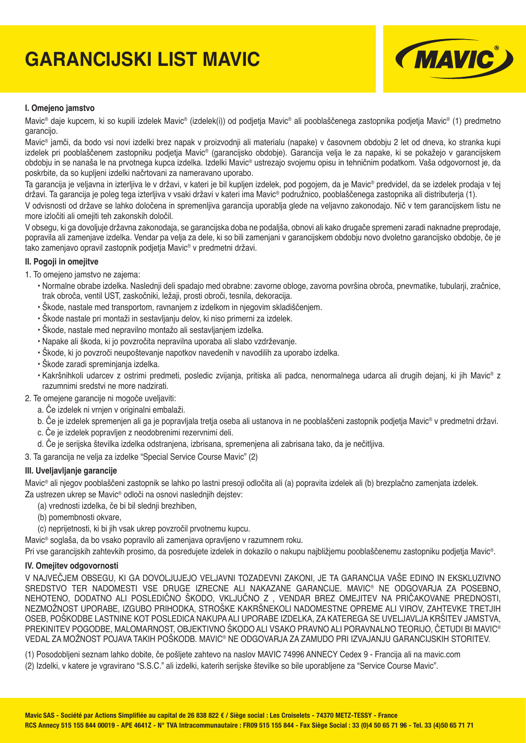# **GARANCIJSKI LIST MAVIC**



#### **I. Omejeno jamstvo**

Mavic® daje kupcem, ki so kupili izdelek Mavic® (izdelek(i)) od podjetja Mavic® ali pooblaščenega zastopnika podjetja Mavic® (1) predmetno garancijo.

Mavic® jamči, da bodo vsi novi izdelki brez napak v proizvodnji ali materialu (napake) v časovnem obdobju 2 let od dneva, ko stranka kupi izdelek pri pooblaščenem zastopniku podjetja Mavic<sup>®</sup> (garancijsko obdobje). Garancija velja le za napake, ki se pokažejo v garancijskem obdobju in se nanaša le na prvotnega kupca izdelka. Izdelki Mavic® ustrezajo svojemu opisu in tehničnim podatkom. Vaša odgovornost je, da poskrbite, da so kupljeni izdelki načrtovani za nameravano uporabo.

Ta garancija je veljavna in izterljiva le v državi, v kateri je bil kupljen izdelek, pod pogojem, da je Mavic® predvidel, da se izdelek prodaja v tej državi. Ta garancija je poleg tega izterljiva v vsaki državi v kateri ima Mavic® podružnico, pooblaščenega zastopnika ali distributerja (1).

V odvisnosti od države se lahko določena in spremenljiva garancija uporablja glede na veljavno zakonodajo. Nič v tem garancijskem listu ne more izločiti ali omejiti teh zakonskih določil.

V obsegu, ki ga dovoljuje državna zakonodaja, se garancijska doba ne podaljša, obnovi ali kako drugače spremeni zaradi naknadne preprodaje, popravila ali zamenjave izdelka. Vendar pa velja za dele, ki so bili zamenjani v garancijskem obdobju novo dvoletno garancijsko obdobje, če je tako zamenjavo opravil zastopnik podjetja Mavic® v predmetni državi.

#### **II. Pogoji in omejitve**

- 1. To omejeno jamstvo ne zajema:
	- Normalne obrabe izdelka. Naslednji deli spadajo med obrabne: zavorne obloge, zavorna površina obroča, pnevmatike, tubularji, zračnice, trak obroča, ventil UST, zaskočniki, ležaji, prosti obroči, tesnila, dekoracija.
	- Škode, nastale med transportom, ravnanjem z izdelkom in njegovim skladiščenjem.
	- Škode nastale pri montaži in sestavljanju delov, ki niso primerni za izdelek.
	- Škode, nastale med nepravilno montažo ali sestavljanjem izdelka.
	- Napake ali škoda, ki jo povzročita nepravilna uporaba ali slabo vzdrževanje.
	- Škode, ki jo povzroči neupoštevanje napotkov navedenih v navodilih za uporabo izdelka.
	- Škode zaradi spreminjanja izdelka.
	- Kakršnihkoli udarcev z ostrimi predmeti, posledic zvijanja, pritiska ali padca, nenormalnega udarca ali drugih dejanj, ki jih Mavic® z razumnimi sredstvi ne more nadzirati.
- 2. Te omejene garancije ni mogoče uveljaviti:
	- a. Če izdelek ni vrnjen v originalni embalaži.
	- b. Če je izdelek spremenjen ali ga je popravljala tretja oseba ali ustanova in ne pooblaščeni zastopnik podietia Mavic® v predmetni državi.
	- c. Če je izdelek popravljen z neodobrenimi rezervnimi deli.
	- d. Če je serijska številka izdelka odstranjena, izbrisana, spremenjena ali zabrisana tako, da je nečitljiva.
- 3. Ta garancija ne velja za izdelke "Special Service Course Mavic" (2)

#### **III. Uveljavljanje garancije**

Mavic® ali njegov pooblaščeni zastopnik se lahko po lastni presoji odločita ali (a) popravita izdelek ali (b) brezplačno zamenjata izdelek. Za ustrezen ukrep se Mavic<sup>®</sup> odloči na osnovi naslednijh dejstev:

- (a) vrednosti izdelka, če bi bil slednji brezhiben,
- (b) pomembnosti okvare,
- (c) neprijetnosti, ki bi jih vsak ukrep povzročil prvotnemu kupcu.

Mavic® soglaša, da bo vsako popravilo ali zamenjava opravljeno v razumnem roku.

Pri vse garancijskih zahtevkih prosimo, da posredujete izdelek in dokazilo o nakupu najbližjemu pooblaščenemu zastopniku podjetja Mavic®.

#### **IV. Omejitev odgovornosti**

V NAJVEČJEM OBSEGU, KI GA DOVOLJUJEJO VELJAVNI TOZADEVNI ZAKONI, JE TA GARANCIJA VAŠE EDINO IN EKSKLUZIVNO SREDSTVO TER NADOMESTI VSE DRUGE IZRECNE ALI NAKAZANE GARANCIJE. MAVIC® NE ODGOVARJA ZA POSEBNO, NEHOTENO, DODATNO ALI POSLEDIČNO ŠKODO, VKLJUČNO Z , VENDAR BREZ OMEJITEV NA PRIČAKOVANE PREDNOSTI, NEZMOŽNOST UPORABE, IZGUBO PRIHODKA, STROŠKE KAKRŠNEKOLI NADOMESTNE OPREME ALI VIROV, ZAHTEVKE TRETJIH OSEB, POŠKODBE LASTNINE KOT POSLEDICA NAKUPA ALI UPORABE IZDELKA, ZA KATEREGA SE UVELJAVLJA KRŠITEV JAMSTVA, PREKINITEV POGODBE, MALOMARNOST, OBJEKTIVNO ŠKODO ALI VSAKO PRAVNO ALI PORAVNALNO TEORIJO, ČETUDI BI MAVIC® VEDAL ZA MOŽNOST POJAVA TAKIH POŠKODB. MAVIC® NE ODGOVARJA ZA ZAMUDO PRI IZVAJANJU GARANCIJSKIH STORITEV.

(1) Posodobljeni seznam lahko dobite, če pošljete zahtevo na naslov MAVIC 74996 ANNECY Cedex 9 - Francija ali na mavic.com (2) Izdelki, v katere je vgravirano "S.S.C." ali izdelki, katerih serijske številke so bile uporabljene za "Service Course Mavic".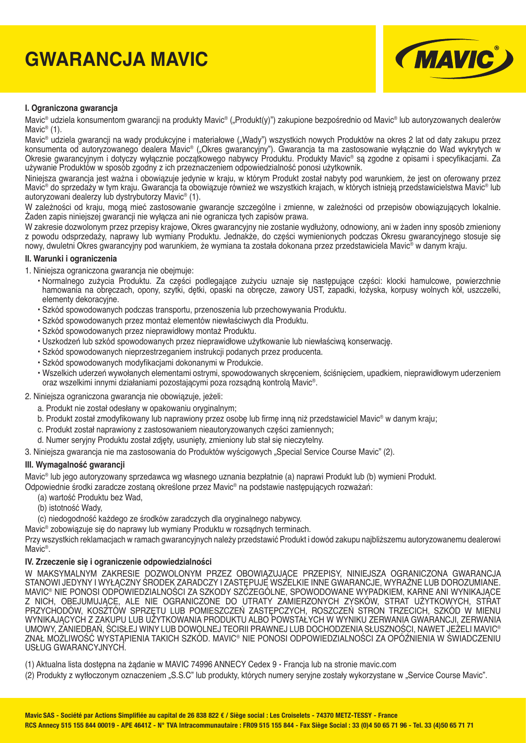# **GWARANCJA MAVIC**



#### **I. Ograniczona gwarancja**

Mavic<sup>®</sup> udziela konsumentom gwarancji na produkty Mavic<sup>®</sup> ("Produkt(y)") zakupione bezpośrednio od Mavic<sup>®</sup> lub autoryzowanych dealerów Mavic<sup>®</sup> (1).

Mavic® udziela gwarancji na wady produkcyjne i materiałowe ("Wady") wszystkich nowych Produktów na okres 2 lat od daty zakupu przez konsumenta od autoryzowanego dealera Mavic® ("Okres gwarancyjny"). Gwarancja ta ma zastosowanie wyłącznie do Wad wykrytych w Okresie gwarancyjnym i dotyczy wyłącznie początkowego nabywcy Produktu. Produkty Mavic<sup>®</sup> są zgodne z opisami i specyfikacjami. Za używanie Produktów w sposób zgodny z ich przeznaczeniem odpowiedzialność ponosi użytkownik.

Niniejsza gwarancja jest ważna i obowiązuje jedynie w kraju, w którym Produkt został nabyty pod warunkiem, że jest on oferowany przez Mavic® do sprzedaży w tym kraju. Gwarancja ta obowiązuje również we wszystkich krajach, w których istnieją przedstawicielstwa Mavic® lub autoryzowani dealerzy lub dystrybutorzy Mavic® (1).

W zależności od kraju, mogą mieć zastosowanie gwarancje szczególne i zmienne, w zależności od przepisów obowiązujących lokalnie. Żaden zapis niniejszej gwarancji nie wyłącza ani nie ogranicza tych zapisów prawa.

W zakresie dozwolonym przez przepisy krajowe, Okres gwarancyjny nie zostanie wydłużony, odnowiony, ani w żaden inny sposób zmieniony z powodu odsprzedaży, naprawy lub wymiany Produktu. Jednakże, do części wymienionych podczas Okresu gwarancyjnego stosuje się nowy, dwuletni Okres gwarancyjny pod warunkiem, że wymiana ta została dokonana przez przedstawiciela Mavic® w danym kraju.

#### **II. Warunki i ograniczenia**

1. Niniejsza ograniczona gwarancja nie obejmuje:

- Normalnego zużycia Produktu. Za części podlegające zużyciu uznaje się następujące części: klocki hamulcowe, powierzchnie hamowania na obręczach, opony, szytki, dętki, opaski na obręcze, zawory UST, zapadki, łożyska, korpusy wolnych kół, uszczelki, elementy dekoracyjne.
- Szkód spowodowanych podczas transportu, przenoszenia lub przechowywania Produktu.
- Szkód spowodowanych przez montaż elementów niewłaściwych dla Produktu.
- Szkód spowodowanych przez nieprawidłowy montaż Produktu.
- Uszkodzeń lub szkód spowodowanych przez nieprawidłowe użytkowanie lub niewłaściwą konserwację.
- Szkód spowodowanych nieprzestrzeganiem instrukcji podanych przez producenta.
- Szkód spowodowanych modyfi kacjami dokonanymi w Produkcie.
- Wszelkich uderzeń wywołanych elementami ostrymi, spowodowanych skręceniem, ściśnięciem, upadkiem, nieprawidłowym uderzeniem oraz wszelkimi innymi działaniami pozostającymi poza rozsądną kontrolą Mavic®.
- 2. Niniejsza ograniczona gwarancja nie obowiązuje, jeżeli:
	- a. Produkt nie został odesłany w opakowaniu oryginalnym;
	- b. Produkt został zmodyfikowany lub naprawiony przez osobę lub firmę inną niż przedstawiciel Mavic® w danym kraju;
	- c. Produkt został naprawiony z zastosowaniem nieautoryzowanych części zamiennych;
	- d. Numer seryjny Produktu został zdjęty, usunięty, zmieniony lub stał się nieczytelny.
- 3. Niniejsza gwarancja nie ma zastosowania do Produktów wyścigowych "Special Service Course Mavic" (2).

#### **III. Wymagalność gwarancji**

Mavic® lub jego autoryzowany sprzedawca wg własnego uznania bezpłatnie (a) naprawi Produkt lub (b) wymieni Produkt.

Odpowiednie środki zaradcze zostaną określone przez Mavic® na podstawie następujących rozważań:

- (a) wartość Produktu bez Wad,
- (b) istotność Wady,

(c) niedogodność każdego ze środków zaradczych dla oryginalnego nabywcy.

Mavic® zobowiązuje się do naprawy lub wymiany Produktu w rozsądnych terminach.

Przy wszystkich reklamacjach w ramach gwarancyjnych należy przedstawić Produkt i dowód zakupu najbliższemu autoryzowanemu dealerowi Mavic®.

#### **IV. Zrzeczenie się i ograniczenie odpowiedzialności**

W MAKSYMALNYM ZAKRESIE DOZWOLONYM PRZEZ OBOWIĄZUJĄCE PRZEPISY, NINIEJSZA OGRANICZONA GWARANCJA STANOWI JEDYNY I WYŁĄCZNY ŚRODEK ZARADCZY I ZASTĘPUJE WSZELKIE INNE GWARANCJE, WYRAŹNE LUB DOROZUMIANE. MAVIC® NIE PONOSI ODPOWIEDZIALNOŚCI ZA SZKODY SZCZEGÓLNE, SPOWODOWANE WYPADKIEM, KARNE ANI WYNIKAJĄCE Z NICH, OBEJUMUJĄCE, ALE NIE OGRANICZONE DO UTRATY ZAMIERZONYCH ZYSKÓW, STRAT UŻYTKOWYCH, STRAT PRZYCHODÓW, KOSZTÓW SPRZĘTU LUB POMIESZCZEŃ ZASTĘPCZYCH, ROSZCZEŃ STRON TRZECICH, SZKÓD W MIENU WYNIKAJĄCYCH Z ZAKUPU LUB UŻYTKOWANIA PRODUKTU ALBO POWSTAŁYCH W WYNIKU ZERWANIA GWARANCJI, ZERWANIA UMOWY, ZANIEDBAŃ, ŚCISŁEJ WINY LUB DOWOLNEJ TEORII PRAWNEJ LUB DOCHODZENIA SŁUSZNOŚCI, NAWET JEŻELI MAVIC® ZNAŁ MOŻLIWOŚĆ WYSTĄPIENIA TAKICH SZKÓD. MAVIC® NIE PONOSI ODPOWIEDZIALNOŚCI ZA OPÓŹNIENIA W ŚWIADCZENIU USŁUG GWARANCYJNYCH.

(1) Aktualna lista dostępna na żądanie w MAVIC 74996 ANNECY Cedex 9 - Francja lub na stronie mavic.com

(2) Produkty z wytłoczonym oznaczeniem "S.S.C" lub produkty, których numery seryjne zostały wykorzystane w "Service Course Mavic".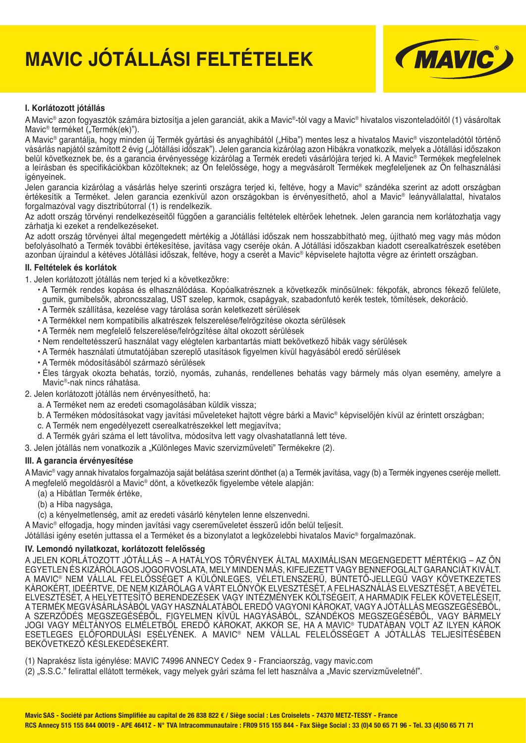# **MAVIC JÓTÁLLÁSI FELTÉTELEK**



#### **I. Korlátozott jótállás**

A Mavic® azon fogyasztók számára biztosítja a jelen garanciát, akik a Mavic®-tól vagy a Mavic® hivatalos viszonteladóitól (1) vásároltak Mavic<sup>®</sup> terméket ("Termék(ek)").

A Mavic<sup>®</sup> garantálja, hogy minden új Termék gyártási és anyaghibától ("Hiba") mentes lesz a hivatalos Mavic<sup>®</sup> viszonteladótól történő vásárlás napjától számított 2 évig ("Jótállási időszak"). Jelen garancia kizárólag azon Hibákra vonatkozik, melyek a Jótállási időszakon belül következnek be, és a garancia érvényessége kizárólag a Termék eredeti vásárlójára terjed ki. A Mavic® Termékek megfelelnek a leírásban és specifikációkban közölteknek; az Ön felelőssége, hogy a megvásárolt Termékek megfeleljenek az Ön felhasználási igényeinek.

Jelen garancia kizárólag a vásárlás helye szerinti országra terjed ki, feltéve, hogy a Mavic® szándéka szerint az adott országban értékesítik a Terméket. Jelen garancia ezenkívül azon országokban is érvényesíthető, ahol a Mavic® leányvállalattal, hivatalos forgalmazóval vagy disztribútorral (1) is rendelkezik.

Az adott ország törvényi rendelkezéseitől függően a garanciális feltételek eltérőek lehetnek. Jelen garancia nem korlátozhatja vagy zárhatja ki ezeket a rendelkezéseket.

Az adott ország törvényei által megengedett mértékig a Jótállási időszak nem hosszabbítható meg, újítható meg vagy más módon befolyásolható a Termék további értékesítése, javítása vagy cseréje okán. A Jótállási időszakban kiadott cserealkatrészek esetében azonban újraindul a kétéves Jótállási időszak, feltéve, hogy a cserét a Mavic® képviselete hajtotta végre az érintett országban.

#### **II. Feltételek és korlátok**

1. Jelen korlátozott jótállás nem terjed ki a következőkre:

- A Termék rendes kopása és elhasználódása. Kopóalkatrésznek a következők minősülnek: fékpofák, abroncs fékező felülete, gumik, gumibelsők, abroncsszalag, UST szelep, karmok, csapágyak, szabadonfutó kerék testek, tömítések, dekoráció.
- A Termék szállítása, kezelése vagy tárolása során keletkezett sérülések
- A Termékkel nem kompatibilis alkatrészek felszerelése/felrögzítése okozta sérülések
- A Termék nem megfelelő felszerelése/felrögzítése által okozott sérülések
- Nem rendeltetésszerű használat vagy elégtelen karbantartás miatt bekövetkező hibák vagy sérülések
- A Termék használati útmutatójában szereplő utasítások figyelmen kívül hagyásából eredő sérülések
- A Termék módosításából származó sérülések
- Éles tárgyak okozta behatás, torzió, nyomás, zuhanás, rendellenes behatás vagy bármely más olyan esemény, amelyre a Mavic®-nak nincs ráhatása.
- 2. Jelen korlátozott jótállás nem érvényesíthető, ha:
	- a. A Terméket nem az eredeti csomagolásában küldik vissza;
	- b. A Terméken módosításokat vagy javítási műveleteket hajtott végre bárki a Mavic® képviselőjén kívül az érintett országban;
	- c. A Termék nem engedélyezett cserealkatrészekkel lett megjavítva;
	- d. A Termék gyári száma el lett távolítva, módosítva lett vagy olvashatatlanná lett téve.
- 3. Jelen jótállás nem vonatkozik a "Különleges Mavic szervizműveleti" Termékekre (2).

#### **III. A garancia érvényesítése**

A Mavic® vagy annak hivatalos forgalmazója saját belátása szerint dönthet (a) a Termék javítása, vagy (b) a Termék ingyenes cseréje mellett. A megfelelő megoldásról a Mavic® dönt, a következők figyelembe vétele alapján:

- (a) a Hibátlan Termék értéke,
- (b) a Hiba nagysága,
- (c) a kényelmetlenség, amit az eredeti vásárló kénytelen lenne elszenvedni.

A Mavic® elfogadja, hogy minden javítási vagy csereműveletet ésszerű időn belül teljesít.

Jótállási igény esetén juttassa el a Terméket és a bizonylatot a legközelebbi hivatalos Mavic® forgalmazónak.

#### **IV. Lemondó nyilatkozat, korlátozott felelősség**

A JELEN KORLÁTOZOTT JÓTÁLLÁS – A HATÁLYOS TÖRVÉNYEK ÁLTAL MAXIMÁLISAN MEGENGEDETT MÉRTÉKIG – AZ ÖN EGYETLEN ÉS KIZÁRÓLAGOS JOGORVOSLATA, MELY MINDEN MÁS, KIFEJEZETT VAGY BENNEFOGLALT GARANCIÁT KIVÁLT. A MAVIC® NEM VALLAL FELELÖSSÉGET A KÜLÖNLEGES, VELETLENSZERŰ, BÜNTETŐ-JELLEGŰ VAGY KÖVETKEZETES KAROKÉRT, IDEÉRTVE, DE NEM KIZAROLAG A VÁRT ELÖNYÖK ELVESZTÉSET, A FELHASZNÁLAS ELVESZTÉSÉT, A BEVÉTEL ELVESZTÉSÉT, A HELYETTESÍTŐ BERENDEZÉSEK VAGY INTÉZMÉNYEK KÖLTSÉGEIT, A HARMADIK FELEK KÖVETELÉSEIT, A TERMÉK MEGVÁSÁRLÁSÁBÓL VAGY HASZNÁLATÁBÓL EREDŐ VAGYONI KÁROKAT, VAGY A JÓTÁLLÁS MEGSZEGÉSÉBŐL, A SZERZŐDÉS MEGSZEGÉSÉBŐL, FIGYELMEN KÍVÜL HAGYÁSÁBÓL, SZÁNDÉKOS MEGSZEGÉSÉBŐL, VAGY BÁRMELY JOGI VAGY MÉLTÁNYOS ELMÉLETBŐL EREDŐ KÁROKAT, AKKOR SE, HA A MAVIC® TUDATÁBAN VOLT AZ ILYEN KÁROK ESETLEGES ELŐFORDULÁSI ESÉLYÉNEK. A MAVIC® NEM VÁLLAL FELELŐSSÉGET A JÓTÁLLÁS TELJESÍTÉSÉBEN BEKÖVETKEZŐ KÉSLEKEDÉSEKÉRT.

(1) Naprakész lista igénylése: MAVIC 74996 ANNECY Cedex 9 - Franciaország, vagy mavic.com

(2) "S.S.C." felirattal ellátott termékek, vagy melyek gyári száma fel lett használva a "Mavic szervizműveletnél".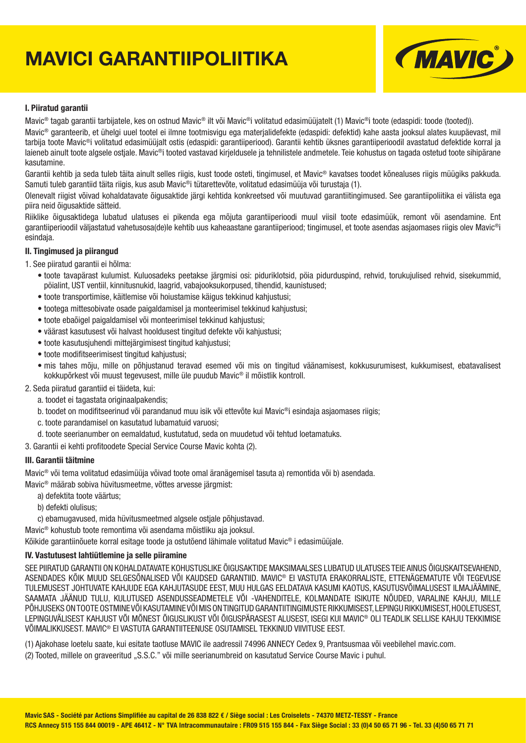# **MAVICI GARANTIIPOLIITIKA**



#### **I. Piiratud garantii**

Mavic<sup>®</sup> tagab garantii tarbijatele, kes on ostnud Mavic<sup>®</sup> ilt või Mavic<sup>®</sup>i volitatud edasimüüjatelt (1) Mavic<sup>®</sup>i toote (edaspidi: toode (tooted)).

Mavic® garanteerib, et ühelgi uuel tootel ei ilmne tootmisvigu ega materjalidefekte (edaspidi: defektid) kahe aasta jooksul alates kuupäevast, mil tarbija toote Mavic®i volitatud edasimüüjalt ostis (edaspidi: garantiiperiood). Garantii kehtib üksnes garantiiperioodil avastatud defektide korral ja laieneb ainult toote algsele ostiale. Mavic<sup>®</sup>i tooted vastavad kirjeldusele ja tehnilistele andmetele. Teie kohustus on tagada ostetud toote sihipärane kasutamine.

Garantii kehtib ja seda tuleb täita ainult selles riigis, kust toode osteti, tingimusel, et Mavic® kavatses toodet kõnealuses riigis müügiks pakkuda. Samuti tuleb garantiid täita riigis, kus asub Mavic®i tütarettevõte, volitatud edasimüüja või turustaja (1).

Olenevalt riigist võivad kohaldatavate õigusaktide järgi kehtida konkreetsed või muutuvad garantiitingimused. See garantiipoliitika ei välista ega piira neid õigusaktide sätteid.

Riiklike õigusaktidega lubatud ulatuses ei pikenda ega mõjuta garantiiperioodi muul viisil toote edasimüük, remont või asendamine. Ent garantiiperioodil väljastatud vahetusosa(de)le kehtib uus kaheaastane garantiiperiood; tingimusel, et toote asendas asjaomases riigis olev Mavic®i esindaja.

#### **II. Tingimused ja piirangud**

1. See piiratud garantii ei hõlma:

- toote tavapärast kulumist. Kuluosadeks peetakse järgmisi osi: piduriklotsid, pöia pidurduspind, rehvid, torukujulised rehvid, sisekummid, pöialint, UST ventiil, kinnitusnukid, laagrid, vabajooksukorpused, tihendid, kaunistused;
- toote transportimise, käitlemise või hoiustamise käigus tekkinud kahjustusi;
- tootega mittesobivate osade paigaldamisel ja monteerimisel tekkinud kahjustusi;
- toote ebaõigel paigaldamisel või monteerimisel tekkinud kahjustusi;
- väärast kasutusest või halvast hooldusest tingitud defekte või kahjustusi;
- toote kasutusjuhendi mittejärgimisest tingitud kahjustusi;
- toote modifitseerimisest tingitud kahjustusi:
- mis tahes mõju, mille on põhjustanud teravad esemed või mis on tingitud väänamisest, kokkusurumisest, kukkumisest, ebatavalisest kokkupõrkest või muust tegevusest, mille üle puudub Mavic® il mõistlik kontroll.

#### 2. Seda piiratud garantiid ei täideta, kui:

- a. toodet ei tagastata originaalpakendis;
- b. toodet on modifitseerinud või parandanud muu isik või ettevõte kui Mavic®i esindaja asjaomases riigis;
- c. toote parandamisel on kasutatud lubamatuid varuosi;
- d. toote seerianumber on eemaldatud, kustutatud, seda on muudetud või tehtud loetamatuks.
- 3. Garantii ei kehti profitoodete Special Service Course Mavic kohta (2).

#### **III. Garantii täitmine**

Mavic® või tema volitatud edasimüüja võivad toote omal äranägemisel tasuta a) remontida või b) asendada.

Mavic® määrab sobiva hüvitusmeetme, võttes arvesse järgmist:

- a) defektita toote väärtus;
- b) defekti olulisus;
- c) ebamugavused, mida hüvitusmeetmed algsele ostjale põhjustavad.

Mavic® kohustub toote remontima või asendama mõistliku aja jooksul.

Kõikide garantiinõuete korral esitage toode ja ostutõend lähimale volitatud Mavic® i edasimüüjale.

### **IV. Vastutusest lahtiütlemine ja selle piiramine**

SEE PIIRATUD GARANTII ON KOHALDATAVATE KOHUSTUSLIKE ÕIGUSAKTIDE MAKSIMAALSES LUBATUD ULATUSES TEIE AINUS ÕIGUSKAITSEVAHEND, ASENDADES KÕIK MUUD SELGESÕNALISED VÕI KAUDSED GARANTIID. MAVIC® EI VASTUTA ERAKORRALISTE, ETTENÄGEMATUTE VÕI TEGEVUSE TULEMUSEST JOHTUVATE KAHJUDE EGA KAHJUTASUDE EEST, MUU HULGAS EELDATAVA KASUMI KAOTUS, KASUTUSVÕIMALUSEST ILMAJÄÄMINE, SAAMATA JÄÄNUD TULU, KULUTUSED ASENDUSSEADMETELE VÕI -VAHENDITELE, KOLMANDATE ISIKUTE NÕUDED, VARALINE KAHJU, MILLE PÕHJUSEKS ON TOOTE OSTMINE VÕI KASUTAMINE VÕI MIS ON TINGITUD GARANTIITINGIMUSTE RIKKUMISEST, LEPINGU RIKKUMISEST, HOOLETUSEST, LEPINGUVÄLISEST KAHJUST VÕI MÕNEST ÕIGUSLIKUST VÕI ÕIGUSPÄRASEST ALUSEST, ISEGI KUI MAVIC® OLI TEADLIK SELLISE KAHJU TEKKIMISE VÕIMALIKKUSEST. MAVIC® EI VASTUTA GARANTIITEENUSE OSUTAMISEL TEKKINUD VIIVITUSE EEST.

(1) Ajakohase loetelu saate, kui esitate taotluse MAVIC ile aadressil 74996 ANNECY Cedex 9, Prantsusmaa või veebilehel mavic.com.

(2) Tooted, millele on graveeritud "S.S.C." või mille seerianumbreid on kasutatud Service Course Mavic i puhul.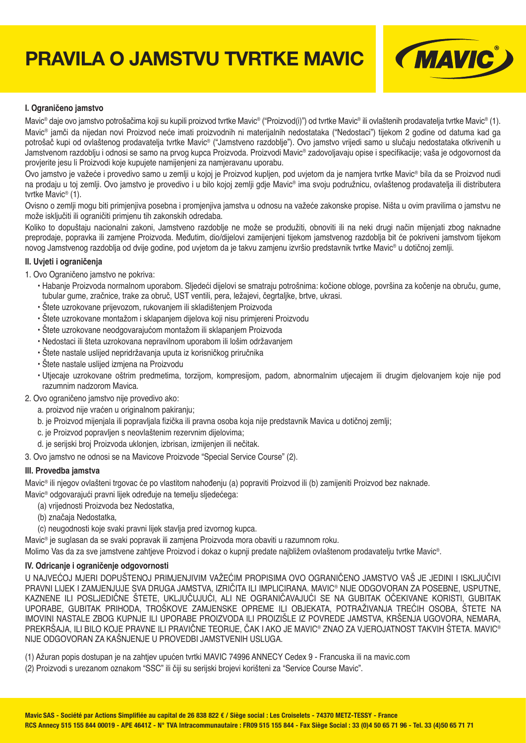# **PRAVILA O JAMSTVU TVRTKE MAVIC**



#### **I. Ograničeno jamstvo**

Mavic® daje ovo jamstvo potrošačima koji su kupili proizvod tvrtke Mavic® ("Proizvod(i)") od tvrtke Mavic® ili ovlaštenih prodavatelja tvrtke Mavic® (1). Mavic® jamči da nijedan novi Proizvod neće imati proizvodnih ni materijalnih nedostataka ("Nedostaci") tijekom 2 godine od datuma kad ga potrošač kupi od ovlaštenog prodavatelja tvrtke Mavic® ("Jamstveno razdoblje"). Ovo jamstvo vrijedi samo u slučaju nedostataka otkrivenih u Jamstvenom razdoblju i odnosi se samo na prvog kupca Proizvoda. Proizvodi Mavic® zadovoljavaju opise i specifi kacije; vaša je odgovornost da provjerite jesu li Proizvodi koje kupujete namijenjeni za namjeravanu uporabu.

Ovo jamstvo je važeće i provedivo samo u zemlji u kojoj je Proizvod kupljen, pod uvjetom da je namjera tvrtke Mavic® bila da se Proizvod nudi na prodaju u toj zemlji. Ovo jamstvo je provedivo i u bilo kojoj zemlji gdje Mavic® ima svoju podružnicu, ovlaštenog prodavatelja ili distributera tvrtke Mavic® (1).

Ovisno o zemlji mogu biti primjenjiva posebna i promjenjiva jamstva u odnosu na važeće zakonske propise. Ništa u ovim pravilima o jamstvu ne može isključiti ili ograničiti primjenu tih zakonskih odredaba.

Koliko to dopuštaju nacionalni zakoni, Jamstveno razdoblje ne može se produžiti, obnoviti ili na neki drugi način mijenjati zbog naknadne preprodaje, popravka ili zamjene Proizvoda. Međutim, dio/dijelovi zamijenjeni tijekom jamstvenog razdoblja bit će pokriveni jamstvom tijekom novog Jamstvenog razdoblja od dvije godine, pod uvjetom da je takvu zamjenu izvršio predstavnik tvrtke Mavic® u dotičnoj zemlji.

#### **II. Uvjeti i ograničenja**

- 1. Ovo Ograničeno jamstvo ne pokriva:
	- Habanje Proizvoda normalnom uporabom. Sljedeći dijelovi se smatraju potrošnima: kočione obloge, površina za kočenje na obruču, gume, tubular gume, zračnice, trake za obruč, UST ventili, pera, ležajevi, čegrtaljke, brtve, ukrasi.
	- Štete uzrokovane prijevozom, rukovanjem ili skladištenjem Proizvoda
	- Štete uzrokovane montažom i sklapanjem dijelova koji nisu primjereni Proizvodu
	- Štete uzrokovane neodgovarajućom montažom ili sklapanjem Proizvoda
	- Nedostaci ili šteta uzrokovana nepravilnom uporabom ili lošim održavanjem
	- Štete nastale uslijed nepridržavanja uputa iz korisničkog priručnika
	- Štete nastale uslijed izmjena na Proizvodu
	- Utjecaje uzrokovane oštrim predmetima, torzijom, kompresijom, padom, abnormalnim utjecajem ili drugim djelovanjem koje nije pod razumnim nadzorom Mavica.
- 2. Ovo ograničeno jamstvo nije provedivo ako:
	- a. proizvod nije vraćen u originalnom pakiranju;
	- b. je Proizvod mijenjala ili popravljala fizička ili pravna osoba koja nije predstavnik Mavica u dotičnoj zemlji:
	- c. je Proizvod popravljen s neovlaštenim rezervnim dijelovima;
	- d. je serijski broj Proizvoda uklonjen, izbrisan, izmijenjen ili nečitak.

3. Ovo jamstvo ne odnosi se na Mavicove Proizvode "Special Service Course" (2).

#### **III. Provedba jamstva**

Mavic® ili njegov ovlašteni trgovac će po vlastitom nahođenju (a) popraviti Proizvod ili (b) zamijeniti Proizvod bez naknade.

- Mavic® odgovarajući pravni lijek određuje na temelju sljedećega:
	- (a) vrijednosti Proizvoda bez Nedostatka,
	- (b) značaja Nedostatka,
	- (c) neugodnosti koje svaki pravni lijek stavlja pred izvornog kupca.

Mavic® je suglasan da se svaki popravak ili zamjena Proizvoda mora obaviti u razumnom roku.

Molimo Vas da za sve jamstvene zahtjeve Proizvod i dokaz o kupnji predate najbližem ovlaštenom prodavatelju tvrtke Mavic®.

### **IV. Odricanje i ograničenje odgovornosti**

U NAJVEĆOJ MJERI DOPUŠTENOJ PRIMJENJIVIM VAŽEĆIM PROPISIMA OVO OGRANIČENO JAMSTVO VAŠ JE JEDINI I ISKLJUČIVI PRAVNI LIJEK I ZAMJENJUJE SVA DRUGA JAMSTVA, IZRIČITA ILI IMPLICIRANA. MAVIC® NIJE ODGOVORAN ZA POSEBNE, USPUTNE, KAZNENE ILI POSLJEDIČNE ŠTETE, UKLJUČUJUĆI, ALI NE OGRANIČAVAJUĆI SE NA GUBITAK OČEKIVANE KORISTI, GUBITAK UPORABE, GUBITAK PRIHODA, TROŠKOVE ZAMJENSKE OPREME ILI OBJEKATA, POTRAŽIVANJA TREĆIH OSOBA, ŠTETE NA IMOVINI NASTALE ZBOG KUPNJE ILI UPORABE PROIZVODA ILI PROIZIŠLE IZ POVREDE JAMSTVA, KRŠENJA UGOVORA, NEMARA, PREKRŠAJA, ILI BILO KOJE PRAVNE ILI PRAVIČNE TEORIJE, ČAK I AKO JE MAVIC® ZNAO ZA VJEROJATNOST TAKVIH ŠTETA. MAVIC® NIJE ODGOVORAN ZA KAŠNJENJE U PROVEDBI JAMSTVENIH USLUGA.

(1) Ažuran popis dostupan je na zahtjev upućen tvrtki MAVIC 74996 ANNECY Cedex 9 - Francuska ili na mavic.com

(2) Proizvodi s urezanom oznakom "SSC" ili čiji su serijski brojevi korišteni za "Service Course Mavic".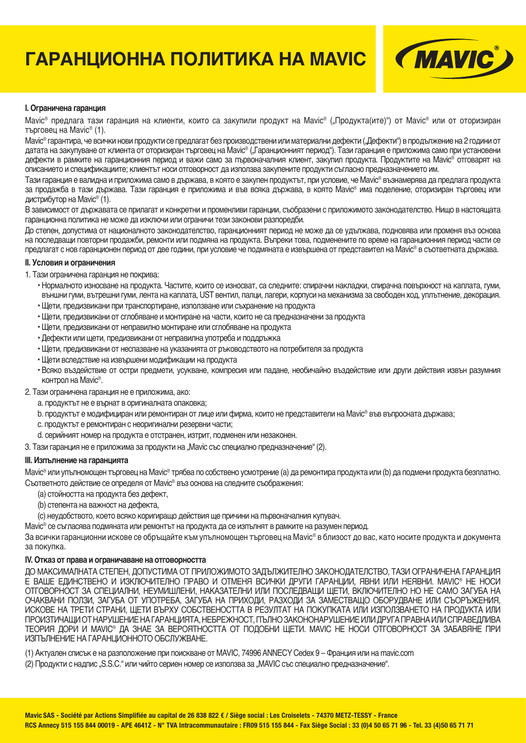# **ГАРАНЦИОННА ПОЛИТИКА НА MAVIC**



#### **I. Ограничена гаранция**

Маvic® предлага тази гаранция на клиенти, които са закупили продукт на Mavic® ("Продукта(ите)") от Mavic® или от оторизиран търговец на Mavic® (1).

Маvic® гарантира, че всички нови продукти се предлагат без производствени или материални дефекти ("Дефекти") в продължение на 2 години от датата на закупуване от клиента от оторизиран търговец на Mavic® ("Гаранционният период"). Тази гаранция е приложима само при установени дефекти в рамките на гаранционния период и важи само за първоначалния клиент, закупил продукта. Продуктите на Mavic® отговарят на описанието и спецификациите; клиентът носи отговорност да използва закупените продукти съгласно предназначението им.

Тази гаранция е валидна и приложима само в държава, в която е закупен продуктът, при условие, че Mavic® възнамерява да предлага продукта за продажба в тази държава. Тази гаранция е приложима и във всяка държава, в която Mavic® има поделение, оторизиран търговец или дистрибутор на Mavic® (1).

В зависимост от държавата се прилагат и конкретни и променливи гаранции, съобразени с приложимото законодателство. Нищо в настоящата гаранционна политика не може да изключи или ограничи тези законови разпоредби.

До степен, допустима от националното законодателство, гаранционният период не може да се удължава, подновява или променя въз основа на последващи повторни продажби, ремонти или подмяна на продукта. Въпреки това, подменените по време на гаранционния период части се предлагат с нов гаранционен период от две години, при условие че подмяната е извършена от представител на Mavic® в съответната държава.

#### **II. Условия и ограничения**

#### 1. Тази ограничена гаранция не покрива:

- Нормалното износване на продукта. Частите, които се износват, са следните: спирачни накладки, спирачна повърхност на каплата, гуми, външни гуми, вътрешни гуми, лента на каплата, UST вентил, палци, лагери, корпуси на механизма за свободен ход, уплътнение, декорация.
- Щети, предизвикани при транспортиране, използване или съхранение на продукта
- Щети, предизвикани от сглобяване и монтиране на части, които не са предназначени за продукта
- Щети, предизвикани от неправилно монтиране или сглобяване на продукта
- Дефекти или щети, предизвикани от неправилна употреба и поддръжка
- Щети, предизвикани от неспазване на указанията от ръководството на потребителя за продукта
- Щети вследствие на извършени модификации на продукта
- Всяко въздействие от остри предмети, усукване, компресия или падане, необичайно въздействие или други действия извън разумния контрол на Mavic®.

2. Тази ограничена гаранция не е приложима, ако:

- a. продуктът не е върнат в оригиналната опаковка;
- b. продуктът е модифициран или ремонтиран от лице или фирма, които не представители на Mavic® във въпросната държава;
- c. продуктът е ремонтиран с неоригинални резервни части;
- d. серийният номер на продукта е отстранен, изтрит, подменен или незаконен.
- 3. Тази гаранция не е приложима за продукти на "Mavic със специално предназначение" (2).

#### **III. Изпълнение на гаранцията**

Mavic® или упълномощен търговец на Mavic® трябва по собствено усмотрение (a) да ремонтира продукта или (b) да подмени продукта безплатно. Съответното действие се определя от Mavic® въз основа на следните съображения:

- (a) стойността на продукта без дефект,
- (b) степента на важност на дефекта,
- (c) неудобството, което всяко коригиращо действия ще причини на първоначалния купувач.

Mavic® се съгласява подмяната или ремонтът на продукта да се изпълнят в рамките на разумен период.

За всички гаранционни искове се обръщайте към упълномощен търговец на Mavic® в близост до вас, като носите продукта и документа за покупка.

#### **IV. Отказ от права и ограничаване на отговорността**

ДО МАКСИМАЛНАТА СТЕПЕН, ДОПУСТИМА ОТ ПРИЛОЖИМОТО ЗАДЪЛЖИТЕЛНО ЗАКОНОДАТЕЛСТВО, ТАЗИ ОГРАНИЧЕНА ГАРАНЦИЯ Е ВАШЕ ЕДИНСТВЕНО И ИЗКЛЮЧИТЕЛНО ПРАВО И ОТМЕНЯ ВСИЧКИ ДРУГИ ГАРАНЦИИ, ЯВНИ ИЛИ НЕЯВНИ. MAVIC® НЕ НОСИ ОТГОВОРНОСТ ЗА СПЕЦИАЛНИ, НЕУМИШЛЕНИ, НАКАЗАТЕЛНИ ИЛИ ПОСЛЕДВАЩИ ЩЕТИ, ВКЛЮЧИТЕЛНО НО НЕ САМО ЗАГУБА НА ОЧАКВАНИ ПОЛЗИ, ЗАГУБА ОТ УПОТРЕБА, ЗАГУБА НА ПРИХОДИ, РАЗХОДИ ЗА ЗАМЕСТВАЩО ОБОРУДВАНЕ ИЛИ СЪОРЪЖЕНИЯ, ИСКОВЕ НА ТРЕТИ СТРАНИ, ЩЕТИ ВЪРХУ СОБСТВЕНОСТТА В РЕЗУЛТАТ НА ПОКУПКАТА ИЛИ ИЗПОЛЗВАНЕТО НА ПРОДУКТА ИЛИ ПРОИЗТИЧАЩИ ОТ НАРУШЕНИЕ НА ГАРАНЦИЯТА, НЕБРЕЖНОСТ, ПЪЛНО ЗАКОНОНАРУШЕНИЕ ИЛИ ДРУГА ПРАВНА ИЛИ СПРАВЕДЛИВА ТЕОРИЯ ДОРИ И MAVIC® ДА ЗНАЕ ЗА ВЕРОЯТНОСТТА ОТ ПОДОБНИ ЩЕТИ. MAVIC НЕ НОСИ ОТГОВОРНОСТ ЗА ЗАБАВЯНЕ ПРИ ИЗПЪЛНЕНИЕ НА ГАРАНЦИОННОТО ОБСЛУЖВАНЕ.

(1) Актуален списък е на разположение при поискване от MAVIC, 74996 ANNECY Cedex 9 – Франция или на mavic.com

(2) Продукти с надпис "S.S.C." или чийто сериен номер се използва за "MAVIC със специално предназначение".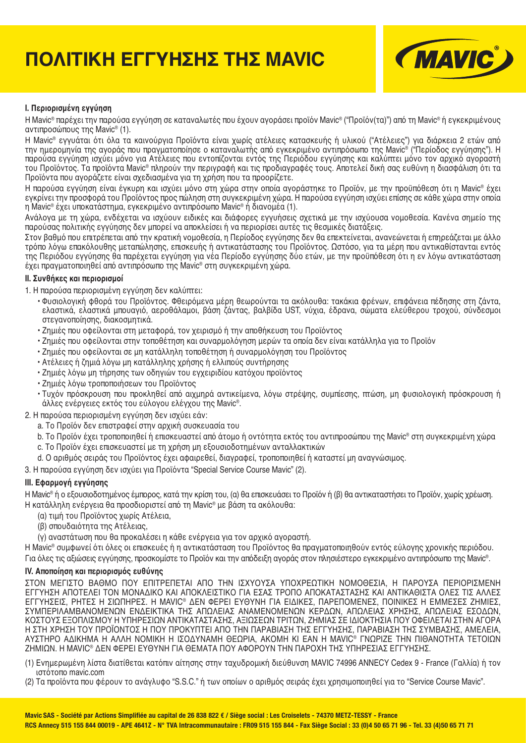# **ΠΟΛΙΤΙΚΗ ΕΓΓΥΗΣΗΣ ΤΗΣ MAVIC**



#### **I. Περιορισμένη εγγύηση**

Η Mavic® παρέχει την παρούσα εγγύηση σε καταναλωτές που έχουν αγοράσει προϊόν Mavic® ("Προϊόν(τα)") από τη Mavic® ή εγκεκριμένους αντιπροσώπους της Mavic® (1).

Η Mavic® εγγυάται ότι όλα τα καινούργια Προϊόντα είναι χωρίς ατέλειες κατασκευής ή υλικού ("Ατέλειες") για διάρκεια 2 ετών από την ημερομηνία της αγοράς που πραγματοποίησε ο καταναλωτής από εγκεκριμένο αντιπρόσωπο της Mavic® ("Περίοδος εγγύησης"). Η παρούσα εγγύηση ισχύει μόνο για Ατέλειες που εντοπίζονται εντός της Περιόδου εγγύησης και καλύπτει μόνο τον αρχικό αγοραστή του Προϊόντος. Τα προϊόντα Mavic® πληρούν την περιγραφή και τις προδιαγραφές τους. Αποτελεί δική σας ευθύνη η διασφάλιση ότι τα Προϊόντα που αγοράζετε είναι σχεδιασμένα για τη χρήση που τα προορίζετε.

Η παρούσα εγγύηση είναι έγκυρη και ισχύει μόνο στη χώρα στην οποία αγοράστηκε το Προϊόν, με την προϋπόθεση ότι η Mavic® έχει εγκρίνει την προσφορά του Προϊόντος προς πώληση στη συγκεκριμένη χώρα. Η παρούσα εγγύηση ισχύει επίσης σε κάθε χώρα στην οποία η Mavic® έχει υποκατάστημα, εγκεκριμένο αντιπρόσωπο Mavic® ή διανομέα (1).

Ανάλογα με τη χώρα, ενδέχεται να ισχύουν ειδικές και διάφορες εγγυήσεις σχετικά με την ισχύουσα νομοθεσία. Κανένα σημείο της παρούσας πολιτικής εγγύησης δεν μπορεί να αποκλείσει ή να περιορίσει αυτές τις θεσμικές διατάξεις.

Στον βαθμό που επιτρέπεται από την κρατική νομοθεσία, η Περίοδος εγγύησης δεν θα επεκτείνεται, ανανεώνεται ή επηρεάζεται με άλλο τρόπο λόγω επακόλουθης μεταπώλησης, επισκευής ή αντικατάστασης του Προϊόντος. Ωστόσο, για τα μέρη που αντικαθίστανται εντός της Περιόδου εγγύησης θα παρέχεται εγγύηση για νέα Περίοδο εγγύησης δύο ετών, με την προϋπόθεση ότι η εν λόγω αντικατάσταση έχει πραγματοποιηθεί από αντιπρόσωπο της Mavic® στη συγκεκριμένη χώρα.

#### **II. Συνθήκες και περιορισμοί**

- 1. Η παρούσα περιορισμένη εγγύηση δεν καλύπτει:
	- Φυσιολογική φθορά του Προϊόντος. Φθειρόμενα μέρη θεωρούνται τα ακόλουθα: τακάκια φρένων, επιφάνεια πέδησης στη ζάντα, ελαστικά, ελαστικά μπουαγιό, αεροθάλαμοι, βάση ζάντας, βαλβίδα UST, νύχια, έδρανα, σώματα ελεύθερου τροχού, σύνδεσμοι στεγανοποίησης, διακοσμητικά.
	- Ζημιές που οφείλονται στη μεταφορά, τον χειρισμό ή την αποθήκευση του Προϊόντος
	- Ζημιές που οφείλονται στην τοποθέτηση και συναρμολόγηση μερών τα οποία δεν είναι κατάλληλα για το Προϊόν
	- Ζημιές που οφείλονται σε μη κατάλληλη τοποθέτηση ή συναρμολόγηση του Προϊόντος
	- Ατέλειες ή ζημιά λόγω μη κατάλληλης χρήσης ή ελλιπούς συντήρησης
	- Ζημιές λόγω μη τήρησης των οδηγιών του εγχειριδίου κατόχου προϊόντος
	- Ζημιές λόγω τροποποιήσεων του Προϊόντος
	- Τυχόν πρόσκρουση που προκληθεί από αιχμηρά αντικείμενα, λόγω στρέψης, συμπίεσης, πτώση, μη φυσιολογική πρόσκρουση ή άλλες ενέργειες εκτός του εύλογου ελέγχου της Mavic®.
- 2. Η παρούσα περιορισμένη εγγύηση δεν ισχύει εάν:
	- a. Το Προϊόν δεν επιστραφεί στην αρχική συσκευασία του
	- b. Το Προϊόν έχει τροποποιηθεί ή επισκευαστεί από άτομο ή οντότητα εκτός του αντιπροσώπου της Mavic® στη συγκεκριμένη χώρα
	- c. Το Προϊόν έχει επισκευαστεί με τη χρήση μη εξουσιοδοτημένων ανταλλακτικών
	- d. Ο αριθμός σειράς του Προϊόντος έχει αφαιρεθεί, διαγραφεί, τροποποιηθεί ή καταστεί μη αναγνώσιμος.

3. Η παρούσα εγγύηση δεν ισχύει για Προϊόντα "Special Service Course Mavic" (2).

#### **III. Εφαρμογή εγγύησης**

Η Mavic® ή ο εξουσιοδοτημένος έμπορος, κατά την κρίση του, (α) θα επισκευάσει το Προϊόν ή (β) θα αντικαταστήσει το Προϊόν, χωρίς χρέωση. Η κατάλληλη ενέργεια θα προσδιοριστεί από τη Mavic® με βάση τα ακόλουθα:

- (α) τιμή του Προϊόντος χωρίς Ατέλεια,
- (β) σπουδαιότητα της Ατέλειας,
- (γ) αναστάτωση που θα προκαλέσει η κάθε ενέργεια για τον αρχικό αγοραστή.

Η Mavic® συμφωνεί ότι όλες οι επισκευές ή η αντικατάσταση του Προϊόντος θα πραγματοποιηθούν εντός εύλογης χρονικής περιόδου. Για όλες τις αξιώσεις εγγύησης, προσκομίστε το Προϊόν και την απόδειξη αγοράς στον πλησιέστερο εγκεκριμένο αντιπρόσωπο της Mavic®.

#### **IV. Αποποίηση και περιορισμός ευθύνης**

ΣΤΟΝ ΜΕΓΙΣΤΟ ΒΑΘΜΟ ΠΟΥ ΕΠΙΤΡΕΠΕΤΑΙ ΑΠΟ ΤΗΝ ΙΣΧΥΟΥΣΑ ΥΠΟΧΡΕΩΤΙΚΗ ΝΟΜΟΘΕΣΙΑ, Η ΠΑΡΟΥΣΑ ΠΕΡΙΟΡΙΣΜΕΝΗ ΕΓΓΥΗΣΗ ΑΠΟΤΕΛΕΙ ΤΟΝ ΜΟΝΑΔΙΚΟ ΚΑΙ ΑΠΟΚΛΕΙΣΤΙΚΟ ΓΙΑ ΕΣΑΣ ΤΡΟΠΟ ΑΠΟΚΑΤΑΣΤΑΣΗΣ ΚΑΙ ΑΝΤΙΚΑΘΙΣΤΑ ΟΛΕΣ ΤΙΣ ΑΛΛΕΣ ΕΓΓΥΗΣΕΙΣ, ΡΗΤΕΣ Η ΣΙΩΠΗΡΕΣ. Η MAVIC® ΔΕΝ ΦΕΡΕΙ ΕΥΘΥΝΗ ΓΙΑ ΕΙΔΙΚΕΣ, ΠΑΡΕΠΟΜΕΝΕΣ, ΠΟΙΝΙΚΕΣ Η ΕΜΜΕΣΕΣ ΖΗΜΙΕΣ, ΣΥΜΠΕΡΙΛΑΜΒΑΝΟΜΕΝΩΝ ΕΝΔΕΙΚΤΙΚΑ ΤΗΣ ΑΠΩΛΕΙΑΣ ΑΝΑΜΕΝΟΜΕΝΩΝ ΚΕΡΔΩΝ, ΑΠΩΛΕΙΑΣ ΧΡΗΣΗΣ, ΑΠΩΛΕΙΑΣ ΕΣΟΔΩΝ, ΚΟΣΤΟΥΣ ΕΞΟΠΛΙΣΜΟΥ Η ΥΠΗΡΕΣΙΩΝ ΑΝΤΙΚΑΤΑΣΤΑΣΗΣ, ΑΞΙΩΣΕΩΝ ΤΡΙΤΩΝ, ΖΗΜΙΑΣ ΣΕ ΙΔΙΟΚΤΗΣΙΑ ΠΟΥ ΟΦΕΙΛΕΤΑΙ ΣΤΗΝ ΑΓΟΡΑ Η ΣΤΗ ΧΡΗΣΗ ΤΟΥ ΠΡΟΪΟΝΤΟΣ Η ΠΟΥ ΠΡΟΚΥΠΤΕΙ ΑΠΟ ΤΗΝ ΠΑΡΑΒΙΑΣΗ ΤΗΣ ΕΓΓΥΗΣΗΣ, ΠΑΡΑΒΙΑΣΗ ΤΗΣ ΣΥΜΒΑΣΗΣ, ΑΜΕΛΕΙΑ, ΑΥΣΤΗΡΟ ΑΔΙΚΗΜΑ Η ΑΛΛΗ ΝΟΜΙΚΗ Η ΙΣΟΔΥΝΑΜΗ ΘΕΩΡΙΑ, ΑΚΟΜΗ ΚΙ ΕΑΝ Η MAVIC® ΓΝΩΡΙΖΕ ΤΗΝ ΠΙΘΑΝΟΤΗΤΑ ΤΕΤΟΙΩΝ ΖΗΜΙΩΝ. Η MAVIC® ΔΕΝ ΦΕΡΕΙ ΕΥΘΥΝΗ ΓΙΑ ΘΕΜΑΤΑ ΠΟΥ ΑΦΟΡΟΥΝ ΤΗΝ ΠΑΡΟΧΗ ΤΗΣ ΥΠΗΡΕΣΙΑΣ ΕΓΓΥΗΣΗΣ.

- (1) Ενημερωμένη λίστα διατίθεται κατόπιν αίτησης στην ταχυδρομική διεύθυνση MAVIC 74996 ANNECY Cedex 9 France (Γαλλία) ή τον ιστότοπο mavic.com
- (2) Τα προϊόντα που φέρουν το ανάγλυφο "S.S.C." ή των οποίων ο αριθμός σειράς έχει χρησιμοποιηθεί για το "Service Course Mavic".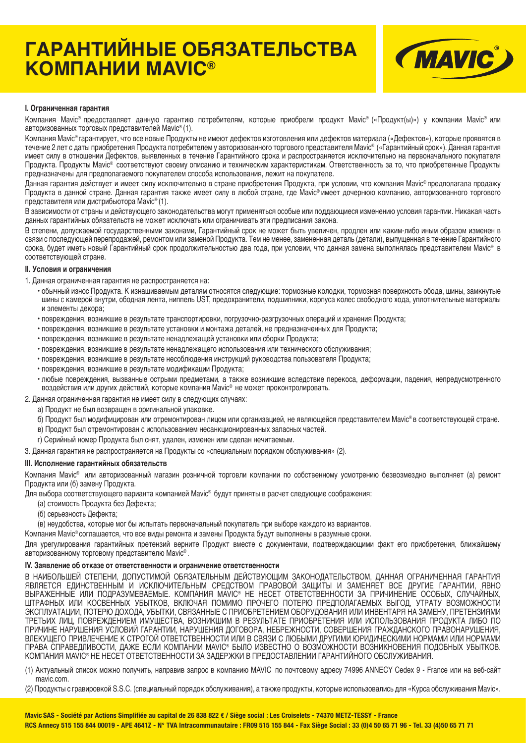# **ГАРАНТИЙНЫЕ ОБЯЗАТЕЛЬСТВА КОМПАНИИ MAVIC®**



#### **I. Ограниченная гарантия**

Компания Mavic® предоставляет данную гарантию потребителям, которые приобрели продукт Mavic® («Продукт(ы)») у компании Mavic® или авторизованных торговых представителей Mavic® (1).

Компания Mavic® гарантирует, что все новые Продукты не имеют дефектов изготовления или дефектов материала («Дефектов»), которые проявятся в течение 2 лет с даты приобретения Продукта потребителем у авторизованного торгового представителя Mavic® («Гарантийный срок»). Данная гарантия имеет силу в отношении Дефектов, выявленных в течение Гарантийного срока и распространяется исключительно на первоначального покупателя Продукта. Продукты Mavic® соответствуют своему описанию и техническим характеристикам. Ответственность за то, что приобретенные Продукты предназначены для предполагаемого покупателем способа использования, лежит на покупателе.

Данная гарантия действует и имеет силу исключительно в стране приобретения Продукта, при условии, что компания Mavic® предполагала продажу Продукта в данной стране. Данная гарантия также имеет силу в любой стране, где Mavic® имеет дочернюю компанию, авторизованного торгового представителя или дистрибьютора Mavic® (1).

В зависимости от страны и действующего законодательства могут применяться особые или поддающиеся изменению условия гарантии. Никакая часть данных гарантийных обязательств не может исключать или ограничивать эти предписания закона.

В степени, допускаемой государственными законами, Гарантийный срок не может быть увеличен, продлен или каким-либо иным образом изменен в связи с последующей перепродажей, ремонтом или заменой Продукта. Тем не менее, замененная деталь (детали), выпущенная в течение Гарантийного срока, будет иметь новый Гарантийный срок продолжительностью два года, при условии, что данная замена выполнялась представителем Mavic® в соответствующей стране.

#### **II. Условия и ограничения**

1. Данная ограниченная гарантия не распространяется на:

- обычный износ Продукта. К изнашиваемым деталям относятся следующие: тормозные колодки, тормозная поверхность обода, шины, замкнутые шины с камерой внутри, ободная лента, ниппель UST, предохранители, подшипники, корпуса колес свободного хода, уплотнительные материалы и элементы декора;
- повреждения, возникшие в результате транспортировки, погрузочно-разгрузочных операций и хранения Продукта;
- повреждения, возникшие в результате установки и монтажа деталей, не предназначенных для Продукта;
- повреждения, возникшие в результате ненадлежащей установки или сборки Продукта;
- повреждения, возникшие в результате ненадлежащего использования или технического обслуживания;
- повреждения, возникшие в результате несоблюдения инструкций руководства пользователя Продукта;
- повреждения, возникшие в результате модификации Продукта;
- любые повреждения, вызванные острыми предметами, а также возникшие вследствие перекоса, деформации, падения, непредусмотренного воздействия или других действий, которые компания Mavic® не может проконтролировать.
- 2. Данная ограниченная гарантия не имеет силу в следующих случаях:
	- а) Продукт не был возвращен в оригинальной упаковке.
	- б) Продукт был модифицирован или отремонтирован лицом или организацией, не являющейся представителем Mavic® в соответствующей стране.
	- в) Продукт был отремонтирован с использованием несанкционированных запасных частей.
	- г) Серийный номер Продукта был снят, удален, изменен или сделан нечитаемым.

3. Данная гарантия не распространяется на Продукты со «специальным порядком обслуживания» (2).

#### **III. Исполнение гарантийных обязательств**

Компания Mavic® или авторизованный магазин розничной торговли компании по собственному усмотрению безвозмездно выполняет (а) ремонт Продукта или (б) замену Продукта.

Для выбора соответствующего варианта компанией Mavic® будут приняты в расчет следующие соображения:

(а) стоимость Продукта без Дефекта;

(б) серьезность Дефекта;

(в) неудобства, которые мог бы испытать первоначальный покупатель при выборе каждого из вариантов.

Компания Mavic® соглашается, что все виды ремонта и замены Продукта будут выполнены в разумные сроки.

Для урегулирования гарантийных претензий верните Продукт вместе с документами, подтверждающими факт его приобретения, ближайшему авторизованному торговому представителю Mavic® .

#### **IV. Заявление об отказе от ответственности и ограничение ответственности**

В НАИБОЛЬШЕЙ СТЕПЕНИ, ДОПУСТИМОЙ ОБЯЗАТЕЛЬНЫМ ДЕЙСТВУЮЩИМ ЗАКОНОДАТЕЛЬСТВОМ, ДАННАЯ ОГРАНИЧЕННАЯ ГАРАНТИЯ ЯВЛЯЕТСЯ ЕДИНСТВЕННЫМ И ИСКЛЮЧИТЕЛЬНЫМ СРЕДСТВОМ ПРАВОВОЙ ЗАЩИТЫ И ЗАМЕНЯЕТ ВСЕ ДРУГИЕ ГАРАНТИИ, ЯВНО ВЫРАЖЕННЫЕ ИЛИ ПОДРАЗУМЕВАЕМЫЕ. КОМПАНИЯ MAVIC® НЕ НЕСЕТ ОТВЕТСТВЕННОСТИ ЗА ПРИЧИНЕНИЕ ОСОБЫХ, СЛУЧАЙНЫХ, ШТРАФНЫХ ИЛИ КОСВЕННЫХ УБЫТКОВ, ВКЛЮЧАЯ ПОМИМО ПРОЧЕГО ПОТЕРЮ ПРЕДПОЛАГАЕМЫХ ВЫГОД, УТРАТУ ВОЗМОЖНОСТИ ЭКСПЛУАТАЦИИ, ПОТЕРЮ ДОХОДА, УБЫТКИ, СВЯЗАННЫЕ С ПРИОБРЕТЕНИЕМ ОБОРУДОВАНИЯ ИЛИ ИНВЕНТАРЯ НА ЗАМЕНУ, ПРЕТЕНЗИЯМИ ТРЕТЬИХ ЛИЦ, ПОВРЕЖДЕНИЕМ ИМУЩЕСТВА, ВОЗНИКШИМ В РЕЗУЛЬТАТЕ ПРИОБРЕТЕНИЯ ИЛИ ИСПОЛЬЗОВАНИЯ ПРОДУКТА ЛИБО ПО ПРИЧИНЕ НАРУШЕНИЯ УСЛОВИЙ ГАРАНТИИ, НАРУШЕНИЯ ДОГОВОРА, НЕБРЕЖНОСТИ, СОВЕРШЕНИЯ ГРАЖДАНСКОГО ПРАВОНАРУШЕНИЯ, ВЛЕКУЩЕГО ПРИВЛЕЧЕНИЕ К СТРОГОЙ ОТВЕТСТВЕННОСТИ ИЛИ В СВЯЗИ С ЛЮБЫМИ ДРУГИМИ ЮРИДИЧЕСКИМИ НОРМАМИ ИЛИ НОРМАМИ ПРАВА СПРАВЕДЛИВОСТИ, ДАЖЕ ЕСЛИ КОМПАНИИ MAVIC® БЫЛО ИЗВЕСТНО О ВОЗМОЖНОСТИ ВОЗНИКНОВЕНИЯ ПОДОБНЫХ УБЫТКОВ. КОМПАНИЯ MAVIC® НЕ НЕСЕТ ОТВЕТСТВЕННОСТИ ЗА ЗАДЕРЖКИ В ПРЕДОСТАВЛЕНИИ ГАРАНТИЙНОГО ОБСЛУЖИВАНИЯ.

(1) Актуальный список можно получить, направив запрос в компанию MAVIC по почтовому адресу 74996 ANNECY Cedex 9 - France или на веб-сайт mavic.com.

(2) Продукты с гравировкой S.S.C. (специальный порядок обслуживания), а также продукты, которые использовались для «Курса обслуживания Mavic».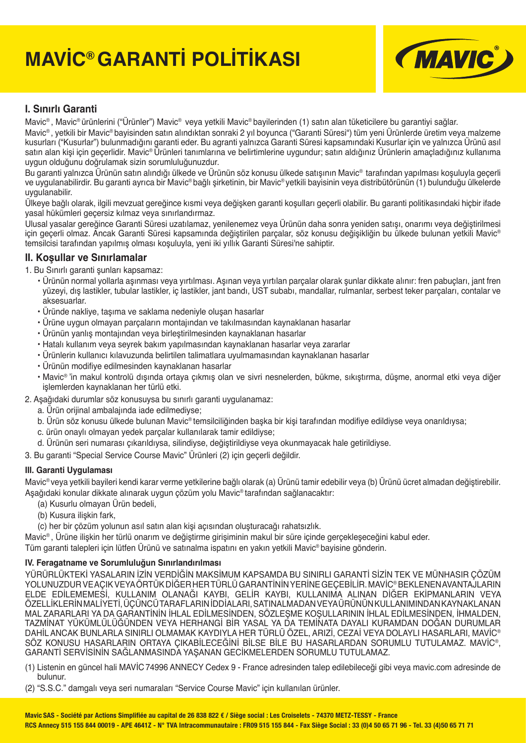# **MAVİC® GARANTİ POLİTİKASI**



# **I. Sınırlı Garanti**

Mavic® , Mavic® ürünlerini ("Ürünler") Mavic® veya yetkili Mavic® bayilerinden (1) satın alan tüketicilere bu garantiyi sağlar.

Mavic® , yetkili bir Mavic® bayisinden satın alındıktan sonraki 2 yıl boyunca ("Garanti Süresi") tüm yeni Ürünlerde üretim veya malzeme kusurları ("Kusurlar") bulunmadığını garanti eder. Bu agranti yalnızca Garanti Süresi kapsamındaki Kusurlar için ve yalnızca Ürünü asıl satın alan kişi için geçerlidir. Mavic® Ürünleri tanımlarına ve belirtimlerine uygundur; satın aldığınız Ürünlerin amaçladığınız kullanıma uygun olduğunu doğrulamak sizin sorumluluğunuzdur.

Bu garanti yalnızca Ürünün satın alındığı ülkede ve Ürünün söz konusu ülkede satışının Mavic® tarafından yapılması koşuluyla geçerli ve uygulanabilirdir. Bu garanti ayrıca bir Mavic® bağlı şirketinin, bir Mavic® yetkili bayisinin veya distribütörünün (1) bulunduğu ülkelerde uygulanabilir.

Ülkeye bağlı olarak, ilgili mevzuat gereğince kısmi veya değişken garanti koşulları geçerli olabilir. Bu garanti politikasındaki hiçbir ifade yasal hükümleri geçersiz kılmaz veya sınırlandırmaz.

Ulusal yasalar gereğince Garanti Süresi uzatılamaz, yenilenemez veya Ürünün daha sonra yeniden satışı, onarımı veya değiştirilmesi için geçerli olmaz. Ancak Garanti Süresi kapsamında değiştirilen parçalar, söz konusu değişikliğin bu ülkede bulunan yetkili Mavic® temsilcisi tarafından yapılmış olması koşuluyla, yeni iki yıllık Garanti Süresi'ne sahiptir.

### **II. Koşullar ve Sınırlamalar**

1. Bu Sınırlı garanti şunları kapsamaz:

- Ürünün normal yollarla aşınması veya yırtılması. Aşınan veya yırtılan parçalar olarak şunlar dikkate alınır: fren pabuçları, jant fren yüzeyi, dış lastikler, tubular lastikler, iç lastikler, jant bandı, UST subabı, mandallar, rulmanlar, serbest teker parçaları, contalar ve aksesuarlar.
- Üründe nakliye, taşıma ve saklama nedeniyle oluşan hasarlar
- Ürüne uygun olmayan parçaların montajından ve takılmasından kaynaklanan hasarlar
- Ürünün yanlış montajından veya birleştirilmesinden kaynaklanan hasarlar
- Hatalı kullanım veya seyrek bakım yapılmasından kaynaklanan hasarlar veya zararlar
- Ürünlerin kullanıcı kılavuzunda belirtilen talimatlara uyulmamasından kaynaklanan hasarlar
- Ürünün modifive edilmesinden kavnaklanan hasarlar
- Mavic® 'in makul kontrolü dışında ortaya çıkmış olan ve sivri nesnelerden, bükme, sıkıştırma, düşme, anormal etki veya diğer işlemlerden kaynaklanan her türlü etki.
- 2. Aşağıdaki durumlar söz konusuysa bu sınırlı garanti uygulanamaz:
	- a. Ürün orijinal ambalajında iade edilmediyse;
	- b. Ürün söz konusu ülkede bulunan Mavic® temsilciliğinden başka bir kişi tarafından modifiye edildiyse veya onarıldıysa;
	- c. ürün onaylı olmayan yedek parçalar kullanılarak tamir edildiyse;
	- d. Ürünün seri numarası çıkarıldıysa, silindiyse, değiştirildiyse veya okunmayacak hale getirildiyse.

3. Bu garanti "Special Service Course Mavic" Ürünleri (2) için geçerli değildir.

### **III. Garanti Uygulaması**

Mavic® veya yetkili bayileri kendi karar verme yetkilerine bağlı olarak (a) Ürünü tamir edebilir veya (b) Ürünü ücret almadan değiştirebilir. Aşağıdaki konular dikkate alınarak uygun çözüm yolu Mavic® tarafından sağlanacaktır:

- (a) Kusurlu olmayan Ürün bedeli,
- (b) Kusura ilişkin fark,
- (c) her bir çözüm yolunun asıl satın alan kişi açısından oluşturacağı rahatsızlık.

Mavic® , Ürüne ilişkin her türlü onarım ve değiştirme girişiminin makul bir süre içinde gerçekleşeceğini kabul eder.

Tüm garanti talepleri için lütfen Ürünü ve satınalma ispatını en yakın yetkili Mavic® bayisine gönderin.

### **IV. Feragatname ve Sorumluluğun Sınırlandırılması**

YÜRÜRLÜKTEKİ YASALARIN İZİN VERDİĞİN MAKSİMUM KAPSAMDA BU SINIRLI GARANTİ SİZİN TEK VE MÜNHASIR ÇÖZÜM YOLUNUZDUR VE AÇIK VEYA ÖRTÜK DİĞER HER TÜRLÜ GARANTİNİN YERİNE GEÇEBİLİR. MAVİC® BEKLENEN AVANTAJLARIN ELDE EDİLEMEMESİ, KULLANIM OLANAĞI KAYBI, GELİR KAYBI, KULLANIMA ALINAN DİĞER EKİPMANLARIN VEYA ÖZELLİKLERİN MALİYETİ, ÜÇÜNCÜ TARAFLARIN İDDİALARI, SATINALMADAN VEYA ÜRÜNÜN KULLANIMINDAN KAYNAKLANAN MAL ZARARLARI YA DA GARANTİNİN İHLAL EDİLMESİNDEN, SÖZLEŞME KOŞULLARININ İHLAL EDİLMESİNDEN, İHMALDEN, TAZMİNAT YÜKÜMLÜLÜĞÜNDEN VEYA HERHANGİ BİR YASAL YA DA TEMİNATA DAYALI KURAMDAN DOĞAN DURUMLAR DAHİL ANCAK BUNLARLA SINIRLI OLMAMAK KAYDIYLA HER TÜRLÜ ÖZEL, ARIZİ, CEZAİ VEYA DOLAYLI HASARLARI, MAVİC® SÖZ KONUSU HASARLARIN ORTAYA ÇIKABİLECEĞİNİ BİLSE BİLE BU HASARLARDAN SORUMLU TUTULAMAZ. MAVİC®, GARANTİ SERVİSİNİN SAĞLANMASINDA YAŞANAN GECİKMELERDEN SORUMLU TUTULAMAZ.

(1) Listenin en güncel hali MAVİC 74996 ANNECY Cedex 9 - France adresinden talep edilebileceği gibi veya mavic.com adresinde de bulunur.

(2) "S.S.C." damgalı veya seri numaraları "Service Course Mavic" için kullanılan ürünler.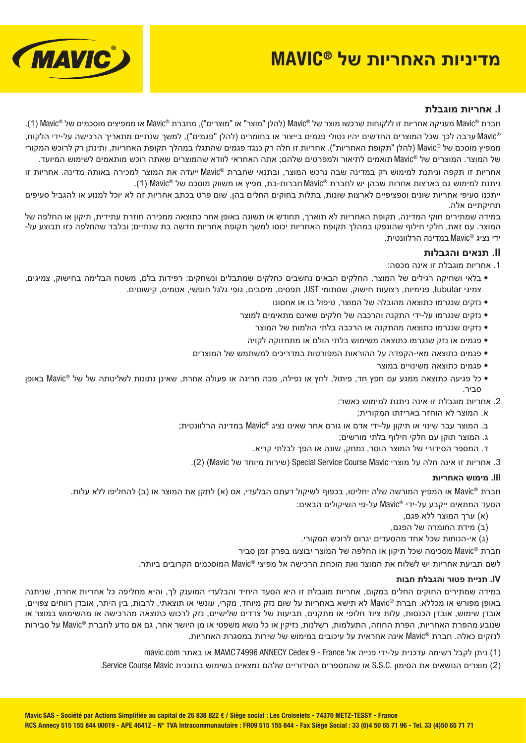# **מדיניות האחריות של RMAVIC**



### **I. אחריות מוגבלת**

חברת RMavic מעניקה אחריות זו ללקוחות שרכשו מוצר של RMavic) להלן "מוצר" או "מוצרים"), מחברת RMavic או ממפיצים מוסכמים של RMavic ) 1(. RMavic ערבה לכך שכל המוצרים החדשים יהיו נטולי פגמים בייצור או בחומרים (להלן "פגמים"), למשך שנתיים מתאריך הרכישה על-ידי הלקוח, ממפיץ מוסכם של RMavic) להלן "תקופת האחריות"). אחריות זו חלה רק כנגד פגמים שהתגלו במהלך תקופת האחריות, ותינתן רק לרוכש המקורי של המוצר. המוצרים של RMavic תואמים לתיאור ולמפרטים שלהם; אתה האחראי לוודא שהמוצרים שאתה רוכש מותאמים לשימוש המיועד.

אחריות זו תקפה וניתנת למימוש רק במדינה שבה נרכש המוצר, ובתנאי שחברת RMavic ייעדה את המוצר למכירה באותה מדינה. אחריות זו ניתנת למימוש גם בארצות אחרות שבהן יש לחברת RMavic חברות-בת, מפיץ או משווק מוסכם של RMavic) 1(.

ייתכנו סעיפי אחריות שונים וספציפיים לארצות שונות, בתלות בחוקים החלים בהן. שום פרט בכתב אחריות זה לא יוכל למנוע או להגביל סעיפים תחיקתיים אלה.

במידה שמתירים חוקי המדינה, תקופת האחריות לא תוארך, תחודש או תשונה באופן אחר כתוצאה ממכירה חוזרת עתידית, תיקון או החלפה של המוצר. עם זאת, חלקי חילוף שהונפקו במהלך תקופת האחריות יכוסו למשך תקופת אחריות חדשה בת שנתיים; ובלבד שהחלפה כזו תבוצע על- ידי נציג RMavic במדינה הרלוונטית.

### **II. תנאים והגבלות**

.1 אחריות מוגבלת זו אינה מכסה:

- בלאי ושחיקה רגילים של המוצר. החלקים הבאים נחשבים כחלקים שמתבלים ונשחקים: רפידות בלם, משטח הבלימה בחישוק, צמיגים, צמיגי tubular, פנימיות, רצועות חישוק, שסתומי UST, תפסים, מיסבים, גופי גלגל חופשי, אטמים, קישוטים.
	- נזקים שנגרמו כתוצאה מהובלה של המוצר, טיפול בו או אחסונו
	- נזקים שנגרמו על-ידי התקנה והרכבה של חלקים שאינם מתאימים למוצר
		- נזקים שנגרמו כתוצאה מהתקנה או הרכבה בלתי הולמות של המוצר
	- פגמים או נזק שנגרמו כתוצאה משימוש בלתי הולם או מתחזוקה לקויה
	- פגמים כתוצאה מאי-הקפדה על ההוראות המפורטות במדריכים למשתמש של המוצרים
		- פגמים כתוצאה משינויים במוצר
- כל פגיעה כתוצאה ממגע עם חפץ חד, פיתול, לחץ או נפילה, מכה חריגה או פעולה אחרת, שאינן נתונות לשליטתה של של RMavic באופן סביר.
	- .2 אחריות מוגבלת זו אינה ניתנת למימוש כאשר:
		- א. המוצר לא הוחזר באריזתו המקורית;
	- ב. המוצר עבר שינוי או תיקון על-ידי אדם או גורם אחר שאינו נציג RMavic במדינה הרלוונטית;
		- ג. המוצר תוקן עם חלקי חילוף בלתי מורשים;
		- ד. המספר הסידורי של המוצר הוסר, נמחק, שונה או הפך לבלתי קריא.
		- .3 אחריות זו אינה חלה על מוצרי Mavic Course Service Special) שירות מיוחד של Mavic) (2(.

### **III. מימוש האחריות**

חברת RMavic או המפיץ המורשה שלה יחליטו, בכפוף לשיקול דעתם הבלעדי, אם (א) לתקן את המוצר או (ב) להחליפו ללא עלות.

הסעד המתאים ייקבע על-ידי RMavic על-פי השיקולים הבאים:

- (א) ערך המוצר ללא פגם,
- (ב) מידת החומרה של הפגם,
- (ג) אי-הנוחות שכל אחד מהסעדים יגרום לרוכש המקורי.

חברת RMavic מסכימה שכל תיקון או החלפה של המוצר יבוצעו בפרק זמן סביר

לשם תביעת אחריות יש לשלוח את המוצר ואת הוכחת הרכישה אל מפיצי RMavic המוסכמים הקרובים ביותר.

#### **IV. תניית פטור והגבלת חבות**

במידה שמתירים החוקים החלים במקום, אחריות מוגבלת זו היא הסעד היחיד והבלעדי המוענק לך, והיא מחליפה כל אחריות אחרת, שניתנה באופן מפורש או מכללא. חברת RMavic לא תישא באחריות על שום נזק מיוחד, מקרי, עונשי או תוצאתי, לרבות, בין היתר, אובדן רווחים צפויים, אובדן שימוש, אובדן הכנסות, עלות ציוד חלופי או מתקנים, תביעות של צדדים שלישיים, נזק לרכוש כתוצאה מהרכישה או מהשימוש במוצר או שנובע מהפרת האחריות, הפרת החוזה, התעלמות, רשלנות, נזיקין או כל נושא משפטי או מן היושר אחר, גם אם נודע לחברת RMavic על סבירות לנזקים כאלה. חברת RMavic אינה אחראית על עיכובים במימוש של שירות במסגרת האחריות.

- (1) ניתן לקבל רשימה עדכנית על-ידי פנייה אל France 9 Cedex ANNECY 74996 MAVIC או באתר com.mavic
- (2) מוצרים הנושאים את הסימון .C.S.S או שהמספרים הסידוריים שלהם נמצאים בשימוש בתוכנית Mavic Course Service.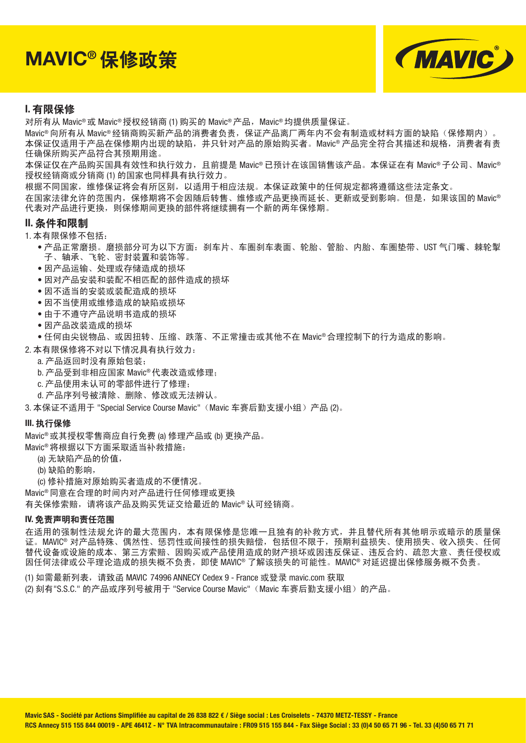**MAVIC®** 保修政策



### **I.** 有限保修

对所有从 Mavic® 或 Mavic® 授权经销商 (1) 购买的 Mavic® 产品, Mavic® 均提供质量保证。

Mavic®向所有从 Mavic® 经销商购买新产品的消费者负责,保证产品离厂两年内不会有制造或材料方面的缺陷(保修期内)。 本保证仅适用于产品在保修期内出现的缺陷,并只针对产品的原始购买者。Mavic® 产品完全符合其描述和规格,消费者有责 任确保所购买产品符合其预期用途。

本保证仅在产品购买国具有效性和执行效力,且前提是 Mavic® 已预计在该国销售该产品。本保证在有 Mavic® 子公司、Mavic® 授权经销商或分销商 (1) 的国家也同样具有执行效力。

根据不同国家,维修保证将会有所区别,以适用于相应法规。本保证政策中的任何规定都将遵循这些法定条文。

在国家法律允许的范围内,保修期将不会因随后转售、维修或产品更换而延长、更新或受到影响。但是,如果该国的 Mavic® 代表对产品进行更换,则保修期间更换的部件将继续拥有一个新的两年保修期。

#### **II.** 条件和限制

1. 本有限保修不包括:

- 产品正常磨损。磨损部分可为以下方面:刹车片、车圈刹车表面、轮胎、管胎、内胎、车圈垫带、UST 气门嘴、棘轮掣 子、轴承、飞轮、密封装置和装饰等。
- 因产品运输、处理或存储造成的损坏
- 因对产品安装和装配不相匹配的部件造成的损坏
- 因不适当的安装或装配造成的损坏
- 因不当使用或维修造成的缺陷或损坏
- 由于不遵守产品说明书造成的损坏
- 因产品改装造成的损坏
- 任何由尖锐物品、或因扭转、压缩、跌落、不正常撞击或其他不在 Mavic® 合理控制下的行为造成的影响。
- 2. 本有限保修将不对以下情况具有执行效力:
	- a. 产品返回时没有原始包装;
	- b. 产品受到非相应国家 Mavic® 代表改造或修理;
	- c. 产品使用未认可的零部件进行了修理;
	- d. 产品序列号被清除、删除、修改或无法辨认。

3. 本保证不适用于 "Special Service Course Mavic"(Mavic 车赛后勤支援小组)产品 (2)。

#### **III.** 执行保修

Mavic® 或其授权零售商应自行免费 (a) 修理产品或 (b) 更换产品。

Mavic® 将根据以下方面采取适当补救措施:

- (a) 无缺陷产品的价值,
- (b) 缺陷的影响,
- (c) 修补措施对原始购买者造成的不便情况。

Mavic® 同意在合理的时间内对产品进行任何修理或更换

有关保修索赔,请将该产品及购买凭证交给最近的 Mavic® 认可经销商。

#### **IV.** 免责声明和责任范围

在适用的强制性法规允许的最大范围内,本有限保修是您唯一且独有的补救方式,并且替代所有其他明示或暗示的质量保 证。MAVIC® 对产品特殊、偶然性、惩罚性或间接性的损失赔偿,包括但不限于,预期利益损失、使用损失、收入损失、任何 替代设备或设施的成本、第三方索赔、因购买或产品使用造成的财产损坏或因违反保证、违反合约、疏忽大意、责任侵权或 因任何法律或公平理论造成的损失概不负责,即使 MAVIC® 了解该损失的可能性。MAVIC® 对延迟提出保修服务概不负责。

(1) 如需最新列表,请致函 MAVIC 74996 ANNECY Cedex 9 - France 或登录 mavic.com 获取 (2) 刻有"S.S.C." 的产品或序列号被用于 "Service Course Mavic" (Mavic 车赛后勤支援小组)的产品。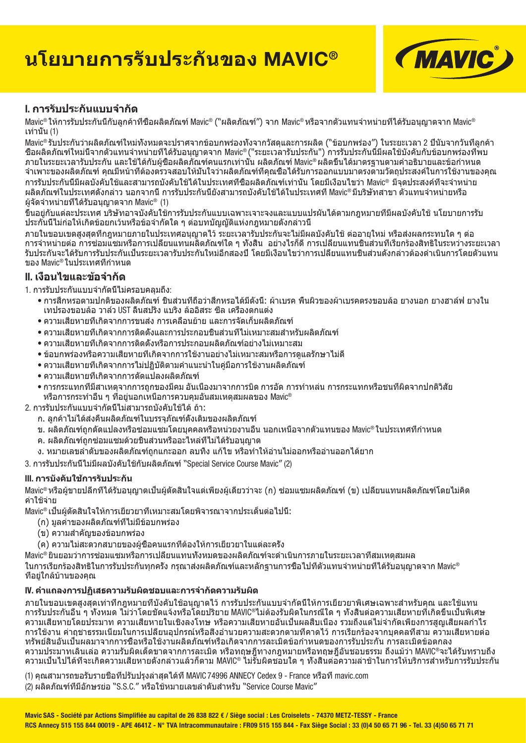# **นโยบายการรับประกั นของ MAVIC®**



# **I. การรับประกันแบบจํากัด**

Mavic® ให้การรับประกันนี้กับลูกค้าที่ซื้อผลิตภัณฑ์ Mavic® (``ผลิตภัณฑ์″) จาก Mavic® หรือจากตัวแทนจำหน่ายที่ได้รับอนุญาตจาก Mavic® เท่านั้น (1)

Mavic® รับประกันว่าผลิตภัณฑ์ใหม่ทั้งหมดจะปราศจากข้อบกพร่องทั้งจากวัสดุและการผลิต ("ข้อบกพร่อง") ในระยะเวลา 2 ปีนับจากวันที่ลูกค้า ซื้อผลิตภัณฑ์ใหม่นี้จากตัวแทนจําหน่ายที่ได้รับอนุญาตจาก Mavic® ("ระยะเวลารับประกัน") การรับประกันนี้มีผลใช้บังคับกับข้อบกพร่องที่พบ ภายในระยะเวลารับประกัน และใช้ได้กับผู้ซื้อผลิตภัณฑ์คนแรกเท่านั้น ผลิตภัณฑ์ Mavic® ผลิตขึ้นได้มาตรฐานตามคําอธิบายและข้อกําหนด ้จำเพาะของผลิตภัณฑ์ คุณมีหน้าที่ต้องตรวจสอบให้มั่นใจว่าผลิตภัณฑ์ที่คุณชื่อได้รับการออกแบบมาตรงตามวัตถุประสงค์ในการใช้งานของคุณ การรับประกันนี้มีผลบังคับใช้และสามารถบังคับใช้ได้ในประเทศที่ซื้อผลิตภัณฑ์เท่านั้น โดยมีเงื่อนไขว่า Mavic® มีจุดประสงค์ที่จะจําหน่าย ผลิตภัณฑ์ในประเทศดังกล่าว นอกจากนี้การรับประกันนี้ยังสามารถบังคับใช้ได้ในประเทศที่ Mavic® มีบริษัทสาขา ตัวแทนจําหน่ายหรือ ผู้จัดจําหน่ายที่ได้รับอนุญาตจาก Mavic® (1)

ขึ้นอย่กับแต่ละประเทศ บริษัทอาจบังคับใช้การรับประกันแบบเฉพาะเจาะจงและแบบแปรผันได้ตามกภหมายที่มีผลบังคับใช้ นโยบายการรับ ประกันนี้ไม่ก่อให้เกิดข้อยกเว้นหรือข้อจํากัดใด ๆ ต่อบทบัญญัติแห่งกฎหมายดังกล่าวนี้

ภายในขอบเขตสูงสุดที่กฎหมายภายในประเทศอนุญาตไว้ระยะเวลารับประกันจะไม่มีผลบังคับใช้ต่ออายุใหม่ หรือส่งผลกระทบใด ๆ ต่อ การจําหน่ายต่อ การซ่อมแซมหรือการเปลี่ยนแทนผลิตภัณฑ์ใด ๆ ทั้งสิ้น อย่างไรก็ดีการเปลี่ยนแทนชิ้นส่วนที่เรียกร้องสิทธิในระหว่างระยะเวลา รับประกันจะได้รับการรับประกันเป็นระยะเวลารับประกันใหม่อีกสองปีโดยมีเงื่อนไขว่าการเปลี่ยนแทนชิ้นส่วนดังกล่าวต้องดําเนินการโดยตัวแทน ของ Mavic® ในประเทศที่กําหนด

# **II. เงื่อนไขและข้อจํากัด**

1. การรับประกันแบบจํากัดนี้ไม่ครอบคลุมถึง:

- การสึกหรอตามปกติของผลิตภัณฑ์ชิ้นส่วนที่ถือว่าสึกหรอได้มีดังนี้: ผ้าเบรค พื้นผิวของผ้าเบรคตรงขอบล้อ ยางนอก ยางฮาล์ฟ ยางใน เทปรองขอบล้อ วาล์ว UST ลิ้นสปริง แบริง ล้ออิสระ ซีล เครื่องตกแต่ง
- ความเสียหายที่เกิดจากการขนส่ง การเคลื่อนย้าย และการจัดเก็บผลิตภัณฑ์
- ความเสียหายที่เกิดจากการติดตั้งและการประกอบชิ้นส่วนที่ไม่เหมาะสมสําหรับผลิตภัณฑ์
- ความเสียหายที่เกิดจากการติดตั้งหรือการประกอบผลิตภัณฑ์อย่างไม่เหมาะสม
- ข้อบกพร่องหรือความเสียหายที่เกิดจากการใช้งานอย่างไม่เหมาะสมหรือการดูแลรักษาไม่ดี
- ความเสียหายที่เกิดจากการไม่ปฏิบัติตามคําแนะนําในคู่มือการใช้งานผลิตภัณฑ์
- ความเสียหายที่เกิดจากการดัดแปลงผลิตภัณฑ์
- การกระแทกที่มีสาเหตุจากการถูกของมีคม อันเนื่องมาจากการบิด การอัด การทําหล่น การกระแทกหรือชนที่ผิดจากปกติวิสัย หรือการกระทําอื่น ๆ ที่อยู่นอกเหนือการควบคุมอันสมเหตุสมผลของ Mavic®
- 2. การรับประกันแบบจํากัดนี้ไม่สามารถบังคับใช้ได้ถ้า:
	- ึก. ลูกค้าไม่ได้ส่งคืนผลิตภัณฑ์ในบรรจุภัณฑ์ดังเดิมของผลิตภัณฑ์
	- ข. ผลิตภัณฑ์ถูกดัดแปลงหรือซ่อมแซมโดยบุคคลหรือหน่วยงานอื่น นอกเหนือจากตัวแทนของ Mavic® ในประเทศที่กําหนด
	- ค. ผลิตภัณฑ์ถูกซ่อมแซมด้วยชิ้นส่วนหรืออะไหล่ที่ไม่ได้รับอนุญาต
	- ง. หมายเลขลําดับของผลิตภัณฑ์ถูกแกะออก ลบทิ้ง แก้ไข หรือทําให้อ่านไม่ออกหรืออ่านออกได้ยาก

3. การรับประกันนี้ไม่มีผลบังคับใช้กับผลิตภัณฑ์ "Special Service Course Mavic" (2)

### **III. การบังคับใช้การรับประกัน**

Mavic® หรือผู้ขายปลีกที่ได้รับอนุญาตเป็นผู้ตัดสินใจแต่เพียงผู้เดียวว่าจะ (ก) ซ่อมแซมผลิตภัณฑ์ (ข) เปลี่ยนแทนผลิตภัณฑ์โดยไม่คิด ค่าใช้จ่าย

Mavic® เป็นผู้ตัดสินใจให้การเยียวยาที่เหมาะสมโดยพิจารณาจากประเด็นต่อไปนี้:

- (ก) มูลค่าของผลิตภัณฑ์ที่ไม่มีข้อบกพร่อง
- (ข) ความสําคัญของข้อบกพร่อง
- (ค) ความไม่สะดวกสบายของผู้ซื้อคนแรกที่ต้องให้การเยียวยาในแต่ละครั้ง
- Mavic® ยินยอมว่าการซ่อมแซมหรือการเปลี่ยนแทนทั<sub>้</sub>งหมดของผลิตภัณฑ์จะดำเนินการภายในระยะเวลาที่สมเหตุสมผล

ในการเรียกร้องสิทธิในการรับประกันทุกครั้ง กรุณาส่งผลิตภัณฑ์และหลักฐานการซื้อไปที่ตัวแทนจําหน่ายที่ได้รับอนุญาตจาก Mavic® ที่อยู่ใกล้บ้านของคุณ

### **IV. คําแถลงการปฏิเสธความรับผิดชอบและการจํากัดความรับผิด**

ภายในขอบเขตสงสดเท่าที่กฎหมายที่บังคับใช้อนุญาตไว้ การรับประกันแบบจำกัดนี้ให้การเยียวยาพิเศษเฉพาะสำหรับคุณ และใช้แทน การรับประกันอื่น ๆ ทั้งหมด ไม่ว่าโดยชัดแจ้งหรือโดยปริยาย MAVIC®ไม่ต้องรับผิดในกรณีใด ๆ ทั้งสิ้นต่อความเสียหายที่เกิดขึ้นเป็นพิเศษ ความเสียหายโดยประมาท ความเสียหายในเชิงลงโทษ หรือความเสียหายอันเป็นผลสืบเนื่อง รวมถึงแต่ไม่จำกัดเพียงการสูญเสียผลกำไร การใช้งาน ค่าถชาธรรมเนียมในการเปลี่ยนอุปกรณ์หรือสิ่งอำนวยความสะดวกตามที่คาดไว้ การเรียกร้องจากบุคคลที่สาม ความเสียหายต่อ ทรัพย์สินอันเป็นผลมาจากการซื้อหรือใช้งานผลิตภัณฑ์หรือเกิดจากการละเมิดข้อกําหนดของการรับประกัน การละเมิดข้อตกลง ความประมาทเลินเล่อ ความรับผิดเด็ดขาดจากการละเมิด หรือทฤษฎีทางกฎหมายหรือทฤษฎีอันชอบธรรม ถึงแม้ว่า MAVIC®จะได้รับทราบถึง ี ความเป็นไปได้ที่จะเกิดความเสียหายดังกล่าวแล้วก็ตาม MAVIC® ไม่รับผิดชอบใด ๆ ทั<sub>้</sub>งสินต่อความล่าช้าในการให้บริการสำหรับการรับประกัน

(1) คุณสามารถขอรับรายชื่อที่ปรับปรุงล่าสุดได้ที่ MAVIC 74996 ANNECY Cedex 9 - France หรือที่ mavic.com  $(2)$  ผลิตภัณฑ์ที่มีอักษรย่อ "S.S.C." หรือใช้หมายเลขลำดับสำหรับ "Service Course Mavic"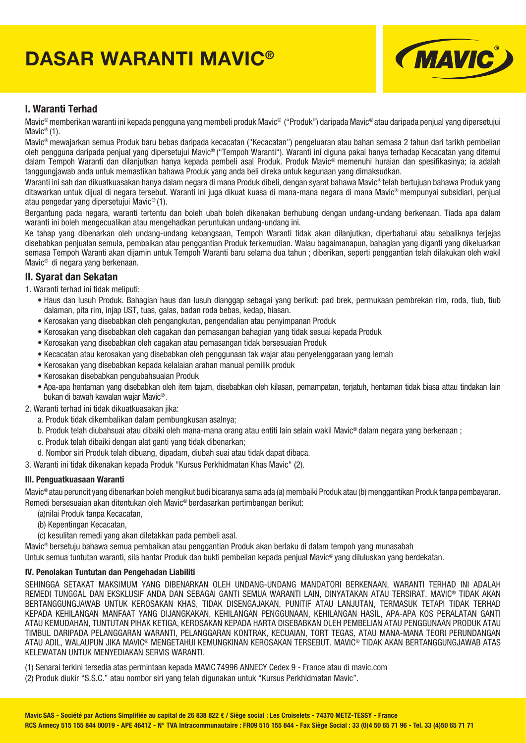# **DASAR WARANTI MAVIC®**



### **I. Waranti Terhad**

Mavic® memberikan waranti ini kepada pengguna yang membeli produk Mavic® ("Produk") daripada Mavic® atau daripada penjual yang dipersetujui Mavic<sup>®</sup> (1).

Mavic® mewajarkan semua Produk baru bebas daripada kecacatan ("Kecacatan") pengeluaran atau bahan semasa 2 tahun dari tarikh pembelian oleh pengguna daripada penjual yang dipersetujui Mavic® ("Tempoh Waranti"). Waranti ini diguna pakai hanya terhadap Kecacatan yang ditemui dalam Tempoh Waranti dan dilanjutkan hanya kepada pembeli asal Produk. Produk Mavic® memenuhi huraian dan spesifikasinya; ia adalah tanggungjawab anda untuk memastikan bahawa Produk yang anda beli direka untuk kegunaan yang dimaksudkan.

Waranti ini sah dan dikuatkuasakan hanya dalam negara di mana Produk dibeli, dengan syarat bahawa Mavic® telah bertujuan bahawa Produk yang ditawarkan untuk dijual di negara tersebut. Waranti ini juga dikuat kuasa di mana-mana negara di mana Mavic® mempunyai subsidiari, penjual atau pengedar yang dipersetujui Mavic® (1).

Bergantung pada negara, waranti tertentu dan boleh ubah boleh dikenakan berhubung dengan undang-undang berkenaan. Tiada apa dalam waranti ini boleh mengecualikan atau mengehadkan peruntukan undang-undang ini.

Ke tahap yang dibenarkan oleh undang-undang kebangsaan, Tempoh Waranti tidak akan dilanjutkan, diperbaharui atau sebaliknya terjejas disebabkan penjualan semula, pembaikan atau penggantian Produk terkemudian. Walau bagaimanapun, bahagian yang diganti yang dikeluarkan semasa Tempoh Waranti akan dijamin untuk Tempoh Waranti baru selama dua tahun ; diberikan, seperti penggantian telah dilakukan oleh wakil Mavic® di negara yang berkenaan.

#### **II. Syarat dan Sekatan**

- 1. Waranti terhad ini tidak meliputi:
	- Haus dan lusuh Produk. Bahagian haus dan lusuh dianggap sebagai yang berikut: pad brek, permukaan pembrekan rim, roda, tiub, tiub dalaman, pita rim, injap UST, tuas, galas, badan roda bebas, kedap, hiasan.
	- Kerosakan yang disebabkan oleh pengangkutan, pengendalian atau penyimpanan Produk
	- Kerosakan yang disebabkan oleh cagakan dan pemasangan bahagian yang tidak sesuai kepada Produk
	- Kerosakan yang disebabkan oleh cagakan atau pemasangan tidak bersesuaian Produk
	- Kecacatan atau kerosakan yang disebabkan oleh penggunaan tak wajar atau penyelenggaraan yang lemah
	- Kerosakan yang disebabkan kepada kelalaian arahan manual pemilik produk
	- Kerosakan disebabkan pengubahsuaian Produk
	- Apa-apa hentaman yang disebabkan oleh item tajam, disebabkan oleh kilasan, pemampatan, terjatuh, hentaman tidak biasa attau tindakan lain bukan di bawah kawalan wajar Mavic® .
- 2. Waranti terhad ini tidak dikuatkuasakan jika:
	- a. Produk tidak dikembalikan dalam pembungkusan asalnya;
	- b. Produk telah diubahsuai atau dibaiki oleh mana-mana orang atau entiti lain selain wakil Mavic® dalam negara yang berkenaan ;
	- c. Produk telah dibaiki dengan alat ganti yang tidak dibenarkan;
	- d. Nombor siri Produk telah dibuang, dipadam, diubah suai atau tidak dapat dibaca.
- 3. Waranti ini tidak dikenakan kepada Produk "Kursus Perkhidmatan Khas Mavic" (2).

#### **III. Penguatkuasaan Waranti**

Mavic® atau peruncit yang dibenarkan boleh mengikut budi bicaranya sama ada (a) membaiki Produk atau (b) menggantikan Produk tanpa pembayaran. Remedi bersesuaian akan ditentukan oleh Mavic® berdasarkan pertimbangan berikut:

(a)nilai Produk tanpa Kecacatan,

- (b) Kepentingan Kecacatan,
- (c) kesulitan remedi yang akan diletakkan pada pembeli asal.

Mavic® bersetuju bahawa semua pembaikan atau penggantian Produk akan berlaku di dalam tempoh yang munasabah

Untuk semua tuntutan waranti, sila hantar Produk dan bukti pembelian kepada penjual Mavic® yang diluluskan yang berdekatan.

#### **IV. Penolakan Tuntutan dan Pengehadan Liabiliti**

SEHINGGA SETAKAT MAKSIMUM YANG DIBENARKAN OLEH UNDANG-UNDANG MANDATORI BERKENAAN, WARANTI TERHAD INI ADALAH REMEDI TUNGGAL DAN EKSKLUSIF ANDA DAN SEBAGAI GANTI SEMUA WARANTI LAIN, DINYATAKAN ATAU TERSIRAT. MAVIC® TIDAK AKAN BERTANGGUNGJAWAB UNTUK KEROSAKAN KHAS, TIDAK DISENGAJAKAN, PUNITIF ATAU LANJUTAN, TERMASUK TETAPI TIDAK TERHAD KEPADA KEHILANGAN MANFAAT YANG DIJANGKAKAN, KEHILANGAN PENGGUNAAN, KEHILANGAN HASIL, APA-APA KOS PERALATAN GANTI ATAU KEMUDAHAN, TUNTUTAN PIHAK KETIGA, KEROSAKAN KEPADA HARTA DISEBABKAN OLEH PEMBELIAN ATAU PENGGUNAAN PRODUK ATAU TIMBUL DARIPADA PELANGGARAN WARANTI, PELANGGARAN KONTRAK, KECUAIAN, TORT TEGAS, ATAU MANA-MANA TEORI PERUNDANGAN ATAU ADIL, WALAUPUN JIKA MAVIC® MENGETAHUI KEMUNGKINAN KEROSAKAN TERSEBUT. MAVIC® TIDAK AKAN BERTANGGUNGJAWAB ATAS KELEWATAN UNTUK MENYEDIAKAN SERVIS WARANTI.

(1) Senarai terkini tersedia atas permintaan kepada MAVIC 74996 ANNECY Cedex 9 - France atau di mavic.com

(2) Produk diukir "S.S.C." atau nombor siri yang telah digunakan untuk "Kursus Perkhidmatan Mavic".